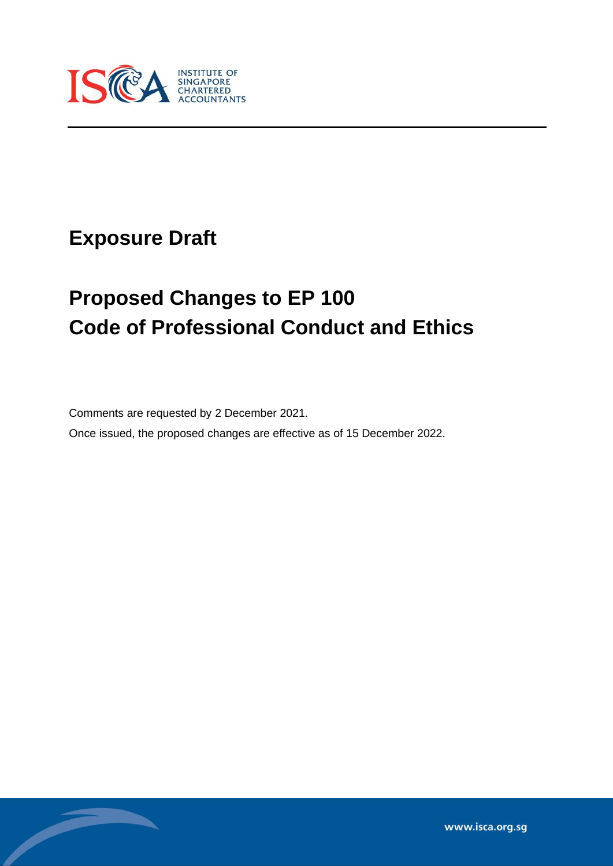

# **Exposure Draft**

Í

# **Proposed Changes to EP 100 Code of Professional Conduct and Ethics**

Comments are requested by 2 December 2021.

Once issued, the proposed changes are effective as of 15 December 2022.

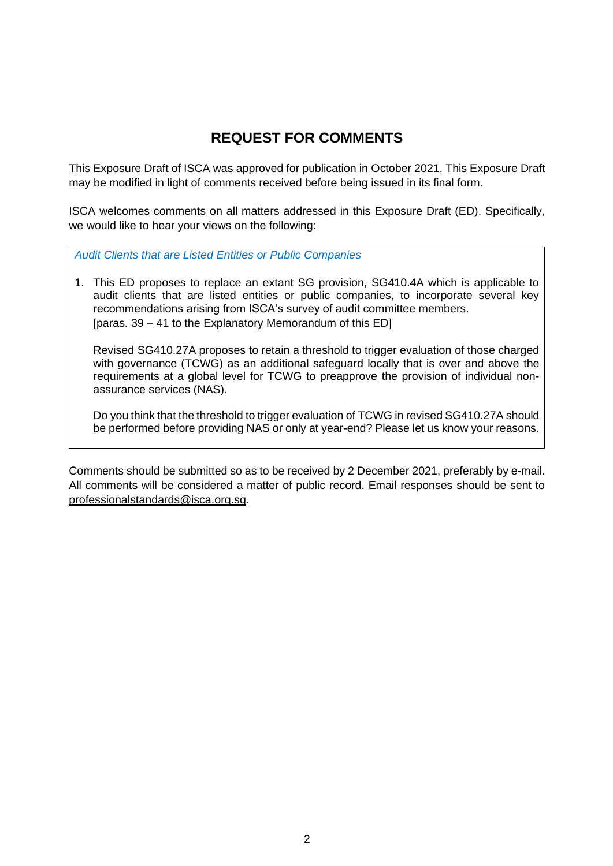# **REQUEST FOR COMMENTS**

This Exposure Draft of ISCA was approved for publication in October 2021. This Exposure Draft may be modified in light of comments received before being issued in its final form.

ISCA welcomes comments on all matters addressed in this Exposure Draft (ED). Specifically, we would like to hear your views on the following:

*Audit Clients that are Listed Entities or Public Companies*

1. This ED proposes to replace an extant SG provision, SG410.4A which is applicable to audit clients that are listed entities or public companies, to incorporate several key recommendations arising from ISCA's survey of audit committee members. [paras. 39 – 41 to the Explanatory Memorandum of this ED]

Revised SG410.27A proposes to retain a threshold to trigger evaluation of those charged with governance (TCWG) as an additional safeguard locally that is over and above the requirements at a global level for TCWG to preapprove the provision of individual nonassurance services (NAS).

Do you think that the threshold to trigger evaluation of TCWG in revised SG410.27A should be performed before providing NAS or only at year-end? Please let us know your reasons.

Comments should be submitted so as to be received by 2 December 2021, preferably by e-mail. All comments will be considered a matter of public record. Email responses should be sent to [professionalstandards@isca.org.sg.](mailto:professionalstandards@isca.org.sg)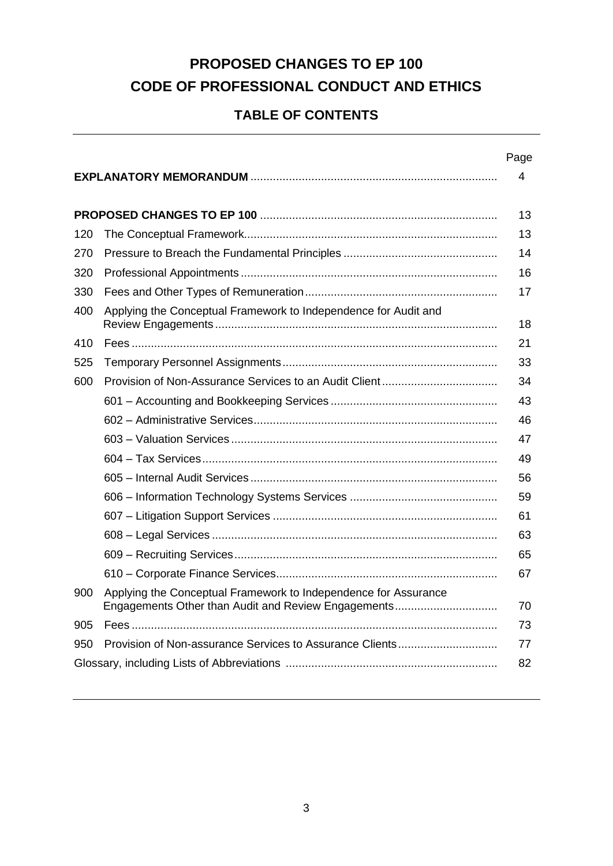# **PROPOSED CHANGES TO EP 100 CODE OF PROFESSIONAL CONDUCT AND ETHICS**

# **TABLE OF CONTENTS**

|     |                                                                                                                        | Page |  |
|-----|------------------------------------------------------------------------------------------------------------------------|------|--|
|     |                                                                                                                        | 4    |  |
|     |                                                                                                                        |      |  |
|     |                                                                                                                        |      |  |
| 120 |                                                                                                                        | 13   |  |
| 270 |                                                                                                                        | 14   |  |
| 320 |                                                                                                                        | 16   |  |
| 330 |                                                                                                                        | 17   |  |
| 400 | Applying the Conceptual Framework to Independence for Audit and                                                        | 18   |  |
| 410 |                                                                                                                        | 21   |  |
| 525 |                                                                                                                        | 33   |  |
| 600 |                                                                                                                        | 34   |  |
|     |                                                                                                                        | 43   |  |
|     |                                                                                                                        | 46   |  |
|     |                                                                                                                        | 47   |  |
|     |                                                                                                                        | 49   |  |
|     |                                                                                                                        | 56   |  |
|     |                                                                                                                        | 59   |  |
|     |                                                                                                                        | 61   |  |
|     |                                                                                                                        | 63   |  |
|     |                                                                                                                        | 65   |  |
|     |                                                                                                                        | 67   |  |
| 900 | Applying the Conceptual Framework to Independence for Assurance<br>Engagements Other than Audit and Review Engagements | 70   |  |
| 905 |                                                                                                                        | 73   |  |
| 950 |                                                                                                                        | 77   |  |
| 82  |                                                                                                                        |      |  |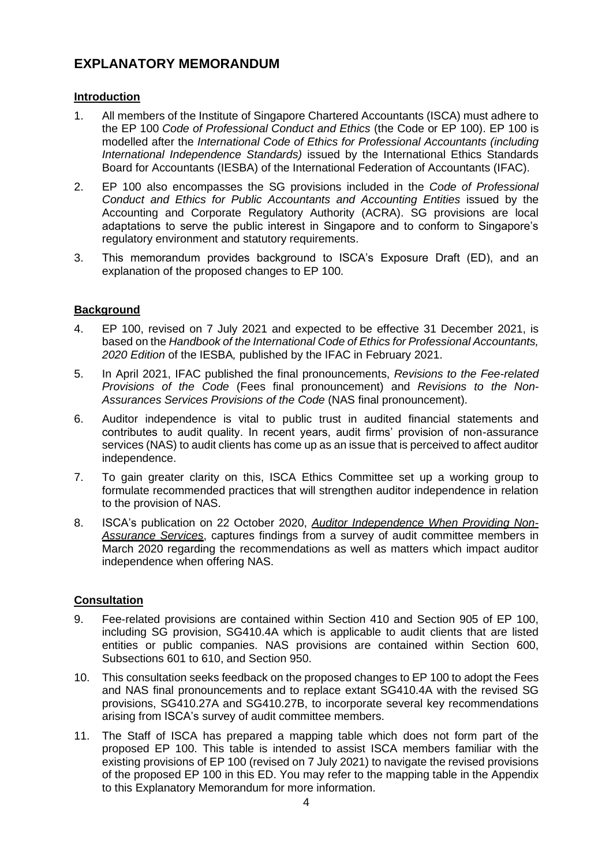# **EXPLANATORY MEMORANDUM**

#### **Introduction**

- 1. All members of the Institute of Singapore Chartered Accountants (ISCA) must adhere to the EP 100 *Code of Professional Conduct and Ethics* (the Code or EP 100). EP 100 is modelled after the *International Code of Ethics for Professional Accountants (including International Independence Standards)* issued by the International Ethics Standards Board for Accountants (IESBA) of the International Federation of Accountants (IFAC).
- 2. EP 100 also encompasses the SG provisions included in the *Code of Professional Conduct and Ethics for Public Accountants and Accounting Entities* issued by the Accounting and Corporate Regulatory Authority (ACRA). SG provisions are local adaptations to serve the public interest in Singapore and to conform to Singapore's regulatory environment and statutory requirements.
- 3. This memorandum provides background to ISCA's Exposure Draft (ED), and an explanation of the proposed changes to EP 100.

#### **Background**

- 4. EP 100, revised on 7 July 2021 and expected to be effective 31 December 2021, is based on the *Handbook of the International Code of Ethics for Professional Accountants, 2020 Edition* of the IESBA*,* published by the IFAC in February 2021.
- 5. In April 2021, IFAC published the final pronouncements, *Revisions to the Fee-related Provisions of the Code* (Fees final pronouncement) and *Revisions to the Non-Assurances Services Provisions of the Code* (NAS final pronouncement).
- 6. Auditor independence is vital to public trust in audited financial statements and contributes to audit quality. In recent years, audit firms' provision of non-assurance services (NAS) to audit clients has come up as an issue that is perceived to affect auditor independence.
- 7. To gain greater clarity on this, ISCA Ethics Committee set up a working group to formulate recommended practices that will strengthen auditor independence in relation to the provision of NAS.
- 8. ISCA's publication on 22 October 2020, *[Auditor Independence When Providing Non-](https://isca.org.sg/media/2825123/auditor-independence-when-providing-nas-for-uploading.pdf)[Assurance Services](https://isca.org.sg/media/2825123/auditor-independence-when-providing-nas-for-uploading.pdf)*, captures findings from a survey of audit committee members in March 2020 regarding the recommendations as well as matters which impact auditor independence when offering NAS.

#### **Consultation**

- 9. Fee-related provisions are contained within Section 410 and Section 905 of EP 100, including SG provision, SG410.4A which is applicable to audit clients that are listed entities or public companies. NAS provisions are contained within Section 600, Subsections 601 to 610, and Section 950.
- 10. This consultation seeks feedback on the proposed changes to EP 100 to adopt the Fees and NAS final pronouncements and to replace extant SG410.4A with the revised SG provisions, SG410.27A and SG410.27B, to incorporate several key recommendations arising from ISCA's survey of audit committee members.
- 11. The Staff of ISCA has prepared a mapping table which does not form part of the proposed EP 100. This table is intended to assist ISCA members familiar with the existing provisions of EP 100 (revised on 7 July 2021) to navigate the revised provisions of the proposed EP 100 in this ED. You may refer to the mapping table in the Appendix to this Explanatory Memorandum for more information.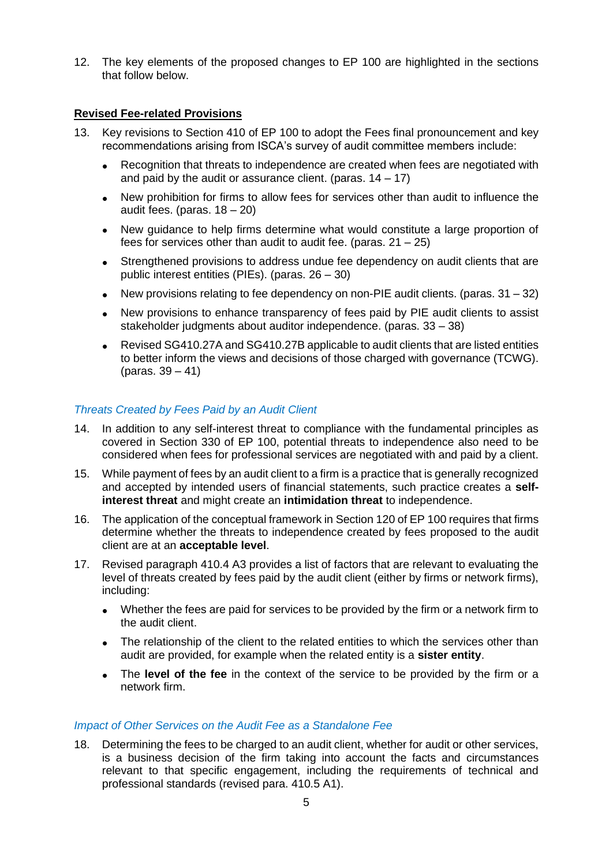12. The key elements of the proposed changes to EP 100 are highlighted in the sections that follow below.

#### **Revised Fee-related Provisions**

- 13. Key revisions to Section 410 of EP 100 to adopt the Fees final pronouncement and key recommendations arising from ISCA's survey of audit committee members include:
	- Recognition that threats to independence are created when fees are negotiated with and paid by the audit or assurance client. (paras.  $14 - 17$ )
	- New prohibition for firms to allow fees for services other than audit to influence the audit fees. (paras.  $18 - 20$ )
	- New guidance to help firms determine what would constitute a large proportion of fees for services other than audit to audit fee. (paras.  $21 - 25$ )
	- Strengthened provisions to address undue fee dependency on audit clients that are public interest entities (PIEs). (paras. 26 – 30)
	- New provisions relating to fee dependency on non-PIE audit clients. (paras.  $31 32$ )
	- New provisions to enhance transparency of fees paid by PIE audit clients to assist stakeholder judgments about auditor independence. (paras. 33 – 38)
	- Revised SG410.27A and SG410.27B applicable to audit clients that are listed entities to better inform the views and decisions of those charged with governance (TCWG). (paras. 39 – 41)

#### *Threats Created by Fees Paid by an Audit Client*

- 14. In addition to any self-interest threat to compliance with the fundamental principles as covered in Section 330 of EP 100, potential threats to independence also need to be considered when fees for professional services are negotiated with and paid by a client.
- 15. While payment of fees by an audit client to a firm is a practice that is generally recognized and accepted by intended users of financial statements, such practice creates a **selfinterest threat** and might create an **intimidation threat** to independence.
- 16. The application of the conceptual framework in Section 120 of EP 100 requires that firms determine whether the threats to independence created by fees proposed to the audit client are at an **acceptable level**.
- 17. Revised paragraph 410.4 A3 provides a list of factors that are relevant to evaluating the level of threats created by fees paid by the audit client (either by firms or network firms), including:
	- Whether the fees are paid for services to be provided by the firm or a network firm to the audit client.
	- The relationship of the client to the related entities to which the services other than audit are provided, for example when the related entity is a **sister entity**.
	- The **level of the fee** in the context of the service to be provided by the firm or a network firm.

#### *Impact of Other Services on the Audit Fee as a Standalone Fee*

18. Determining the fees to be charged to an audit client, whether for audit or other services, is a business decision of the firm taking into account the facts and circumstances relevant to that specific engagement, including the requirements of technical and professional standards (revised para. 410.5 A1).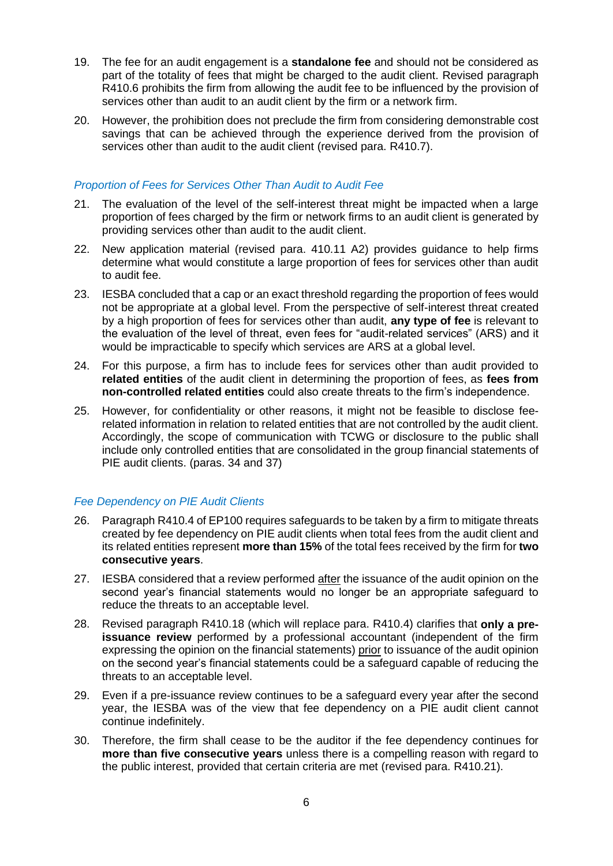- 19. The fee for an audit engagement is a **standalone fee** and should not be considered as part of the totality of fees that might be charged to the audit client. Revised paragraph R410.6 prohibits the firm from allowing the audit fee to be influenced by the provision of services other than audit to an audit client by the firm or a network firm.
- 20. However, the prohibition does not preclude the firm from considering demonstrable cost savings that can be achieved through the experience derived from the provision of services other than audit to the audit client (revised para. R410.7).

#### *Proportion of Fees for Services Other Than Audit to Audit Fee*

- 21. The evaluation of the level of the self-interest threat might be impacted when a large proportion of fees charged by the firm or network firms to an audit client is generated by providing services other than audit to the audit client.
- 22. New application material (revised para. 410.11 A2) provides guidance to help firms determine what would constitute a large proportion of fees for services other than audit to audit fee.
- 23. IESBA concluded that a cap or an exact threshold regarding the proportion of fees would not be appropriate at a global level. From the perspective of self-interest threat created by a high proportion of fees for services other than audit, **any type of fee** is relevant to the evaluation of the level of threat, even fees for "audit-related services" (ARS) and it would be impracticable to specify which services are ARS at a global level.
- 24. For this purpose, a firm has to include fees for services other than audit provided to **related entities** of the audit client in determining the proportion of fees, as **fees from non-controlled related entities** could also create threats to the firm's independence.
- 25. However, for confidentiality or other reasons, it might not be feasible to disclose feerelated information in relation to related entities that are not controlled by the audit client. Accordingly, the scope of communication with TCWG or disclosure to the public shall include only controlled entities that are consolidated in the group financial statements of PIE audit clients. (paras. 34 and 37)

#### *Fee Dependency on PIE Audit Clients*

- 26. Paragraph R410.4 of EP100 requires safeguards to be taken by a firm to mitigate threats created by fee dependency on PIE audit clients when total fees from the audit client and its related entities represent **more than 15%** of the total fees received by the firm for **two consecutive years**.
- 27. IESBA considered that a review performed after the issuance of the audit opinion on the second year's financial statements would no longer be an appropriate safeguard to reduce the threats to an acceptable level.
- 28. Revised paragraph R410.18 (which will replace para. R410.4) clarifies that **only a preissuance review** performed by a professional accountant (independent of the firm expressing the opinion on the financial statements) prior to issuance of the audit opinion on the second year's financial statements could be a safeguard capable of reducing the threats to an acceptable level.
- 29. Even if a pre-issuance review continues to be a safeguard every year after the second year, the IESBA was of the view that fee dependency on a PIE audit client cannot continue indefinitely.
- 30. Therefore, the firm shall cease to be the auditor if the fee dependency continues for **more than five consecutive years** unless there is a compelling reason with regard to the public interest, provided that certain criteria are met (revised para. R410.21).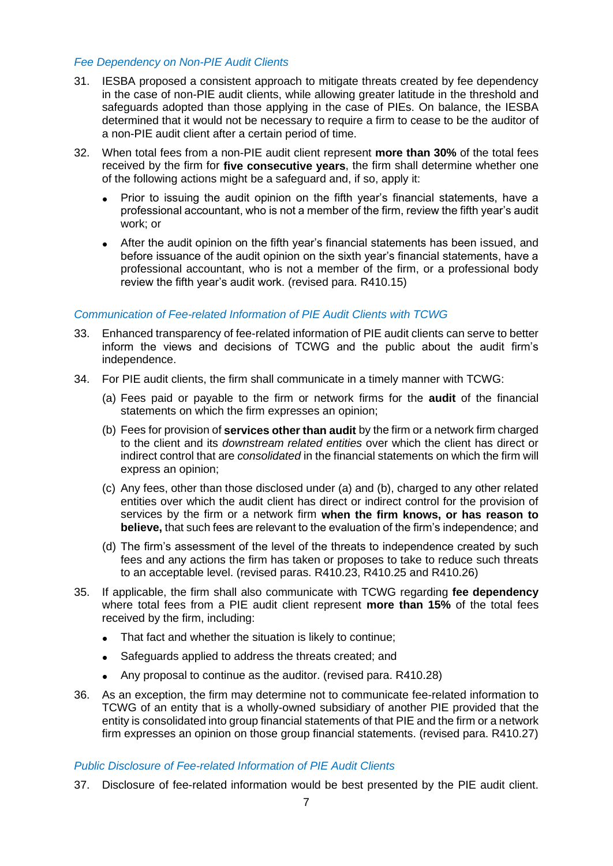#### *Fee Dependency on Non-PIE Audit Clients*

- 31. IESBA proposed a consistent approach to mitigate threats created by fee dependency in the case of non-PIE audit clients, while allowing greater latitude in the threshold and safeguards adopted than those applying in the case of PIEs. On balance, the IESBA determined that it would not be necessary to require a firm to cease to be the auditor of a non-PIE audit client after a certain period of time.
- 32. When total fees from a non-PIE audit client represent **more than 30%** of the total fees received by the firm for **five consecutive years**, the firm shall determine whether one of the following actions might be a safeguard and, if so, apply it:
	- Prior to issuing the audit opinion on the fifth year's financial statements, have a professional accountant, who is not a member of the firm, review the fifth year's audit work; or
	- After the audit opinion on the fifth year's financial statements has been issued, and before issuance of the audit opinion on the sixth year's financial statements, have a professional accountant, who is not a member of the firm, or a professional body review the fifth year's audit work. (revised para. R410.15)

#### *Communication of Fee-related Information of PIE Audit Clients with TCWG*

- 33. Enhanced transparency of fee-related information of PIE audit clients can serve to better inform the views and decisions of TCWG and the public about the audit firm's independence.
- 34. For PIE audit clients, the firm shall communicate in a timely manner with TCWG:
	- (a) Fees paid or payable to the firm or network firms for the **audit** of the financial statements on which the firm expresses an opinion;
	- (b) Fees for provision of **services other than audit** by the firm or a network firm charged to the client and its *downstream related entities* over which the client has direct or indirect control that are *consolidated* in the financial statements on which the firm will express an opinion;
	- (c) Any fees, other than those disclosed under (a) and (b), charged to any other related entities over which the audit client has direct or indirect control for the provision of services by the firm or a network firm **when the firm knows, or has reason to believe,** that such fees are relevant to the evaluation of the firm's independence; and
	- (d) The firm's assessment of the level of the threats to independence created by such fees and any actions the firm has taken or proposes to take to reduce such threats to an acceptable level. (revised paras. R410.23, R410.25 and R410.26)
- 35. If applicable, the firm shall also communicate with TCWG regarding **fee dependency** where total fees from a PIE audit client represent **more than 15%** of the total fees received by the firm, including:
	- That fact and whether the situation is likely to continue;
	- Safeguards applied to address the threats created; and
	- Any proposal to continue as the auditor. (revised para. R410.28)
- 36. As an exception, the firm may determine not to communicate fee-related information to TCWG of an entity that is a wholly-owned subsidiary of another PIE provided that the entity is consolidated into group financial statements of that PIE and the firm or a network firm expresses an opinion on those group financial statements. (revised para. R410.27)

#### *Public Disclosure of Fee-related Information of PIE Audit Clients*

37. Disclosure of fee-related information would be best presented by the PIE audit client.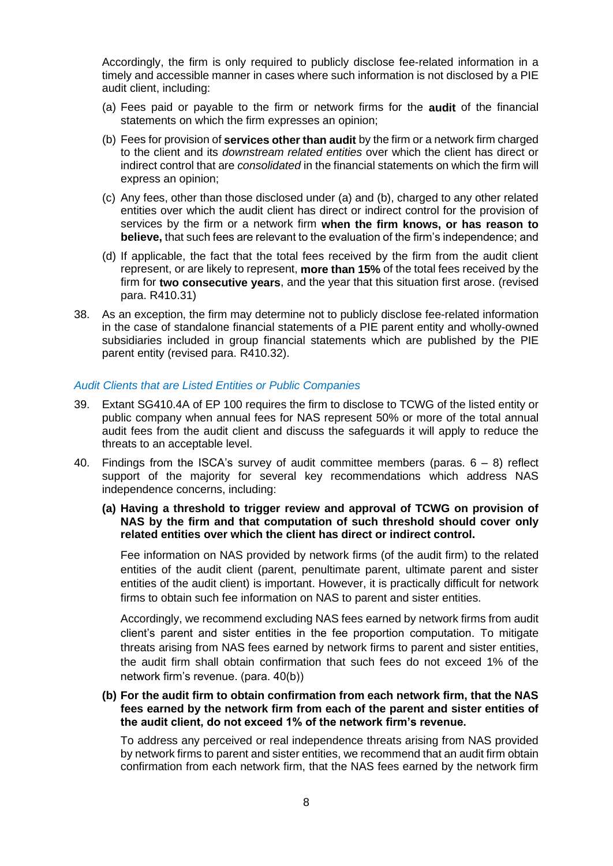Accordingly, the firm is only required to publicly disclose fee-related information in a timely and accessible manner in cases where such information is not disclosed by a PIE audit client, including:

- (a) Fees paid or payable to the firm or network firms for the **audit** of the financial statements on which the firm expresses an opinion;
- (b) Fees for provision of **services other than audit** by the firm or a network firm charged to the client and its *downstream related entities* over which the client has direct or indirect control that are *consolidated* in the financial statements on which the firm will express an opinion;
- (c) Any fees, other than those disclosed under (a) and (b), charged to any other related entities over which the audit client has direct or indirect control for the provision of services by the firm or a network firm **when the firm knows, or has reason to believe,** that such fees are relevant to the evaluation of the firm's independence; and
- (d) If applicable, the fact that the total fees received by the firm from the audit client represent, or are likely to represent, **more than 15%** of the total fees received by the firm for **two consecutive years**, and the year that this situation first arose. (revised para. R410.31)
- 38. As an exception, the firm may determine not to publicly disclose fee-related information in the case of standalone financial statements of a PIE parent entity and wholly-owned subsidiaries included in group financial statements which are published by the PIE parent entity (revised para. R410.32).

#### *Audit Clients that are Listed Entities or Public Companies*

- 39. Extant SG410.4A of EP 100 requires the firm to disclose to TCWG of the listed entity or public company when annual fees for NAS represent 50% or more of the total annual audit fees from the audit client and discuss the safeguards it will apply to reduce the threats to an acceptable level.
- 40. Findings from the ISCA's survey of audit committee members (paras.  $6 8$ ) reflect support of the majority for several key recommendations which address NAS independence concerns, including:
	- **(a) Having a threshold to trigger review and approval of TCWG on provision of NAS by the firm and that computation of such threshold should cover only related entities over which the client has direct or indirect control.**

Fee information on NAS provided by network firms (of the audit firm) to the related entities of the audit client (parent, penultimate parent, ultimate parent and sister entities of the audit client) is important. However, it is practically difficult for network firms to obtain such fee information on NAS to parent and sister entities.

Accordingly, we recommend excluding NAS fees earned by network firms from audit client's parent and sister entities in the fee proportion computation. To mitigate threats arising from NAS fees earned by network firms to parent and sister entities, the audit firm shall obtain confirmation that such fees do not exceed 1% of the network firm's revenue. (para. 40(b))

#### **(b) For the audit firm to obtain confirmation from each network firm, that the NAS fees earned by the network firm from each of the parent and sister entities of the audit client, do not exceed 1% of the network firm's revenue.**

To address any perceived or real independence threats arising from NAS provided by network firms to parent and sister entities, we recommend that an audit firm obtain confirmation from each network firm, that the NAS fees earned by the network firm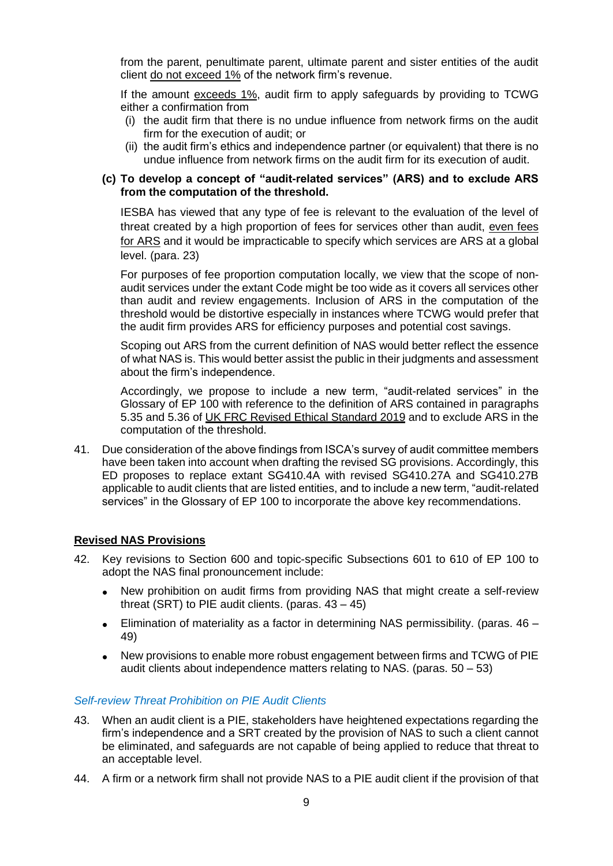from the parent, penultimate parent, ultimate parent and sister entities of the audit client do not exceed 1% of the network firm's revenue.

If the amount exceeds 1%, audit firm to apply safeguards by providing to TCWG either a confirmation from

- (i) the audit firm that there is no undue influence from network firms on the audit firm for the execution of audit; or
- (ii) the audit firm's ethics and independence partner (or equivalent) that there is no undue influence from network firms on the audit firm for its execution of audit.

#### **(c) To develop a concept of "audit-related services" (ARS) and to exclude ARS from the computation of the threshold.**

IESBA has viewed that any type of fee is relevant to the evaluation of the level of threat created by a high proportion of fees for services other than audit, even fees for ARS and it would be impracticable to specify which services are ARS at a global level. (para. 23)

For purposes of fee proportion computation locally, we view that the scope of nonaudit services under the extant Code might be too wide as it covers all services other than audit and review engagements. Inclusion of ARS in the computation of the threshold would be distortive especially in instances where TCWG would prefer that the audit firm provides ARS for efficiency purposes and potential cost savings.

Scoping out ARS from the current definition of NAS would better reflect the essence of what NAS is. This would better assist the public in their judgments and assessment about the firm's independence.

Accordingly, we propose to include a new term, "audit-related services" in the Glossary of EP 100 with reference to the definition of ARS contained in paragraphs 5.35 and 5.36 of [UK FRC Revised Ethical Standard 2019](https://www.frc.org.uk/getattachment/601c8b09-2c0a-4a6c-8080-30f63e50b4a2/Revised-Ethical-Standard-2019-With-Covers.pdf) and to exclude ARS in the computation of the threshold.

41. Due consideration of the above findings from ISCA's survey of audit committee members have been taken into account when drafting the revised SG provisions. Accordingly, this ED proposes to replace extant SG410.4A with revised SG410.27A and SG410.27B applicable to audit clients that are listed entities, and to include a new term, "audit-related services" in the Glossary of EP 100 to incorporate the above key recommendations.

#### **Revised NAS Provisions**

- 42. Key revisions to Section 600 and topic-specific Subsections 601 to 610 of EP 100 to adopt the NAS final pronouncement include:
	- New prohibition on audit firms from providing NAS that might create a self-review threat (SRT) to PIE audit clients. (paras.  $43 - 45$ )
	- Elimination of materiality as a factor in determining NAS permissibility. (paras.  $46 -$ 49)
	- New provisions to enable more robust engagement between firms and TCWG of PIE audit clients about independence matters relating to NAS. (paras.  $50 - 53$ )

#### *Self-review Threat Prohibition on PIE Audit Clients*

- 43. When an audit client is a PIE, stakeholders have heightened expectations regarding the firm's independence and a SRT created by the provision of NAS to such a client cannot be eliminated, and safeguards are not capable of being applied to reduce that threat to an acceptable level.
- 44. A firm or a network firm shall not provide NAS to a PIE audit client if the provision of that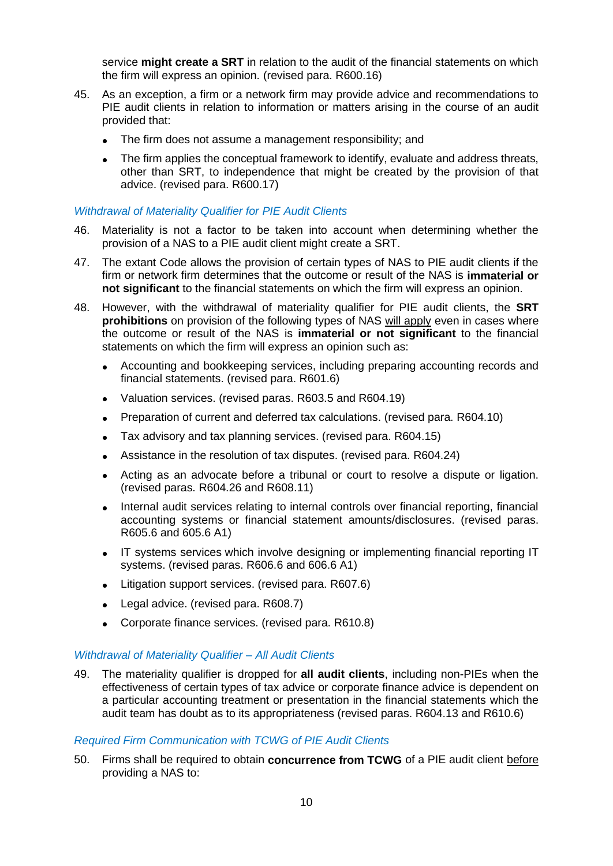service **might create a SRT** in relation to the audit of the financial statements on which the firm will express an opinion. (revised para. R600.16)

- 45. As an exception, a firm or a network firm may provide advice and recommendations to PIE audit clients in relation to information or matters arising in the course of an audit provided that:
	- The firm does not assume a management responsibility; and
	- The firm applies the conceptual framework to identify, evaluate and address threats, other than SRT, to independence that might be created by the provision of that advice. (revised para. R600.17)

#### *Withdrawal of Materiality Qualifier for PIE Audit Clients*

- 46. Materiality is not a factor to be taken into account when determining whether the provision of a NAS to a PIE audit client might create a SRT.
- 47. The extant Code allows the provision of certain types of NAS to PIE audit clients if the firm or network firm determines that the outcome or result of the NAS is **immaterial or not significant** to the financial statements on which the firm will express an opinion.
- 48. However, with the withdrawal of materiality qualifier for PIE audit clients, the **SRT prohibitions** on provision of the following types of NAS will apply even in cases where the outcome or result of the NAS is **immaterial or not significant** to the financial statements on which the firm will express an opinion such as:
	- Accounting and bookkeeping services, including preparing accounting records and financial statements. (revised para. R601.6)
	- Valuation services. (revised paras. R603.5 and R604.19)
	- Preparation of current and deferred tax calculations. (revised para. R604.10)
	- Tax advisory and tax planning services. (revised para. R604.15)
	- Assistance in the resolution of tax disputes. (revised para. R604.24)
	- Acting as an advocate before a tribunal or court to resolve a dispute or ligation. (revised paras. R604.26 and R608.11)
	- Internal audit services relating to internal controls over financial reporting, financial accounting systems or financial statement amounts/disclosures. (revised paras. R605.6 and 605.6 A1)
	- IT systems services which involve designing or implementing financial reporting IT systems. (revised paras. R606.6 and 606.6 A1)
	- Litigation support services. (revised para. R607.6)
	- Legal advice. (revised para. R608.7)
	- Corporate finance services. (revised para. R610.8)

#### *Withdrawal of Materiality Qualifier – All Audit Clients*

49. The materiality qualifier is dropped for **all audit clients**, including non-PIEs when the effectiveness of certain types of tax advice or corporate finance advice is dependent on a particular accounting treatment or presentation in the financial statements which the audit team has doubt as to its appropriateness (revised paras. R604.13 and R610.6)

#### *Required Firm Communication with TCWG of PIE Audit Clients*

50. Firms shall be required to obtain **concurrence from TCWG** of a PIE audit client before providing a NAS to: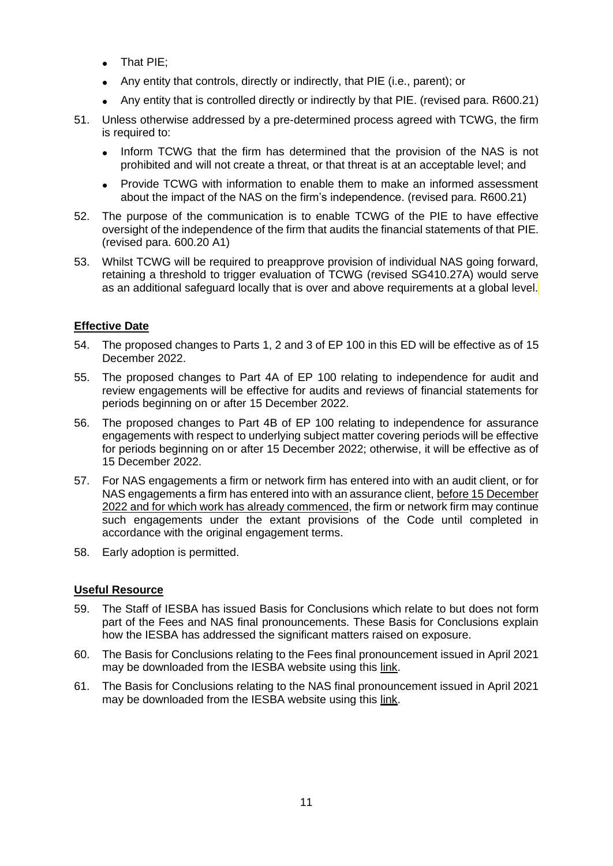- That PIE;
- Any entity that controls, directly or indirectly, that PIE (i.e., parent); or
- Any entity that is controlled directly or indirectly by that PIE. (revised para. R600.21)
- 51. Unless otherwise addressed by a pre-determined process agreed with TCWG, the firm is required to:
	- Inform TCWG that the firm has determined that the provision of the NAS is not prohibited and will not create a threat, or that threat is at an acceptable level; and
	- Provide TCWG with information to enable them to make an informed assessment about the impact of the NAS on the firm's independence. (revised para. R600.21)
- 52. The purpose of the communication is to enable TCWG of the PIE to have effective oversight of the independence of the firm that audits the financial statements of that PIE. (revised para. 600.20 A1)
- 53. Whilst TCWG will be required to preapprove provision of individual NAS going forward, retaining a threshold to trigger evaluation of TCWG (revised SG410.27A) would serve as an additional safeguard locally that is over and above requirements at a global level.

#### **Effective Date**

- 54. The proposed changes to Parts 1, 2 and 3 of EP 100 in this ED will be effective as of 15 December 2022.
- 55. The proposed changes to Part 4A of EP 100 relating to independence for audit and review engagements will be effective for audits and reviews of financial statements for periods beginning on or after 15 December 2022.
- 56. The proposed changes to Part 4B of EP 100 relating to independence for assurance engagements with respect to underlying subject matter covering periods will be effective for periods beginning on or after 15 December 2022; otherwise, it will be effective as of 15 December 2022.
- 57. For NAS engagements a firm or network firm has entered into with an audit client, or for NAS engagements a firm has entered into with an assurance client, before 15 December 2022 and for which work has already commenced, the firm or network firm may continue such engagements under the extant provisions of the Code until completed in accordance with the original engagement terms.
- 58. Early adoption is permitted.

#### **Useful Resource**

- 59. The Staff of IESBA has issued Basis for Conclusions which relate to but does not form part of the Fees and NAS final pronouncements. These Basis for Conclusions explain how the IESBA has addressed the significant matters raised on exposure.
- 60. The Basis for Conclusions relating to the Fees final pronouncement issued in April 2021 may be downloaded from the IESBA website using this [link.](https://www.ethicsboard.org/publications/final-pronouncement-revisions-fee-related-provisions-code)
- 61. The Basis for Conclusions relating to the NAS final pronouncement issued in April 2021 may be downloaded from the IESBA website using this [link.](https://www.ethicsboard.org/publications/final-pronouncement-revisions-non-assurance-service-provisions-code)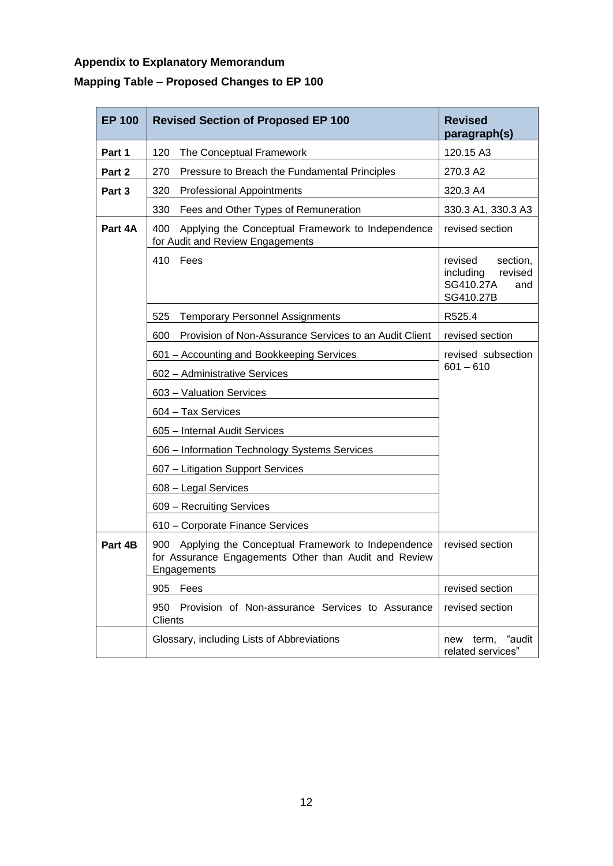# **Appendix to Explanatory Memorandum Mapping Table – Proposed Changes to EP 100**

| <b>EP 100</b> | <b>Revised Section of Proposed EP 100</b>                                                                                        | <b>Revised</b><br>paragraph(s)                                               |  |
|---------------|----------------------------------------------------------------------------------------------------------------------------------|------------------------------------------------------------------------------|--|
| Part 1        | 120<br>The Conceptual Framework                                                                                                  | 120.15 A3                                                                    |  |
| Part 2        | Pressure to Breach the Fundamental Principles<br>270                                                                             | 270.3 A2                                                                     |  |
| Part 3        | 320<br><b>Professional Appointments</b>                                                                                          | 320.3 A4                                                                     |  |
|               | 330<br>Fees and Other Types of Remuneration                                                                                      | 330.3 A1, 330.3 A3                                                           |  |
| Part 4A       | Applying the Conceptual Framework to Independence<br>400<br>for Audit and Review Engagements                                     | revised section                                                              |  |
|               | 410 Fees                                                                                                                         | revised<br>section,<br>including<br>revised<br>SG410.27A<br>and<br>SG410.27B |  |
|               | <b>Temporary Personnel Assignments</b><br>525                                                                                    | R525.4                                                                       |  |
|               | Provision of Non-Assurance Services to an Audit Client<br>600                                                                    | revised section                                                              |  |
|               | 601 - Accounting and Bookkeeping Services                                                                                        | revised subsection                                                           |  |
|               | 602 - Administrative Services                                                                                                    | $601 - 610$                                                                  |  |
|               | 603 - Valuation Services                                                                                                         |                                                                              |  |
|               | 604 - Tax Services                                                                                                               |                                                                              |  |
|               | 605 - Internal Audit Services                                                                                                    |                                                                              |  |
|               | 606 - Information Technology Systems Services                                                                                    |                                                                              |  |
|               | 607 - Litigation Support Services                                                                                                |                                                                              |  |
|               | 608 - Legal Services                                                                                                             |                                                                              |  |
|               | 609 - Recruiting Services                                                                                                        |                                                                              |  |
|               | 610 - Corporate Finance Services                                                                                                 |                                                                              |  |
| Part 4B       | Applying the Conceptual Framework to Independence<br>900<br>for Assurance Engagements Other than Audit and Review<br>Engagements | revised section                                                              |  |
|               | 905<br>Fees                                                                                                                      | revised section                                                              |  |
|               | Provision of Non-assurance Services to Assurance<br>950<br>Clients                                                               | revised section                                                              |  |
|               | Glossary, including Lists of Abbreviations                                                                                       | term, "audit<br>new<br>related services"                                     |  |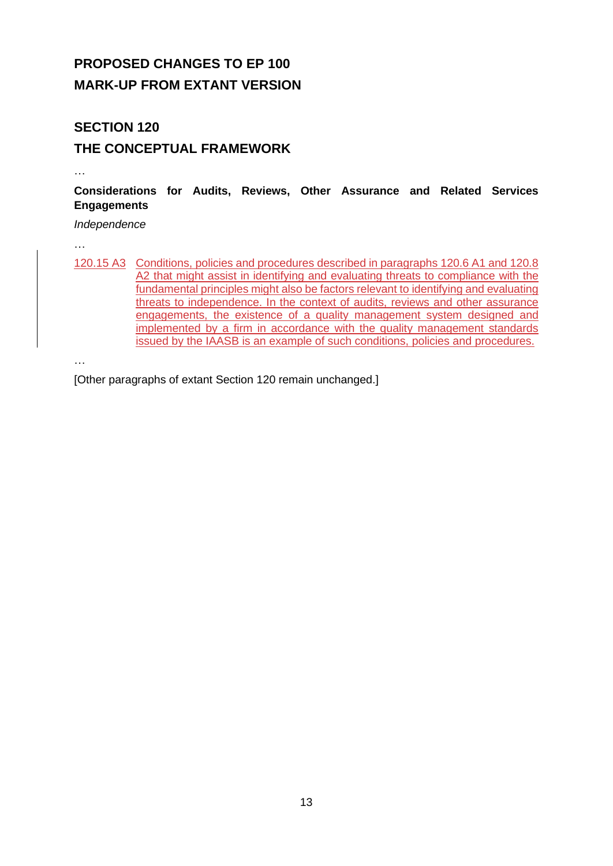# **PROPOSED CHANGES TO EP 100 MARK-UP FROM EXTANT VERSION**

# **SECTION 120 THE CONCEPTUAL FRAMEWORK**

…

**Considerations for Audits, Reviews, Other Assurance and Related Services Engagements** 

*Independence*

…

120.15 A3 Conditions, policies and procedures described in paragraphs 120.6 A1 and 120.8 A2 that might assist in identifying and evaluating threats to compliance with the fundamental principles might also be factors relevant to identifying and evaluating threats to independence. In the context of audits, reviews and other assurance engagements, the existence of a quality management system designed and implemented by a firm in accordance with the quality management standards issued by the IAASB is an example of such conditions, policies and procedures.

…

[Other paragraphs of extant Section 120 remain unchanged.]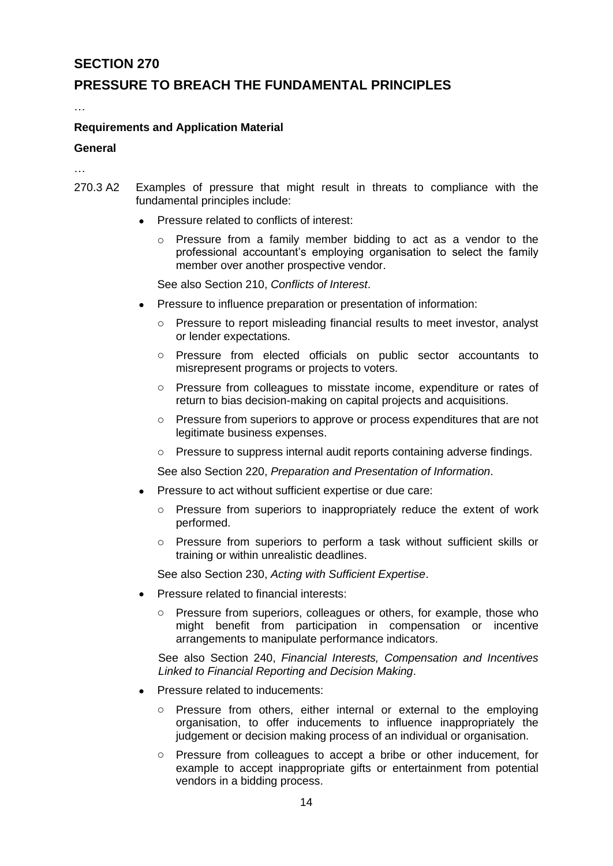### **PRESSURE TO BREACH THE FUNDAMENTAL PRINCIPLES**

…

#### **Requirements and Application Material**

#### **General**

…

- 270.3 A2 Examples of pressure that might result in threats to compliance with the fundamental principles include:
	- Pressure related to conflicts of interest:
		- $\circ$  Pressure from a family member bidding to act as a vendor to the professional accountant's employing organisation to select the family member over another prospective vendor.

See also Section 210, *Conflicts of Interest*.

- Pressure to influence preparation or presentation of information:
	- o Pressure to report misleading financial results to meet investor, analyst or lender expectations.
	- o Pressure from elected officials on public sector accountants to misrepresent programs or projects to voters.
	- o Pressure from colleagues to misstate income, expenditure or rates of return to bias decision-making on capital projects and acquisitions.
	- o Pressure from superiors to approve or process expenditures that are not legitimate business expenses.
	- o Pressure to suppress internal audit reports containing adverse findings.

See also Section 220, *Preparation and Presentation of Information*.

- Pressure to act without sufficient expertise or due care:
	- o Pressure from superiors to inappropriately reduce the extent of work performed.
	- o Pressure from superiors to perform a task without sufficient skills or training or within unrealistic deadlines.

See also Section 230, *Acting with Sufficient Expertise*.

- Pressure related to financial interests:
	- o Pressure from superiors, colleagues or others, for example, those who might benefit from participation in compensation or incentive arrangements to manipulate performance indicators.

See also Section 240, *Financial Interests, Compensation and Incentives Linked to Financial Reporting and Decision Making*.

- Pressure related to inducements:
	- o Pressure from others, either internal or external to the employing organisation, to offer inducements to influence inappropriately the judgement or decision making process of an individual or organisation.
	- o Pressure from colleagues to accept a bribe or other inducement, for example to accept inappropriate gifts or entertainment from potential vendors in a bidding process.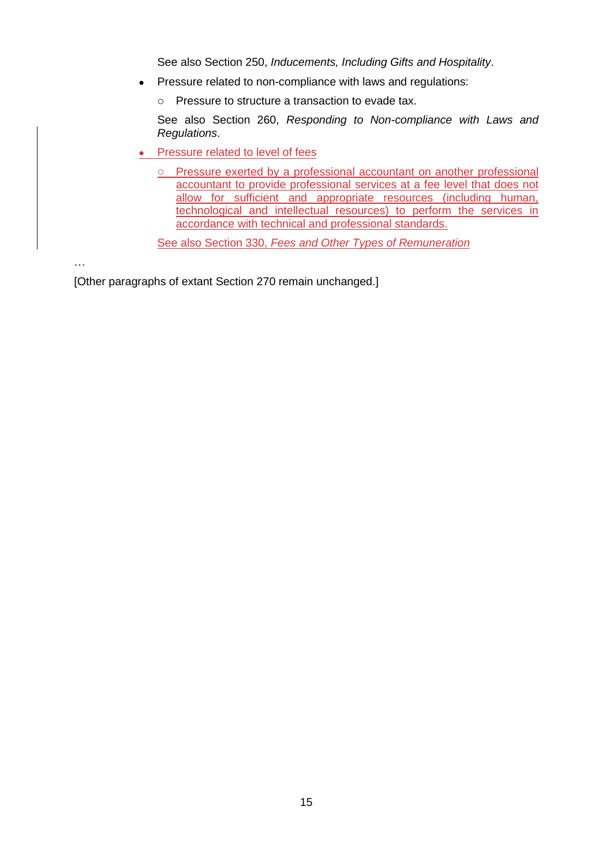See also Section 250, *Inducements, Including Gifts and Hospitality*.

- Pressure related to non-compliance with laws and regulations:
	- o Pressure to structure a transaction to evade tax.

See also Section 260, *Responding to Non-compliance with Laws and Regulations*.

- Pressure related to level of fees
	- o Pressure exerted by a professional accountant on another professional accountant to provide professional services at a fee level that does not allow for sufficient and appropriate resources (including human, technological and intellectual resources) to perform the services in accordance with technical and professional standards.

See also Section 330, *Fees and Other Types of Remuneration*

…

[Other paragraphs of extant Section 270 remain unchanged.]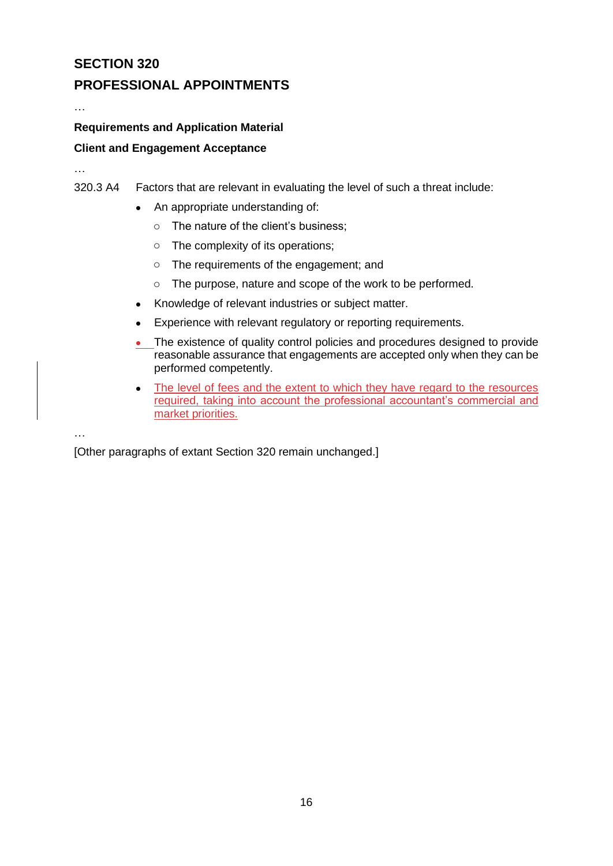## **PROFESSIONAL APPOINTMENTS**

# **Requirements and Application Material**

#### **Client and Engagement Acceptance**

…

…

- 320.3 A4 Factors that are relevant in evaluating the level of such a threat include:
	- An appropriate understanding of:
		- o The nature of the client's business;
		- o The complexity of its operations;
		- o The requirements of the engagement; and
		- o The purpose, nature and scope of the work to be performed.
	- Knowledge of relevant industries or subject matter.
	- Experience with relevant regulatory or reporting requirements.
	- The existence of quality control policies and procedures designed to provide reasonable assurance that engagements are accepted only when they can be performed competently.
	- The level of fees and the extent to which they have regard to the resources required, taking into account the professional accountant's commercial and market priorities.

…

[Other paragraphs of extant Section 320 remain unchanged.]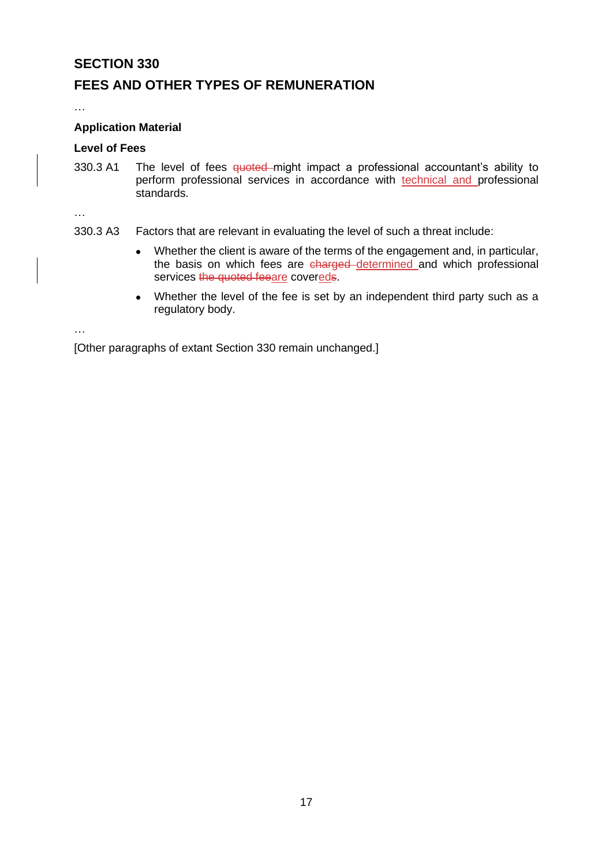### **FEES AND OTHER TYPES OF REMUNERATION**

…

#### **Application Material**

#### **Level of Fees**

330.3 A1 The level of fees quoted might impact a professional accountant's ability to perform professional services in accordance with technical and professional standards.

…

- 330.3 A3 Factors that are relevant in evaluating the level of such a threat include:
	- Whether the client is aware of the terms of the engagement and, in particular, the basis on which fees are charged determined and which professional services the quoted feeare covereds.
	- Whether the level of the fee is set by an independent third party such as a regulatory body.

…

[Other paragraphs of extant Section 330 remain unchanged.]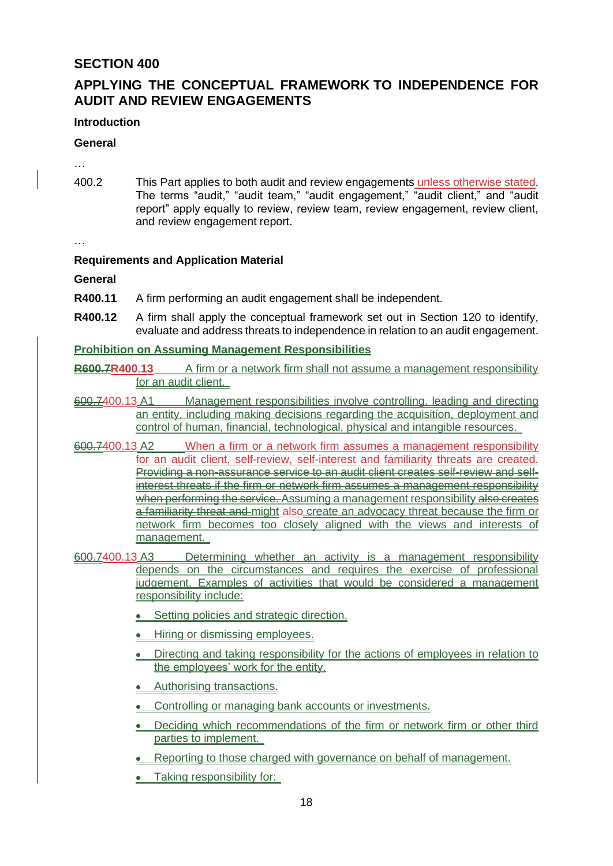# **APPLYING THE CONCEPTUAL FRAMEWORK TO INDEPENDENCE FOR AUDIT AND REVIEW ENGAGEMENTS**

#### **Introduction**

#### **General**

…

400.2 This Part applies to both audit and review engagements unless otherwise stated. The terms "audit," "audit team," "audit engagement," "audit client," and "audit report" apply equally to review, review team, review engagement, review client, and review engagement report.

…

#### **Requirements and Application Material**

**General**

- **R400.11** A firm performing an audit engagement shall be independent.
- **R400.12** A firm shall apply the conceptual framework set out in Section 120 to identify, evaluate and address threats to independence in relation to an audit engagement.

**Prohibition on Assuming Management Responsibilities**

**R600.7R400.13** A firm or a network firm shall not assume a management responsibility for an audit client.

- 600.7400.13 A1 Management responsibilities involve controlling, leading and directing an entity, including making decisions regarding the acquisition, deployment and control of human, financial, technological, physical and intangible resources.
- 600.7400.13 A2 When a firm or a network firm assumes a management responsibility for an audit client, self-review, self-interest and familiarity threats are created. Providing a non-assurance service to an audit client creates self-review and selfinterest threats if the firm or network firm assumes a management responsibility when performing the service. Assuming a management responsibility also creates a familiarity threat and might also create an advocacy threat because the firm or network firm becomes too closely aligned with the views and interests of management.
- 600.7400.13 A3 Determining whether an activity is a management responsibility depends on the circumstances and requires the exercise of professional judgement. Examples of activities that would be considered a management responsibility include:
	- Setting policies and strategic direction.
	- Hiring or dismissing employees.
	- Directing and taking responsibility for the actions of emplovees in relation to the employees' work for the entity.
	- Authorising transactions.
	- Controlling or managing bank accounts or investments.
	- Deciding which recommendations of the firm or network firm or other third parties to implement.
	- Reporting to those charged with governance on behalf of management.
	- Taking responsibility for: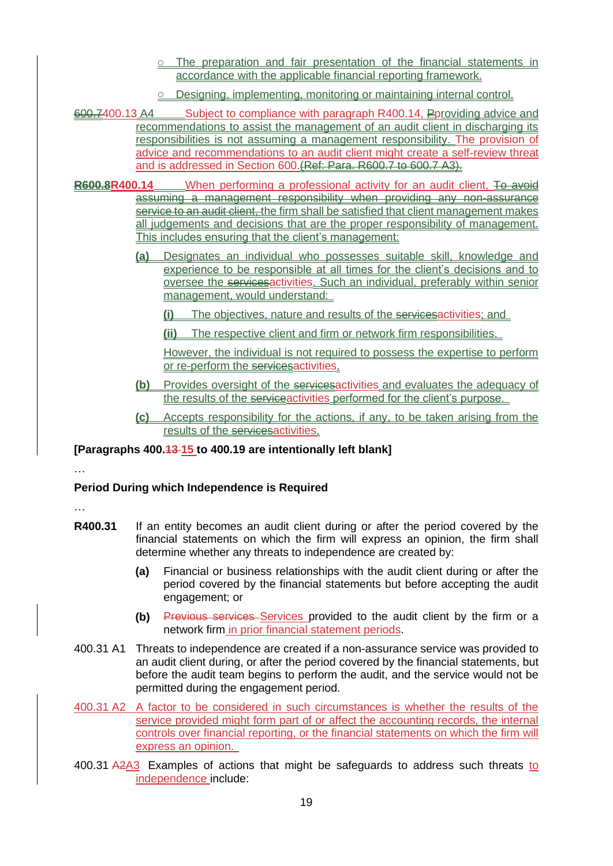- o The preparation and fair presentation of the financial statements in accordance with the applicable financial reporting framework.
- o Designing, implementing, monitoring or maintaining internal control.
- 600.7400.13 A4 Subject to compliance with paragraph R400.14, Pproviding advice and recommendations to assist the management of an audit client in discharging its responsibilities is not assuming a management responsibility. The provision of advice and recommendations to an audit client might create a self-review threat and is addressed in Section 600.(Ref: Para. R600.7 to 600.7 A3).
- **R600.8R400.14** When performing a professional activity for an audit client, To avoid assuming a management responsibility when providing any non-assurance service to an audit client, the firm shall be satisfied that client management makes all judgements and decisions that are the proper responsibility of management. This includes ensuring that the client's management:
	- **(a)** Designates an individual who possesses suitable skill, knowledge and experience to be responsible at all times for the client's decisions and to oversee the servicesactivities. Such an individual, preferably within senior management, would understand:
		- The objectives, nature and results of the servicesactivities; and
		- **(ii)** The respective client and firm or network firm responsibilities.

However, the individual is not required to possess the expertise to perform or re-perform the services activities.

- **(b)** Provides oversight of the servicesactivities and evaluates the adequacy of the results of the serviceactivities performed for the client's purpose.
- **(c)** Accepts responsibility for the actions, if any, to be taken arising from the results of the servicesactivities.

**[Paragraphs 400.13 15 to 400.19 are intentionally left blank]**

#### **Period During which Independence is Required**

…

…

- **R400.31** If an entity becomes an audit client during or after the period covered by the financial statements on which the firm will express an opinion, the firm shall determine whether any threats to independence are created by:
	- **(a)** Financial or business relationships with the audit client during or after the period covered by the financial statements but before accepting the audit engagement; or
	- **(b)** Previous services Services provided to the audit client by the firm or a network firm in prior financial statement periods.
- 400.31 A1 Threats to independence are created if a non-assurance service was provided to an audit client during, or after the period covered by the financial statements, but before the audit team begins to perform the audit, and the service would not be permitted during the engagement period.
- 400.31 A2 A factor to be considered in such circumstances is whether the results of the service provided might form part of or affect the accounting records, the internal controls over financial reporting, or the financial statements on which the firm will express an opinion.
- 400.31 A2A3 Examples of actions that might be safeguards to address such threats to independence include: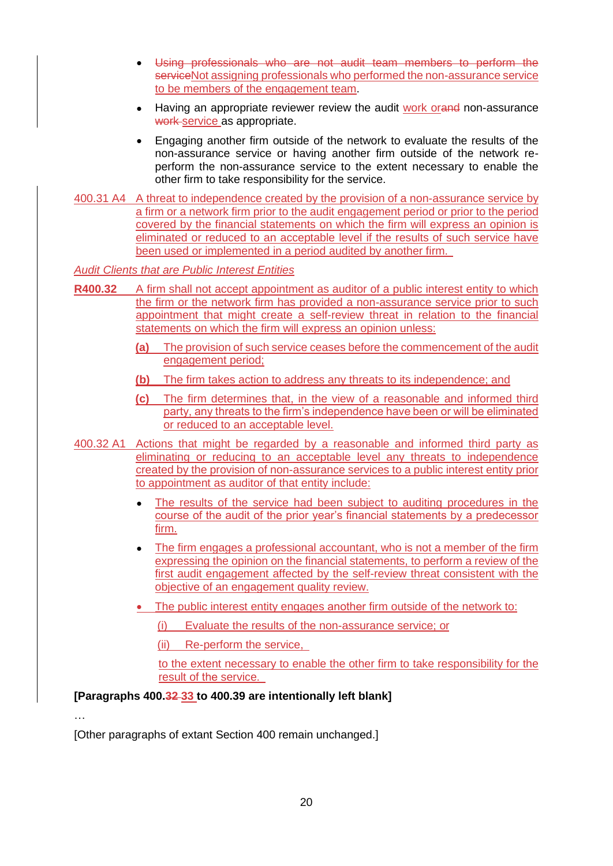- Using professionals who are not audit team members to perform the serviceNot assigning professionals who performed the non-assurance service to be members of the engagement team.
- Having an appropriate reviewer review the audit work orand non-assurance work service as appropriate.
- Engaging another firm outside of the network to evaluate the results of the non-assurance service or having another firm outside of the network reperform the non-assurance service to the extent necessary to enable the other firm to take responsibility for the service.
- 400.31 A4 A threat to independence created by the provision of a non-assurance service by a firm or a network firm prior to the audit engagement period or prior to the period covered by the financial statements on which the firm will express an opinion is eliminated or reduced to an acceptable level if the results of such service have been used or implemented in a period audited by another firm.

#### *Audit Clients that are Public Interest Entities*

- **R400.32** A firm shall not accept appointment as auditor of a public interest entity to which the firm or the network firm has provided a non-assurance service prior to such appointment that might create a self-review threat in relation to the financial statements on which the firm will express an opinion unless:
	- **(a)** The provision of such service ceases before the commencement of the audit engagement period;
	- **(b)** The firm takes action to address any threats to its independence; and
	- **(c)** The firm determines that, in the view of a reasonable and informed third party, any threats to the firm's independence have been or will be eliminated or reduced to an acceptable level.
- 400.32 A1 Actions that might be regarded by a reasonable and informed third party as eliminating or reducing to an acceptable level any threats to independence created by the provision of non-assurance services to a public interest entity prior to appointment as auditor of that entity include:
	- The results of the service had been subject to auditing procedures in the course of the audit of the prior year's financial statements by a predecessor firm.
	- The firm engages a professional accountant, who is not a member of the firm expressing the opinion on the financial statements, to perform a review of the first audit engagement affected by the self-review threat consistent with the objective of an engagement quality review.
	- The public interest entity engages another firm outside of the network to:
		- (i) Evaluate the results of the non-assurance service; or
		- (ii) Re-perform the service,

to the extent necessary to enable the other firm to take responsibility for the result of the service.

#### **[Paragraphs 400.32 33 to 400.39 are intentionally left blank]**

…

[Other paragraphs of extant Section 400 remain unchanged.]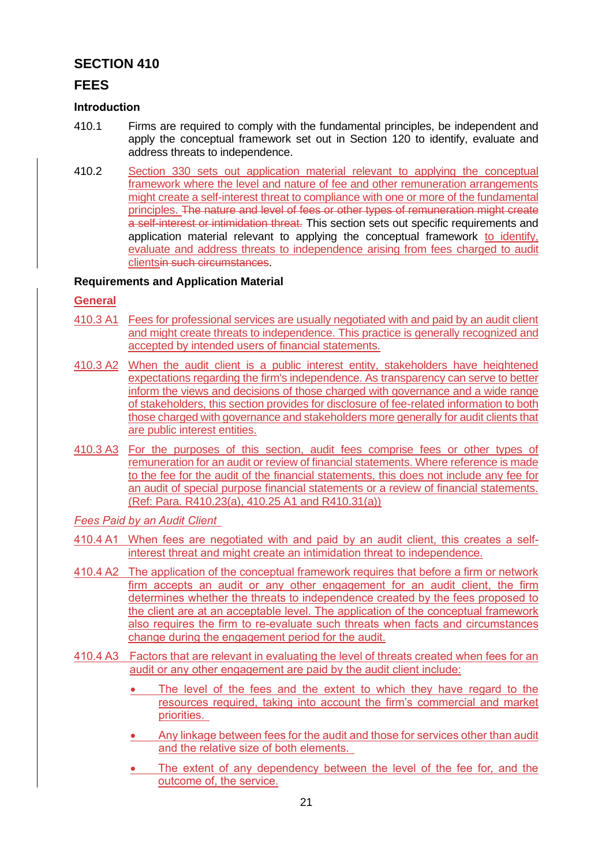### **FEES**

#### **Introduction**

- 410.1 Firms are required to comply with the fundamental principles, be independent and apply the conceptual framework set out in Section 120 to identify, evaluate and address threats to independence.
- 410.2 Section 330 sets out application material relevant to applying the conceptual framework where the level and nature of fee and other remuneration arrangements might create a self-interest threat to compliance with one or more of the fundamental principles. The nature and level of fees or other types of remuneration might create a self-interest or intimidation threat. This section sets out specific requirements and application material relevant to applying the conceptual framework to identify, evaluate and address threats to independence arising from fees charged to audit clientsin such circumstances.

#### **Requirements and Application Material**

#### **General**

- 410.3 A1 Fees for professional services are usually negotiated with and paid by an audit client and might create threats to independence. This practice is generally recognized and accepted by intended users of financial statements.
- 410.3 A2 When the audit client is a public interest entity, stakeholders have heightened expectations regarding the firm's independence. As transparency can serve to better inform the views and decisions of those charged with governance and a wide range of stakeholders, this section provides for disclosure of fee-related information to both those charged with governance and stakeholders more generally for audit clients that are public interest entities.
- 410.3 A3 For the purposes of this section, audit fees comprise fees or other types of remuneration for an audit or review of financial statements. Where reference is made to the fee for the audit of the financial statements, this does not include any fee for an audit of special purpose financial statements or a review of financial statements. (Ref: Para. R410.23(a), 410.25 A1 and R410.31(a))
- *Fees Paid by an Audit Client*
- 410.4 A1 When fees are negotiated with and paid by an audit client, this creates a selfinterest threat and might create an intimidation threat to independence.
- 410.4 A2 The application of the conceptual framework requires that before a firm or network firm accepts an audit or any other engagement for an audit client, the firm determines whether the threats to independence created by the fees proposed to the client are at an acceptable level. The application of the conceptual framework also requires the firm to re-evaluate such threats when facts and circumstances change during the engagement period for the audit.
- 410.4 A3 Factors that are relevant in evaluating the level of threats created when fees for an audit or any other engagement are paid by the audit client include:
	- The level of the fees and the extent to which they have regard to the resources required, taking into account the firm's commercial and market priorities.
	- Any linkage between fees for the audit and those for services other than audit and the relative size of both elements.
	- The extent of any dependency between the level of the fee for, and the outcome of, the service.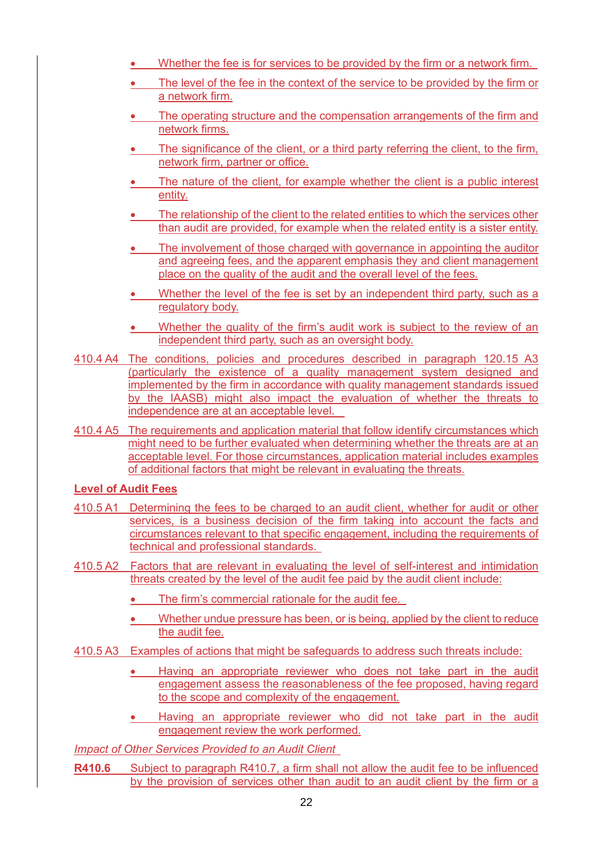- Whether the fee is for services to be provided by the firm or a network firm.
- The level of the fee in the context of the service to be provided by the firm or a network firm.
- The operating structure and the compensation arrangements of the firm and network firms.
- The significance of the client, or a third party referring the client, to the firm, network firm, partner or office.
- The nature of the client, for example whether the client is a public interest entity.
- The relationship of the client to the related entities to which the services other than audit are provided, for example when the related entity is a sister entity.
- The involvement of those charged with governance in appointing the auditor and agreeing fees, and the apparent emphasis they and client management place on the quality of the audit and the overall level of the fees.
- Whether the level of the fee is set by an independent third party, such as a regulatory body.
- Whether the quality of the firm's audit work is subject to the review of an independent third party, such as an oversight body.
- 410.4 A4 The conditions, policies and procedures described in paragraph 120.15 A3 (particularly the existence of a quality management system designed and implemented by the firm in accordance with quality management standards issued by the IAASB) might also impact the evaluation of whether the threats to independence are at an acceptable level.
- 410.4 A5 The requirements and application material that follow identify circumstances which might need to be further evaluated when determining whether the threats are at an acceptable level. For those circumstances, application material includes examples of additional factors that might be relevant in evaluating the threats.

#### **Level of Audit Fees**

- 410.5 A1 Determining the fees to be charged to an audit client, whether for audit or other services, is a business decision of the firm taking into account the facts and circumstances relevant to that specific engagement, including the requirements of technical and professional standards.
- 410.5 A2 Factors that are relevant in evaluating the level of self-interest and intimidation threats created by the level of the audit fee paid by the audit client include:
	- The firm's commercial rationale for the audit fee.
	- Whether undue pressure has been, or is being, applied by the client to reduce the audit fee.
- 410.5 A3 Examples of actions that might be safeguards to address such threats include:
	- Having an appropriate reviewer who does not take part in the audit engagement assess the reasonableness of the fee proposed, having regard to the scope and complexity of the engagement.
	- Having an appropriate reviewer who did not take part in the audit engagement review the work performed.

*Impact of Other Services Provided to an Audit Client* 

**R410.6** Subject to paragraph R410.7, a firm shall not allow the audit fee to be influenced by the provision of services other than audit to an audit client by the firm or a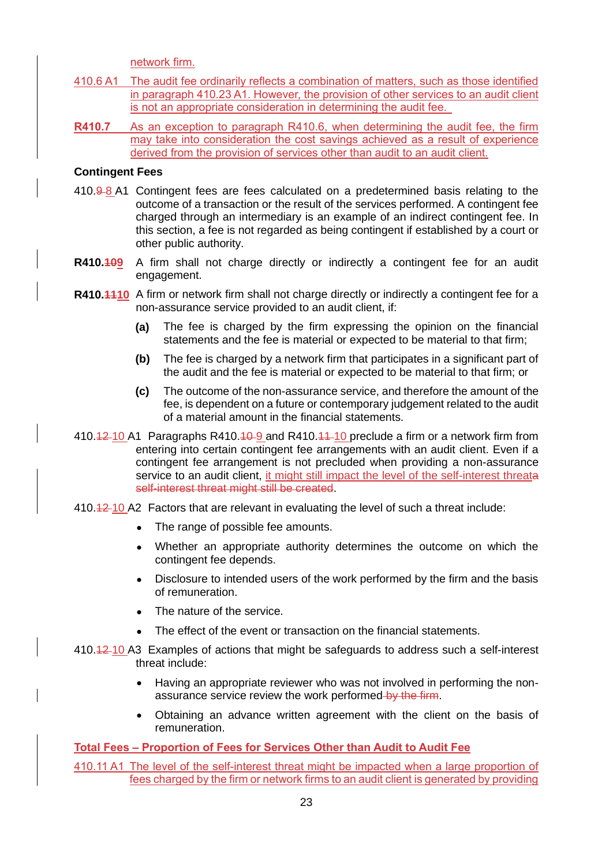network firm.

- 410.6 A1 The audit fee ordinarily reflects a combination of matters, such as those identified in paragraph 410.23 A1. However, the provision of other services to an audit client is not an appropriate consideration in determining the audit fee.
- **R410.7** As an exception to paragraph R410.6, when determining the audit fee, the firm may take into consideration the cost savings achieved as a result of experience derived from the provision of services other than audit to an audit client.

#### **Contingent Fees**

- $410.9 8$  A1 Contingent fees are fees calculated on a predetermined basis relating to the outcome of a transaction or the result of the services performed. A contingent fee charged through an intermediary is an example of an indirect contingent fee. In this section, a fee is not regarded as being contingent if established by a court or other public authority.
- **R410.409** A firm shall not charge directly or indirectly a contingent fee for an audit engagement.
- **R410.4410** A firm or network firm shall not charge directly or indirectly a contingent fee for a non-assurance service provided to an audit client, if:
	- **(a)** The fee is charged by the firm expressing the opinion on the financial statements and the fee is material or expected to be material to that firm;
	- **(b)** The fee is charged by a network firm that participates in a significant part of the audit and the fee is material or expected to be material to that firm; or
	- **(c)** The outcome of the non-assurance service, and therefore the amount of the fee, is dependent on a future or contemporary judgement related to the audit of a material amount in the financial statements.
- 410.42 10 A1 Paragraphs R410.4 9 and R410.4  $+$  10 preclude a firm or a network firm from entering into certain contingent fee arrangements with an audit client. Even if a contingent fee arrangement is not precluded when providing a non-assurance service to an audit client, it might still impact the level of the self-interest threata self-interest threat might still be created.
- 410.12 10 A2 Factors that are relevant in evaluating the level of such a threat include:
	- The range of possible fee amounts.
	- Whether an appropriate authority determines the outcome on which the contingent fee depends.
	- Disclosure to intended users of the work performed by the firm and the basis of remuneration.
	- The nature of the service.
	- The effect of the event or transaction on the financial statements.
- 410.12 10 A3 Examples of actions that might be safeguards to address such a self-interest threat include:
	- Having an appropriate reviewer who was not involved in performing the nonassurance service review the work performed by the firm.
	- Obtaining an advance written agreement with the client on the basis of remuneration.

#### **Total Fees – Proportion of Fees for Services Other than Audit to Audit Fee**

410.11 A1 The level of the self-interest threat might be impacted when a large proportion of fees charged by the firm or network firms to an audit client is generated by providing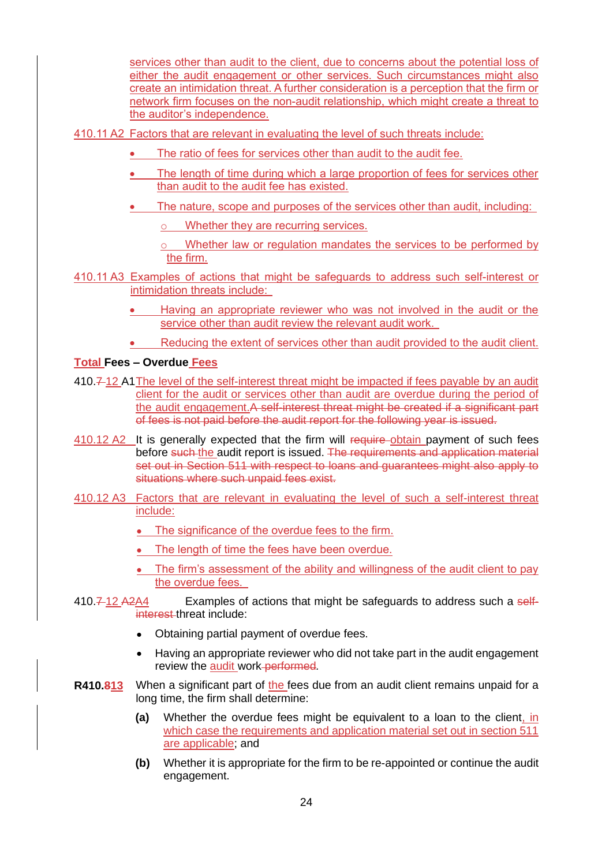services other than audit to the client, due to concerns about the potential loss of either the audit engagement or other services. Such circumstances might also create an intimidation threat. A further consideration is a perception that the firm or network firm focuses on the non-audit relationship, which might create a threat to the auditor's independence.

410.11 A2 Factors that are relevant in evaluating the level of such threats include:

- The ratio of fees for services other than audit to the audit fee.
- The length of time during which a large proportion of fees for services other than audit to the audit fee has existed.
- The nature, scope and purposes of the services other than audit, including:
	- Whether they are recurring services.
	- Whether law or regulation mandates the services to be performed by the firm.
- 410.11 A3 Examples of actions that might be safeguards to address such self-interest or intimidation threats include:
	- Having an appropriate reviewer who was not involved in the audit or the service other than audit review the relevant audit work.
	- Reducing the extent of services other than audit provided to the audit client.

#### **Total Fees – Overdue Fees**

- 410.7 12 A1The level of the self-interest threat might be impacted if fees payable by an audit client for the audit or services other than audit are overdue during the period of the audit engagement.A self-interest threat might be created if a significant part of fees is not paid before the audit report for the following year is issued.
- 410.12 A2 It is generally expected that the firm will require-obtain payment of such fees before such the audit report is issued. The requirements and application material set out in Section 511 with respect to loans and guarantees might also apply to situations where such unpaid fees exist.
- 410.12 A3 Factors that are relevant in evaluating the level of such a self-interest threat include:
	- The significance of the overdue fees to the firm.
	- The length of time the fees have been overdue.
	- The firm's assessment of the ability and willingness of the audit client to pay the overdue fees.
- $410.\overline{7}$   $12.\overline{42}\overline{44}$  Examples of actions that might be safeguards to address such a selfinterest threat include:
	- Obtaining partial payment of overdue fees.
	- Having an appropriate reviewer who did not take part in the audit engagement review the audit work performed*.*
- **R410.813** When a significant part of the fees due from an audit client remains unpaid for a long time, the firm shall determine:
	- **(a)** Whether the overdue fees might be equivalent to a loan to the client, in which case the requirements and application material set out in section 511 are applicable; and
	- **(b)** Whether it is appropriate for the firm to be re-appointed or continue the audit engagement.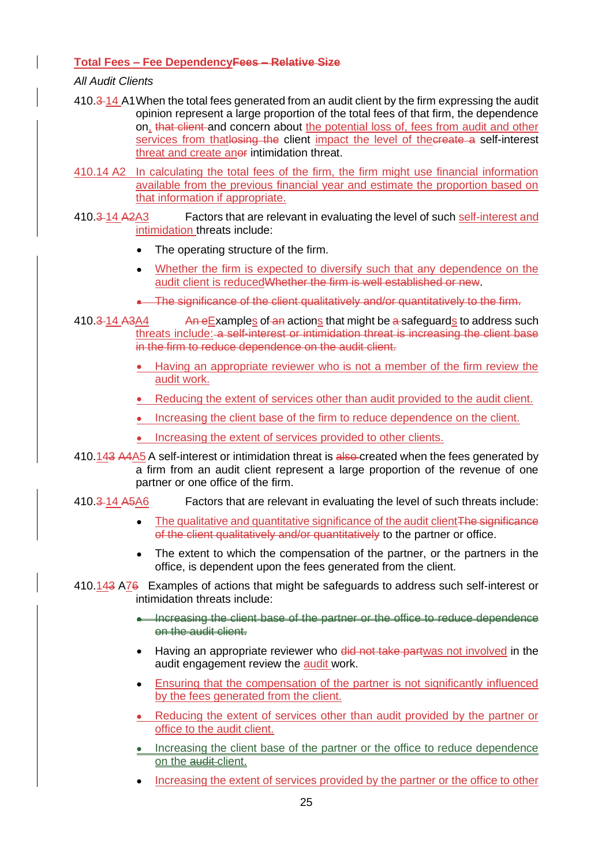#### **Total Fees – Fee DependencyFees – Relative Size**

#### *All Audit Clients*

- 410.3 14 A1When the total fees generated from an audit client by the firm expressing the audit opinion represent a large proportion of the total fees of that firm, the dependence on, that client and concern about the potential loss of, fees from audit and other services from that losing the client impact the level of the create a self-interest threat and create anor intimidation threat.
- 410.14 A2 In calculating the total fees of the firm, the firm might use financial information available from the previous financial year and estimate the proportion based on that information if appropriate.
- 410.3-14 A2A3 Factors that are relevant in evaluating the level of such self-interest and intimidation threats include:
	- The operating structure of the firm.
	- Whether the firm is expected to diversify such that any dependence on the audit client is reducedWhether the firm is well established or new.
	- The significance of the client qualitatively and/or quantitatively to the firm.
- 410.3-14 A3A4 An eExamples of an actions that might be a safeguards to address such threats include: a self-interest or intimidation threat is increasing the client base in the firm to reduce dependence on the audit client.
	- Having an appropriate reviewer who is not a member of the firm review the audit work.
	- Reducing the extent of services other than audit provided to the audit client.
	- Increasing the client base of the firm to reduce dependence on the client.
	- Increasing the extent of services provided to other clients.
- 410.143 A4A5 A self-interest or intimidation threat is also created when the fees generated by a firm from an audit client represent a large proportion of the revenue of one partner or one office of the firm.
- 410.3 14 A5A6 Factors that are relevant in evaluating the level of such threats include:
	- The qualitative and quantitative significance of the audit client<sub>The significance</sub> of the client qualitatively and/or quantitatively to the partner or office.
	- The extent to which the compensation of the partner, or the partners in the office, is dependent upon the fees generated from the client.

#### 410.143 A76 Examples of actions that might be safeguards to address such self-interest or intimidation threats include:

- Increasing the client base of the partner or the office to reduce dependence on the audit client.
- Having an appropriate reviewer who did not take partwas not involved in the audit engagement review the audit work.
- Ensuring that the compensation of the partner is not significantly influenced by the fees generated from the client.
- Reducing the extent of services other than audit provided by the partner or office to the audit client.
- Increasing the client base of the partner or the office to reduce dependence on the audit-client.
- Increasing the extent of services provided by the partner or the office to other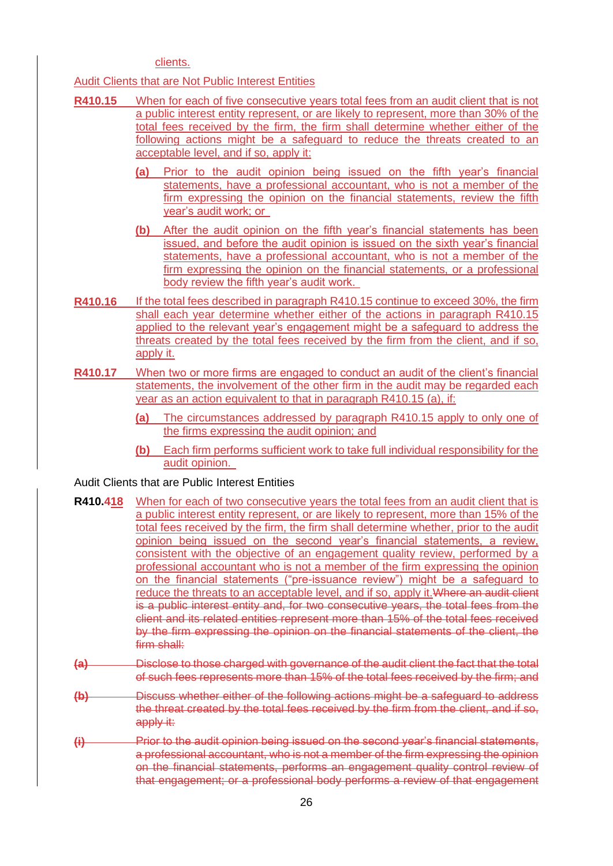clients.

Audit Clients that are Not Public Interest Entities

- **R410.15** When for each of five consecutive years total fees from an audit client that is not a public interest entity represent, or are likely to represent, more than 30% of the total fees received by the firm, the firm shall determine whether either of the following actions might be a safeguard to reduce the threats created to an acceptable level, and if so, apply it:
	- **(a)** Prior to the audit opinion being issued on the fifth year's financial statements, have a professional accountant, who is not a member of the firm expressing the opinion on the financial statements, review the fifth year's audit work; or
	- **(b)** After the audit opinion on the fifth year's financial statements has been issued, and before the audit opinion is issued on the sixth year's financial statements, have a professional accountant, who is not a member of the firm expressing the opinion on the financial statements, or a professional body review the fifth year's audit work.
- **R410.16** If the total fees described in paragraph R410.15 continue to exceed 30%, the firm shall each year determine whether either of the actions in paragraph R410.15 applied to the relevant year's engagement might be a safeguard to address the threats created by the total fees received by the firm from the client, and if so, apply it.
- **R410.17** When two or more firms are engaged to conduct an audit of the client's financial statements, the involvement of the other firm in the audit may be regarded each year as an action equivalent to that in paragraph R410.15 (a), if:
	- **(a)** The circumstances addressed by paragraph R410.15 apply to only one of the firms expressing the audit opinion; and
	- **(b)** Each firm performs sufficient work to take full individual responsibility for the audit opinion.

#### Audit Clients that are Public Interest Entities

- **R410.418** When for each of two consecutive years the total fees from an audit client that is a public interest entity represent, or are likely to represent, more than 15% of the total fees received by the firm, the firm shall determine whether, prior to the audit opinion being issued on the second year's financial statements, a review, consistent with the objective of an engagement quality review, performed by a professional accountant who is not a member of the firm expressing the opinion on the financial statements ("pre-issuance review") might be a safeguard to reduce the threats to an acceptable level, and if so, apply it.Where an audit client is a public interest entity and, for two consecutive years, the total fees from the client and its related entities represent more than 15% of the total fees received by the firm expressing the opinion on the financial statements of the client, the firm shall:
- **(a)** Disclose to those charged with governance of the audit client the fact that the total of such fees represents more than 15% of the total fees received by the firm; and
- **(b)** Discuss whether either of the following actions might be a safeguard to address the threat created by the total fees received by the firm from the client, and if so, apply it:
- **(i)** Prior to the audit opinion being issued on the second year's financial statements, a professional accountant, who is not a member of the firm expressing the opinion on the financial statements, performs an engagement quality control review of that engagement; or a professional body performs a review of that engagement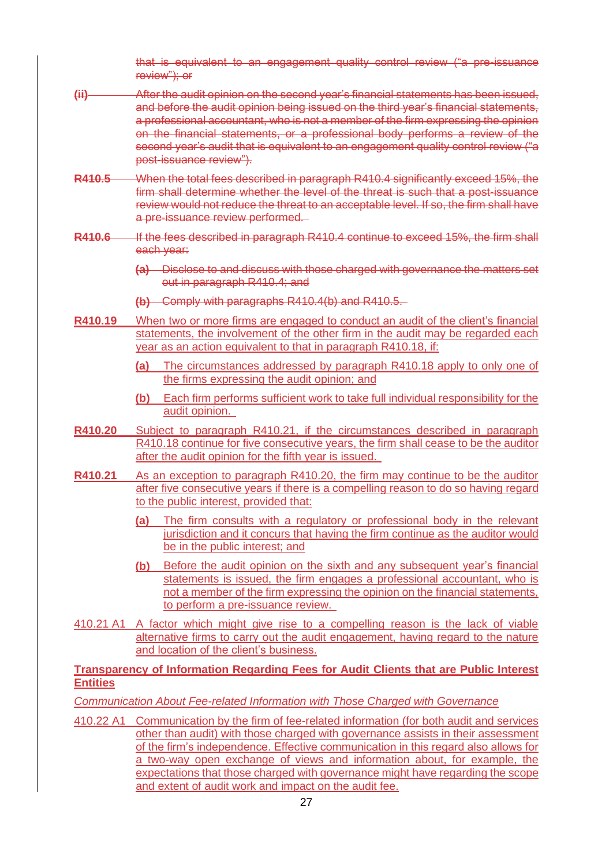that is equivalent to an engagement quality control review ("a pre-issuance review"); or

- **(ii)** After the audit opinion on the second year's financial statements has been issued, and before the audit opinion being issued on the third year's financial statements, a professional accountant, who is not a member of the firm expressing the opinion on the financial statements, or a professional body performs a review of the second year's audit that is equivalent to an engagement quality control review ("a post-issuance review").
- **R410.5** When the total fees described in paragraph R410.4 significantly exceed 15%, the firm shall determine whether the level of the threat is such that a post-issuance review would not reduce the threat to an acceptable level. If so, the firm shall have a pre-issuance review performed.
- **R410.6** If the fees described in paragraph R410.4 continue to exceed 15%, the firm shall each year:
	- **(a)** Disclose to and discuss with those charged with governance the matters set out in paragraph R410.4; and
	- **(b)** Comply with paragraphs R410.4(b) and R410.5.
- **R410.19** When two or more firms are engaged to conduct an audit of the client's financial statements, the involvement of the other firm in the audit may be regarded each year as an action equivalent to that in paragraph R410.18, if:
	- **(a)** The circumstances addressed by paragraph R410.18 apply to only one of the firms expressing the audit opinion; and
	- **(b)** Each firm performs sufficient work to take full individual responsibility for the audit opinion.
- **R410.20** Subject to paragraph R410.21, if the circumstances described in paragraph R410.18 continue for five consecutive years, the firm shall cease to be the auditor after the audit opinion for the fifth year is issued.
- **R410.21** As an exception to paragraph R410.20, the firm may continue to be the auditor after five consecutive years if there is a compelling reason to do so having regard to the public interest, provided that:
	- **(a)** The firm consults with a regulatory or professional body in the relevant jurisdiction and it concurs that having the firm continue as the auditor would be in the public interest; and
	- **(b)** Before the audit opinion on the sixth and any subsequent year's financial statements is issued, the firm engages a professional accountant, who is not a member of the firm expressing the opinion on the financial statements, to perform a pre-issuance review.
- 410.21 A1 A factor which might give rise to a compelling reason is the lack of viable alternative firms to carry out the audit engagement, having regard to the nature and location of the client's business.

#### **Transparency of Information Regarding Fees for Audit Clients that are Public Interest Entities**

*Communication About Fee-related Information with Those Charged with Governance*

410.22 A1 Communication by the firm of fee-related information (for both audit and services other than audit) with those charged with governance assists in their assessment of the firm's independence. Effective communication in this regard also allows for a two-way open exchange of views and information about, for example, the expectations that those charged with governance might have regarding the scope and extent of audit work and impact on the audit fee.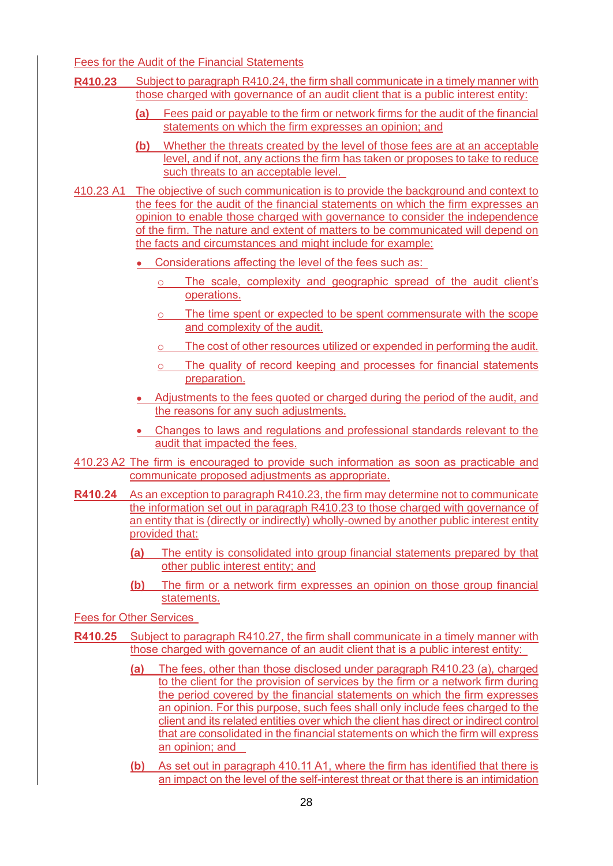Fees for the Audit of the Financial Statements

- **R410.23** Subject to paragraph R410.24, the firm shall communicate in a timely manner with those charged with governance of an audit client that is a public interest entity:
	- **(a)** Fees paid or payable to the firm or network firms for the audit of the financial statements on which the firm expresses an opinion; and
	- **(b)** Whether the threats created by the level of those fees are at an acceptable level, and if not, any actions the firm has taken or proposes to take to reduce such threats to an acceptable level.
- 410.23 A1 The objective of such communication is to provide the background and context to the fees for the audit of the financial statements on which the firm expresses an opinion to enable those charged with governance to consider the independence of the firm. The nature and extent of matters to be communicated will depend on the facts and circumstances and might include for example:
	- Considerations affecting the level of the fees such as:
		- The scale, complexity and geographic spread of the audit client's operations.
		- The time spent or expected to be spent commensurate with the scope and complexity of the audit.
		- The cost of other resources utilized or expended in performing the audit.
		- The quality of record keeping and processes for financial statements preparation.
	- Adjustments to the fees quoted or charged during the period of the audit, and the reasons for any such adjustments.
	- Changes to laws and regulations and professional standards relevant to the audit that impacted the fees.
- 410.23 A2 The firm is encouraged to provide such information as soon as practicable and communicate proposed adjustments as appropriate.
- **R410.24** As an exception to paragraph R410.23, the firm may determine not to communicate the information set out in paragraph R410.23 to those charged with governance of an entity that is (directly or indirectly) wholly-owned by another public interest entity provided that:
	- **(a)** The entity is consolidated into group financial statements prepared by that other public interest entity; and
	- **(b)** The firm or a network firm expresses an opinion on those group financial statements.

Fees for Other Services

- **R410.25** Subject to paragraph R410.27, the firm shall communicate in a timely manner with those charged with governance of an audit client that is a public interest entity:
	- **(a)** The fees, other than those disclosed under paragraph R410.23 (a), charged to the client for the provision of services by the firm or a network firm during the period covered by the financial statements on which the firm expresses an opinion. For this purpose, such fees shall only include fees charged to the client and its related entities over which the client has direct or indirect control that are consolidated in the financial statements on which the firm will express an opinion; and
	- **(b)** As set out in paragraph 410.11 A1, where the firm has identified that there is an impact on the level of the self-interest threat or that there is an intimidation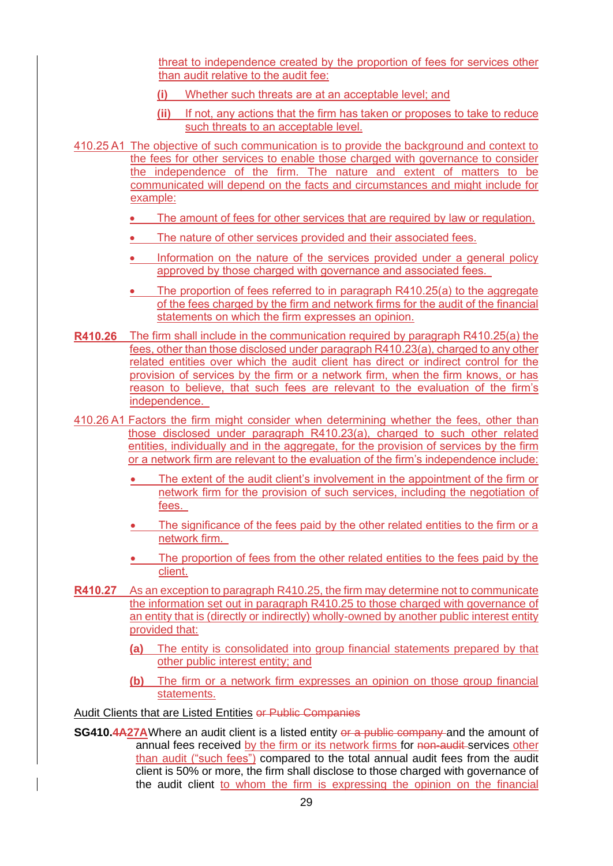threat to independence created by the proportion of fees for services other than audit relative to the audit fee:

- **(i)** Whether such threats are at an acceptable level; and
- **(ii)** If not, any actions that the firm has taken or proposes to take to reduce such threats to an acceptable level.
- 410.25 A1 The objective of such communication is to provide the background and context to the fees for other services to enable those charged with governance to consider the independence of the firm. The nature and extent of matters to be communicated will depend on the facts and circumstances and might include for example:
	- The amount of fees for other services that are required by law or regulation.
	- The nature of other services provided and their associated fees.
	- Information on the nature of the services provided under a general policy approved by those charged with governance and associated fees.
	- The proportion of fees referred to in paragraph R410.25(a) to the aggregate of the fees charged by the firm and network firms for the audit of the financial statements on which the firm expresses an opinion.
- **R410.26** The firm shall include in the communication required by paragraph R410.25(a) the fees, other than those disclosed under paragraph R410.23(a), charged to any other related entities over which the audit client has direct or indirect control for the provision of services by the firm or a network firm, when the firm knows, or has reason to believe, that such fees are relevant to the evaluation of the firm's independence.
- 410.26 A1 Factors the firm might consider when determining whether the fees, other than those disclosed under paragraph R410.23(a), charged to such other related entities, individually and in the aggregate, for the provision of services by the firm or a network firm are relevant to the evaluation of the firm's independence include:
	- The extent of the audit client's involvement in the appointment of the firm or network firm for the provision of such services, including the negotiation of fees.
	- The significance of the fees paid by the other related entities to the firm or a network firm.
	- The proportion of fees from the other related entities to the fees paid by the client.
- **R410.27** As an exception to paragraph R410.25, the firm may determine not to communicate the information set out in paragraph R410.25 to those charged with governance of an entity that is (directly or indirectly) wholly-owned by another public interest entity provided that:
	- **(a)** The entity is consolidated into group financial statements prepared by that other public interest entity; and
	- **(b)** The firm or a network firm expresses an opinion on those group financial statements.

Audit Clients that are Listed Entities or Public Companies

**SG410.4A27A**Where an audit client is a listed entity or a public company and the amount of annual fees received by the firm or its network firms for non-audit-services other than audit ("such fees") compared to the total annual audit fees from the audit client is 50% or more, the firm shall disclose to those charged with governance of the audit client to whom the firm is expressing the opinion on the financial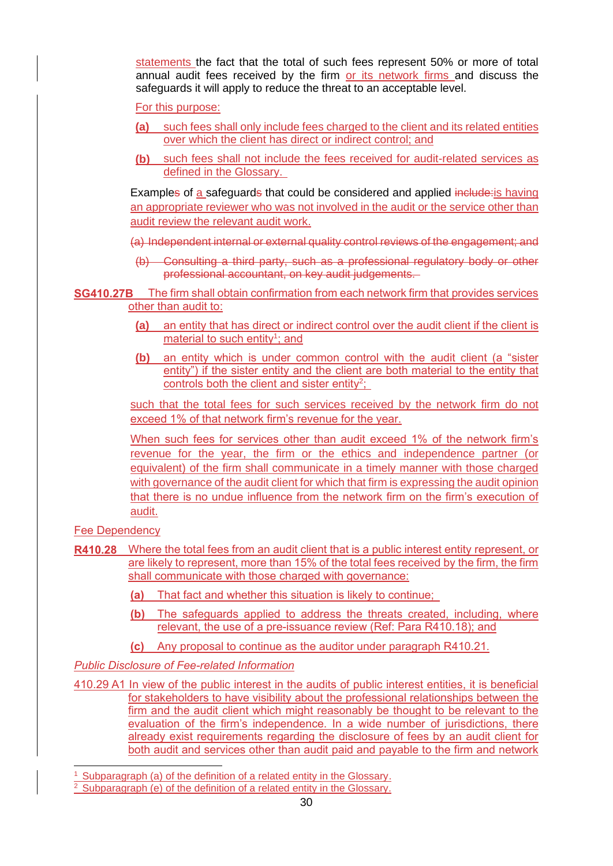statements the fact that the total of such fees represent 50% or more of total annual audit fees received by the firm or its network firms and discuss the safeguards it will apply to reduce the threat to an acceptable level.

For this purpose:

- **(a)** such fees shall only include fees charged to the client and its related entities over which the client has direct or indirect control; and
- **(b)** such fees shall not include the fees received for audit-related services as defined in the Glossary.

Examples of a safeguards that could be considered and applied include: is having an appropriate reviewer who was not involved in the audit or the service other than audit review the relevant audit work.

(a) Independent internal or external quality control reviews of the engagement; and

(b) Consulting a third party, such as a professional regulatory body or other professional accountant, on key audit judgements.

**SG410.27B** The firm shall obtain confirmation from each network firm that provides services other than audit to:

- **(a)** an entity that has direct or indirect control over the audit client if the client is material to such entity<sup>1</sup>; and
- **(b)** an entity which is under common control with the audit client (a "sister entity") if the sister entity and the client are both material to the entity that controls both the client and sister entity<sup>2</sup>;

such that the total fees for such services received by the network firm do not exceed 1% of that network firm's revenue for the year.

When such fees for services other than audit exceed 1% of the network firm's revenue for the year, the firm or the ethics and independence partner (or equivalent) of the firm shall communicate in a timely manner with those charged with governance of the audit client for which that firm is expressing the audit opinion that there is no undue influence from the network firm on the firm's execution of audit.

Fee Dependency

- **R410.28** Where the total fees from an audit client that is a public interest entity represent, or are likely to represent, more than 15% of the total fees received by the firm, the firm shall communicate with those charged with governance:
	- **(a)** That fact and whether this situation is likely to continue;
	- **(b)** The safeguards applied to address the threats created, including, where relevant, the use of a pre-issuance review (Ref: Para R410.18); and
	- **(c)** Any proposal to continue as the auditor under paragraph R410.21.

*Public Disclosure of Fee-related Information*

410.29 A1 In view of the public interest in the audits of public interest entities, it is beneficial for stakeholders to have visibility about the professional relationships between the firm and the audit client which might reasonably be thought to be relevant to the evaluation of the firm's independence. In a wide number of jurisdictions, there already exist requirements regarding the disclosure of fees by an audit client for both audit and services other than audit paid and payable to the firm and network

Subparagraph (a) of the definition of a related entity in the Glossary.

<sup>&</sup>lt;sup>2</sup> Subparagraph (e) of the definition of a related entity in the Glossary.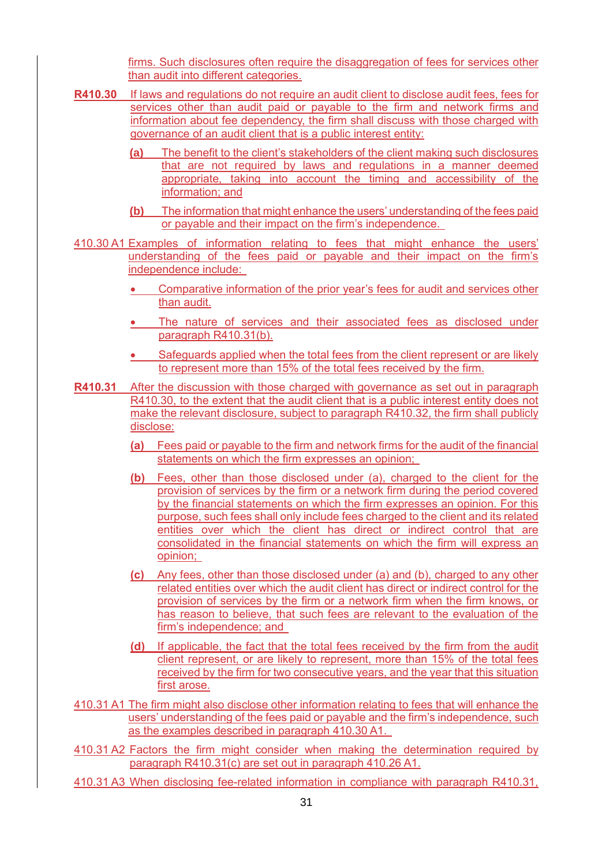firms. Such disclosures often require the disaggregation of fees for services other than audit into different categories.

- **R410.30** If laws and regulations do not require an audit client to disclose audit fees, fees for services other than audit paid or payable to the firm and network firms and information about fee dependency, the firm shall discuss with those charged with governance of an audit client that is a public interest entity:
	- **(a)** The benefit to the client's stakeholders of the client making such disclosures that are not required by laws and regulations in a manner deemed appropriate, taking into account the timing and accessibility of the information; and
	- **(b)** The information that might enhance the users' understanding of the fees paid or payable and their impact on the firm's independence.
- 410.30 A1 Examples of information relating to fees that might enhance the users' understanding of the fees paid or payable and their impact on the firm's independence include:
	- Comparative information of the prior year's fees for audit and services other than audit.
	- The nature of services and their associated fees as disclosed under paragraph R410.31(b).
	- Safeguards applied when the total fees from the client represent or are likely to represent more than 15% of the total fees received by the firm.
- **R410.31** After the discussion with those charged with governance as set out in paragraph R410.30, to the extent that the audit client that is a public interest entity does not make the relevant disclosure, subject to paragraph R410.32, the firm shall publicly disclose:
	- **(a)** Fees paid or payable to the firm and network firms for the audit of the financial statements on which the firm expresses an opinion;
	- **(b)** Fees, other than those disclosed under (a), charged to the client for the provision of services by the firm or a network firm during the period covered by the financial statements on which the firm expresses an opinion. For this purpose, such fees shall only include fees charged to the client and its related entities over which the client has direct or indirect control that are consolidated in the financial statements on which the firm will express an opinion;
	- **(c)** Any fees, other than those disclosed under (a) and (b), charged to any other related entities over which the audit client has direct or indirect control for the provision of services by the firm or a network firm when the firm knows, or has reason to believe, that such fees are relevant to the evaluation of the firm's independence; and
	- **(d)** If applicable, the fact that the total fees received by the firm from the audit client represent, or are likely to represent, more than 15% of the total fees received by the firm for two consecutive years, and the year that this situation first arose.
- 410.31 A1 The firm might also disclose other information relating to fees that will enhance the users' understanding of the fees paid or payable and the firm's independence, such as the examples described in paragraph 410.30 A1.
- 410.31 A2 Factors the firm might consider when making the determination required by paragraph R410.31(c) are set out in paragraph 410.26 A1.
- 410.31 A3 When disclosing fee-related information in compliance with paragraph R410.31,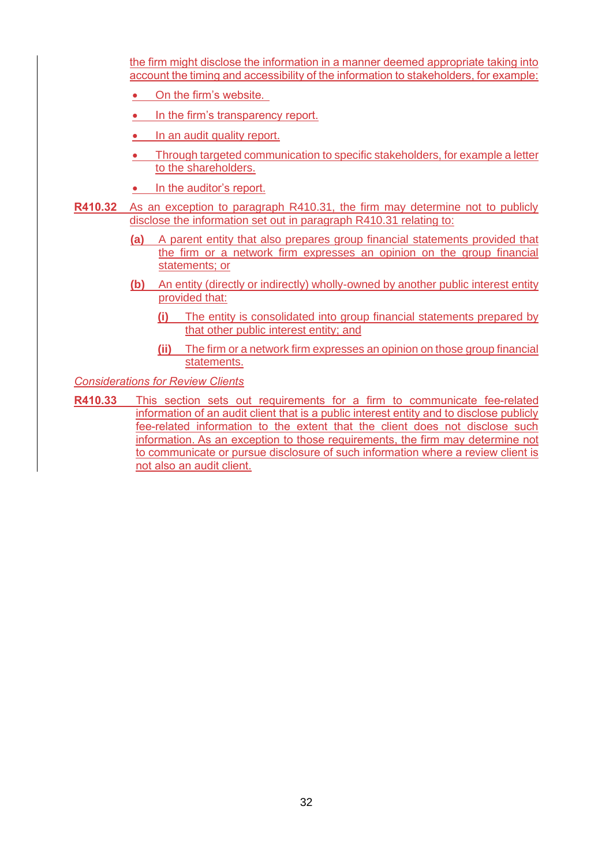the firm might disclose the information in a manner deemed appropriate taking into account the timing and accessibility of the information to stakeholders, for example:

- On the firm's website.
- In the firm's transparency report.
- In an audit quality report.
- Through targeted communication to specific stakeholders, for example a letter to the shareholders.
- In the auditor's report.
- **R410.32** As an exception to paragraph R410.31, the firm may determine not to publicly disclose the information set out in paragraph R410.31 relating to:
	- **(a)** A parent entity that also prepares group financial statements provided that the firm or a network firm expresses an opinion on the group financial statements; or
	- **(b)** An entity (directly or indirectly) wholly-owned by another public interest entity provided that:
		- **(i)** The entity is consolidated into group financial statements prepared by that other public interest entity; and
		- **(ii)** The firm or a network firm expresses an opinion on those group financial statements.

*Considerations for Review Clients*

**R410.33** This section sets out requirements for a firm to communicate fee-related information of an audit client that is a public interest entity and to disclose publicly fee-related information to the extent that the client does not disclose such information. As an exception to those requirements, the firm may determine not to communicate or pursue disclosure of such information where a review client is not also an audit client.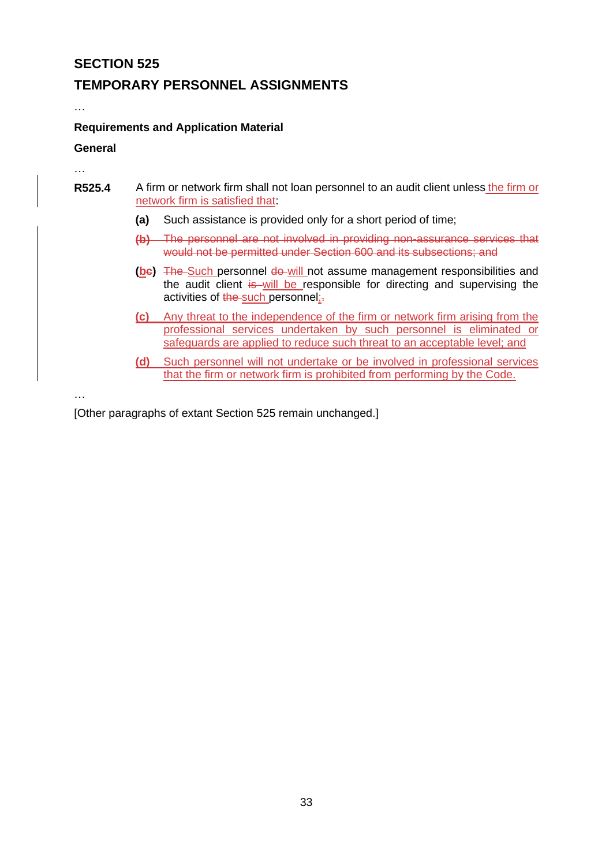### **TEMPORARY PERSONNEL ASSIGNMENTS**

…

…

#### **Requirements and Application Material**

#### **General**

- **R525.4** A firm or network firm shall not loan personnel to an audit client unless the firm or network firm is satisfied that:
	- **(a)** Such assistance is provided only for a short period of time;
	- **(b)** The personnel are not involved in providing non-assurance services that would not be permitted under Section 600 and its subsections; and
	- **(be)** The Such personnel do will not assume management responsibilities and the audit client is will be responsible for directing and supervising the activities of the such personnel;-
	- **(c)** Any threat to the independence of the firm or network firm arising from the professional services undertaken by such personnel is eliminated or safeguards are applied to reduce such threat to an acceptable level; and
	- **(d)** Such personnel will not undertake or be involved in professional services that the firm or network firm is prohibited from performing by the Code.

…

[Other paragraphs of extant Section 525 remain unchanged.]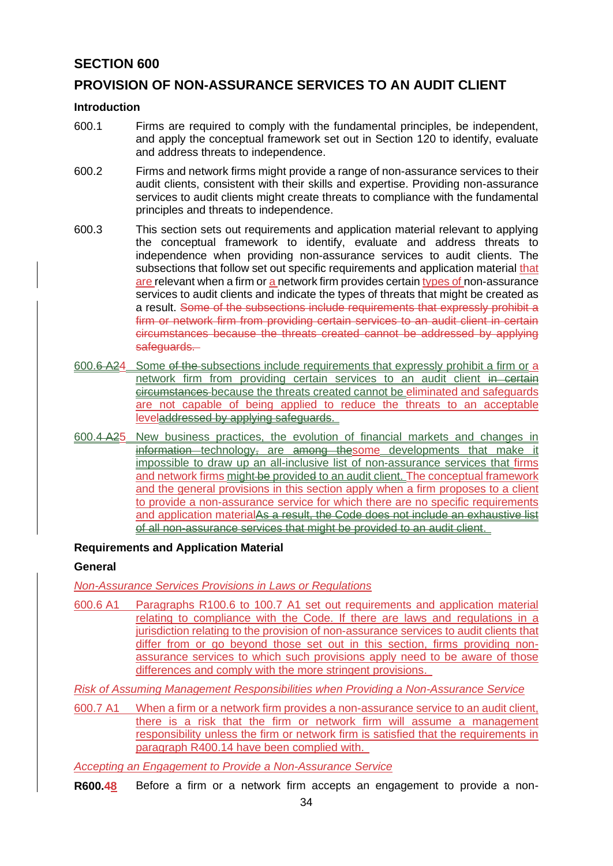# **PROVISION OF NON-ASSURANCE SERVICES TO AN AUDIT CLIENT**

#### **Introduction**

- 600.1 Firms are required to comply with the fundamental principles, be independent, and apply the conceptual framework set out in Section 120 to identify, evaluate and address threats to independence.
- 600.2 Firms and network firms might provide a range of non-assurance services to their audit clients, consistent with their skills and expertise. Providing non-assurance services to audit clients might create threats to compliance with the fundamental principles and threats to independence.
- 600.3 This section sets out requirements and application material relevant to applying the conceptual framework to identify, evaluate and address threats to independence when providing non-assurance services to audit clients. The subsections that follow set out specific requirements and application material that are relevant when a firm or a network firm provides certain types of non-assurance services to audit clients and indicate the types of threats that might be created as a result. Some of the subsections include requirements that expressly prohibit a firm or network firm from providing certain services to an audit client in certain circumstances because the threats created cannot be addressed by applying safeguards.
- 600.6 A24 Some of the subsections include requirements that expressly prohibit a firm or a network firm from providing certain services to an audit client in certain circumstances because the threats created cannot be eliminated and safeguards are not capable of being applied to reduce the threats to an acceptable leveladdressed by applying safeguards.
- 600.4 A25 New business practices, the evolution of financial markets and changes in information technology, are among thesome developments that make it impossible to draw up an all-inclusive list of non-assurance services that firms and network firms might be provided to an audit client. The conceptual framework and the general provisions in this section apply when a firm proposes to a client to provide a non-assurance service for which there are no specific requirements and application materialAs a result, the Code does not include an exhaustive list of all non-assurance services that might be provided to an audit client.

#### **Requirements and Application Material**

#### **General**

*Non-Assurance Services Provisions in Laws or Regulations*

600.6 A1 Paragraphs R100.6 to 100.7 A1 set out requirements and application material relating to compliance with the Code. If there are laws and regulations in a jurisdiction relating to the provision of non-assurance services to audit clients that differ from or go beyond those set out in this section, firms providing nonassurance services to which such provisions apply need to be aware of those differences and comply with the more stringent provisions.

*Risk of Assuming Management Responsibilities when Providing a Non-Assurance Service*

600.7 A1 When a firm or a network firm provides a non-assurance service to an audit client, there is a risk that the firm or network firm will assume a management responsibility unless the firm or network firm is satisfied that the requirements in paragraph R400.14 have been complied with.

*Accepting an Engagement to Provide a Non-Assurance Service*

**R600.48** Before a firm or a network firm accepts an engagement to provide a non-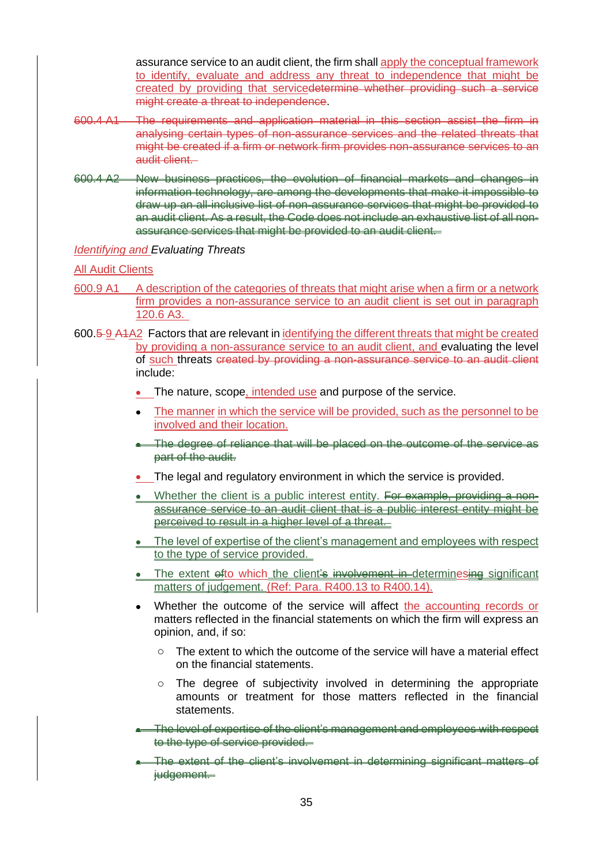assurance service to an audit client, the firm shall apply the conceptual framework to identify, evaluate and address any threat to independence that might be created by providing that servicedetermine whether providing such a service might create a threat to independence.

- 600.4 A1 The requirements and application material in this section assist the firm in analysing certain types of non-assurance services and the related threats that might be created if a firm or network firm provides non-assurance services to an audit client.
- 600.4 A2 New business practices, the evolution of financial markets and changes in information technology, are among the developments that make it impossible to draw up an all-inclusive list of non-assurance services that might be provided to an audit client. As a result, the Code does not include an exhaustive list of all nonassurance services that might be provided to an audit client.

#### *Identifying and Evaluating Threats*

#### All Audit Clients

- 600.9 A1 A description of the categories of threats that might arise when a firm or a network firm provides a non-assurance service to an audit client is set out in paragraph 120.6 A3.
- 600.5 9 A1A2 Factors that are relevant in identifying the different threats that might be created by providing a non-assurance service to an audit client, and evaluating the level of such threats created by providing a non-assurance service to an audit client include:
	- The nature, scope, intended use and purpose of the service.
	- The manner in which the service will be provided, such as the personnel to be involved and their location.
	- The degree of reliance that will be placed on the outcome of the service as part of the audit.
	- The legal and regulatory environment in which the service is provided.
	- Whether the client is a public interest entity. For example, providing a nonassurance service to an audit client that is a public interest entity might be perceived to result in a higher level of a threat.
	- The level of expertise of the client's management and employees with respect to the type of service provided.
	- The extent ofto which the client's involvement in determinesing significant matters of judgement. (Ref: Para. R400.13 to R400.14).
	- Whether the outcome of the service will affect the accounting records or matters reflected in the financial statements on which the firm will express an opinion, and, if so:
		- o The extent to which the outcome of the service will have a material effect on the financial statements.
		- o The degree of subjectivity involved in determining the appropriate amounts or treatment for those matters reflected in the financial statements.
	- The level of expertise of the client's management and employees with respect to the type of service provided.
	- The extent of the client's involvement in determining significant matters of judgement.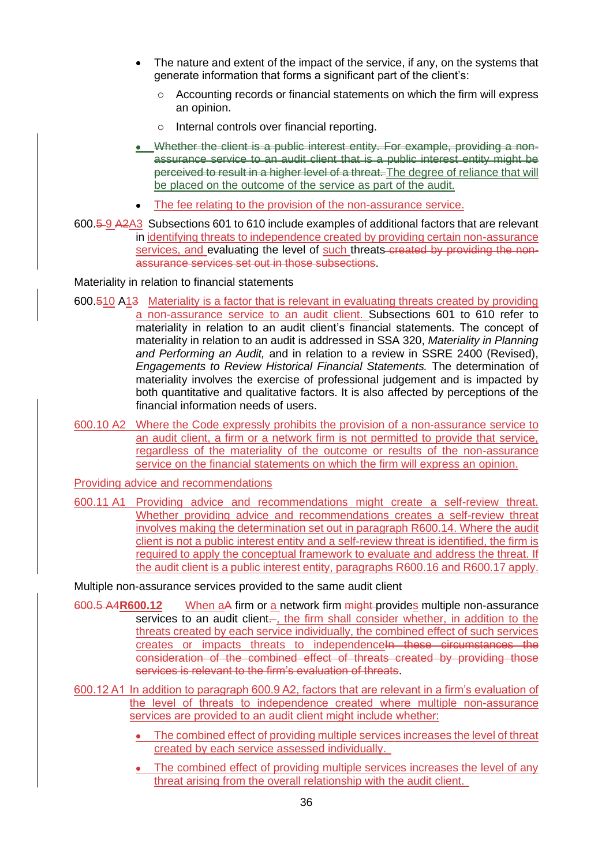- The nature and extent of the impact of the service, if any, on the systems that generate information that forms a significant part of the client's:
	- o Accounting records or financial statements on which the firm will express an opinion.
	- Internal controls over financial reporting.
- Whether the client is a public interest entity. For example, providing a nonassurance service to an audit client that is a public interest entity might be perceived to result in a higher level of a threat. The degree of reliance that will be placed on the outcome of the service as part of the audit.
- The fee relating to the provision of the non-assurance service.
- 600.5 9 A2A3 Subsections 601 to 610 include examples of additional factors that are relevant in identifying threats to independence created by providing certain non-assurance services, and evaluating the level of such threats created by providing the nonassurance services set out in those subsections.

Materiality in relation to financial statements

- 600.510 A13 Materiality is a factor that is relevant in evaluating threats created by providing a non-assurance service to an audit client. Subsections 601 to 610 refer to materiality in relation to an audit client's financial statements. The concept of materiality in relation to an audit is addressed in SSA 320, *Materiality in Planning and Performing an Audit,* and in relation to a review in SSRE 2400 (Revised), *Engagements to Review Historical Financial Statements.* The determination of materiality involves the exercise of professional judgement and is impacted by both quantitative and qualitative factors. It is also affected by perceptions of the financial information needs of users.
- 600.10 A2 Where the Code expressly prohibits the provision of a non-assurance service to an audit client, a firm or a network firm is not permitted to provide that service, regardless of the materiality of the outcome or results of the non-assurance service on the financial statements on which the firm will express an opinion.

Providing advice and recommendations

600.11 A1 Providing advice and recommendations might create a self-review threat. Whether providing advice and recommendations creates a self-review threat involves making the determination set out in paragraph R600.14. Where the audit client is not a public interest entity and a self-review threat is identified, the firm is required to apply the conceptual framework to evaluate and address the threat. If the audit client is a public interest entity, paragraphs R600.16 and R600.17 apply.

Multiple non-assurance services provided to the same audit client

- 600.5 A4**R600.12** When aA firm or a network firm might provides multiple non-assurance services to an audit client..., the firm shall consider whether, in addition to the threats created by each service individually, the combined effect of such services creates or impacts threats to independenceln these circumstances the consideration of the combined effect of threats created by providing those services is relevant to the firm's evaluation of threats.
- 600.12 A1 In addition to paragraph 600.9 A2, factors that are relevant in a firm's evaluation of the level of threats to independence created where multiple non-assurance services are provided to an audit client might include whether:
	- The combined effect of providing multiple services increases the level of threat created by each service assessed individually.
	- The combined effect of providing multiple services increases the level of any threat arising from the overall relationship with the audit client.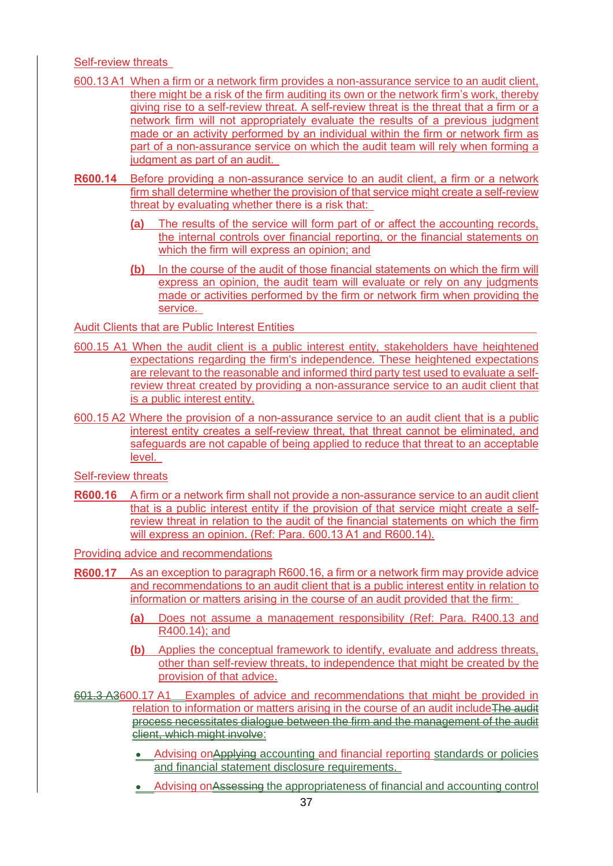Self-review threats

- 600.13 A1 When a firm or a network firm provides a non-assurance service to an audit client, there might be a risk of the firm auditing its own or the network firm's work, thereby giving rise to a self-review threat. A self-review threat is the threat that a firm or a network firm will not appropriately evaluate the results of a previous judgment made or an activity performed by an individual within the firm or network firm as part of a non-assurance service on which the audit team will rely when forming a judgment as part of an audit.
- **R600.14** Before providing a non-assurance service to an audit client, a firm or a network firm shall determine whether the provision of that service might create a self-review threat by evaluating whether there is a risk that:
	- **(a)** The results of the service will form part of or affect the accounting records, the internal controls over financial reporting, or the financial statements on which the firm will express an opinion; and
	- **(b)** In the course of the audit of those financial statements on which the firm will express an opinion, the audit team will evaluate or rely on any judgments made or activities performed by the firm or network firm when providing the service.

Audit Clients that are Public Interest Entities

- 600.15 A1 When the audit client is a public interest entity, stakeholders have heightened expectations regarding the firm's independence. These heightened expectations are relevant to the reasonable and informed third party test used to evaluate a selfreview threat created by providing a non-assurance service to an audit client that is a public interest entity.
- 600.15 A2 Where the provision of a non-assurance service to an audit client that is a public interest entity creates a self-review threat, that threat cannot be eliminated, and safeguards are not capable of being applied to reduce that threat to an acceptable level.

Self-review threats

**R600.16** A firm or a network firm shall not provide a non-assurance service to an audit client that is a public interest entity if the provision of that service might create a selfreview threat in relation to the audit of the financial statements on which the firm will express an opinion. (Ref: Para. 600.13 A1 and R600.14).

Providing advice and recommendations

- **R600.17** As an exception to paragraph R600.16, a firm or a network firm may provide advice and recommendations to an audit client that is a public interest entity in relation to information or matters arising in the course of an audit provided that the firm:
	- **(a)** Does not assume a management responsibility (Ref: Para. R400.13 and R400.14); and
	- **(b)** Applies the conceptual framework to identify, evaluate and address threats, other than self-review threats, to independence that might be created by the provision of that advice.
- 601.3 A3600.17 A1 Examples of advice and recommendations that might be provided in relation to information or matters arising in the course of an audit include The audit process necessitates dialogue between the firm and the management of the audit client, which might involve:
	- Advising on Applying accounting and financial reporting standards or policies and financial statement disclosure requirements.
	- Advising onAssessing the appropriateness of financial and accounting control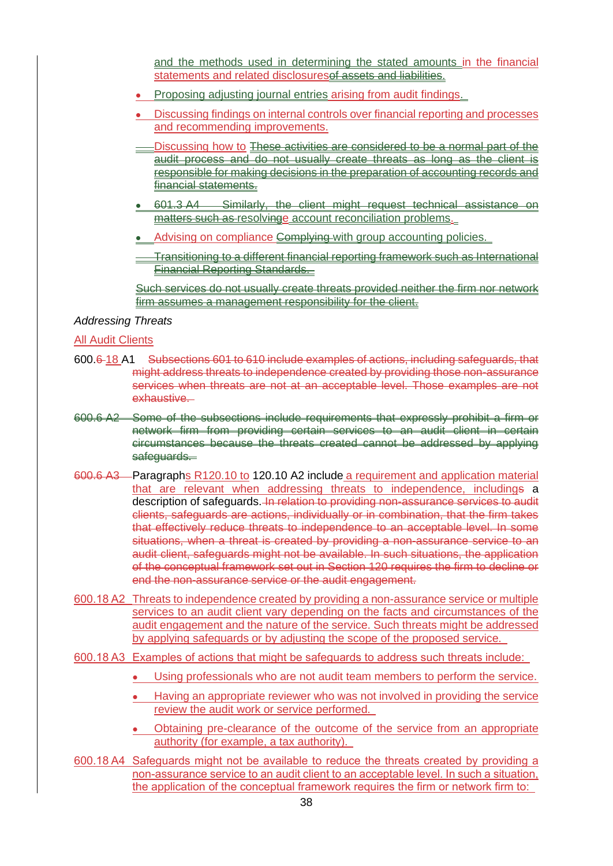and the methods used in determining the stated amounts in the financial statements and related disclosuresof assets and liabilities.

- Proposing adjusting journal entries arising from audit findings.
- Discussing findings on internal controls over financial reporting and processes and recommending improvements.
- -Discussing how to These activities are considered to be a normal part of the audit process and do not usually create threats as long as the client is responsible for making decisions in the preparation of accounting records and financial statements.
- 601.3 A4 Similarly, the client might request technical assistance on matters such as resolvinge account reconciliation problems.
- Advising on compliance Complying with group accounting policies.
- Transitioning to a different financial reporting framework such as International Financial Reporting Standards.

Such services do not usually create threats provided neither the firm nor network firm assumes a management responsibility for the client.

#### *Addressing Threats*

#### All Audit Clients

- 600.6 18 A1 Subsections 601 to 610 include examples of actions, including safeguards, that might address threats to independence created by providing those non-assurance services when threats are not at an acceptable level. Those examples are not exhaustive.
- 600.6 A2 Some of the subsections include requirements that expressly prohibit a firm or network firm from providing certain services to an audit client in certain circumstances because the threats created cannot be addressed by applying safeguards.
- 600.6 A3 Paragraphs R120.10 to 120.10 A2 include a requirement and application material that are relevant when addressing threats to independence, includings a description of safeguards. In relation to providing non-assurance services to audit clients, safeguards are actions, individually or in combination, that the firm takes that effectively reduce threats to independence to an acceptable level. In some situations, when a threat is created by providing a non-assurance service to an audit client, safeguards might not be available. In such situations, the application of the conceptual framework set out in Section 120 requires the firm to decline or end the non-assurance service or the audit engagement.
- 600.18 A2 Threats to independence created by providing a non-assurance service or multiple services to an audit client vary depending on the facts and circumstances of the audit engagement and the nature of the service. Such threats might be addressed by applying safeguards or by adjusting the scope of the proposed service.
- 600.18 A3 Examples of actions that might be safeguards to address such threats include:
	- Using professionals who are not audit team members to perform the service.
	- Having an appropriate reviewer who was not involved in providing the service review the audit work or service performed.
	- Obtaining pre-clearance of the outcome of the service from an appropriate authority (for example, a tax authority).
- 600.18 A4 Safeguards might not be available to reduce the threats created by providing a non-assurance service to an audit client to an acceptable level. In such a situation, the application of the conceptual framework requires the firm or network firm to: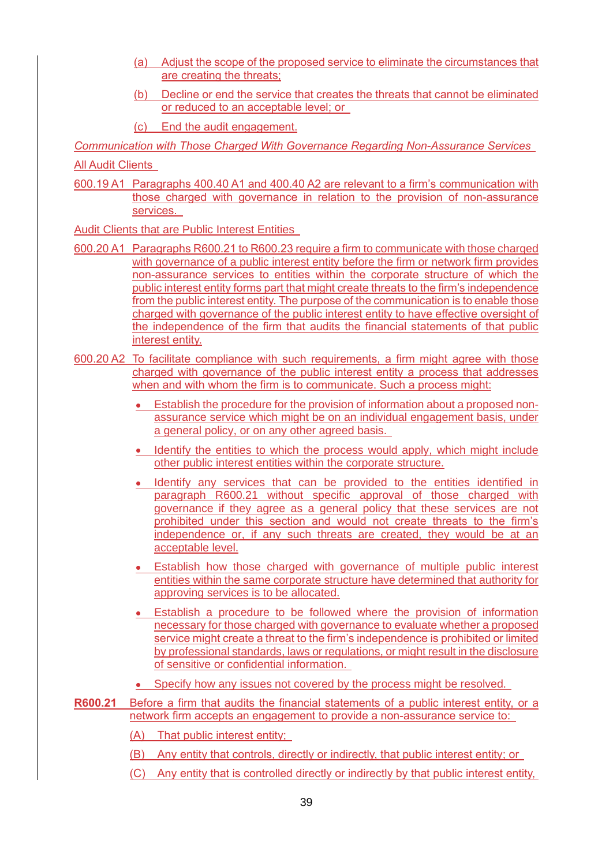- (a) Adjust the scope of the proposed service to eliminate the circumstances that are creating the threats;
- (b) Decline or end the service that creates the threats that cannot be eliminated or reduced to an acceptable level; or
- (c) End the audit engagement.

*Communication with Those Charged With Governance Regarding Non-Assurance Services*

All Audit Clients

600.19 A1 Paragraphs 400.40 A1 and 400.40 A2 are relevant to a firm's communication with those charged with governance in relation to the provision of non-assurance services.

Audit Clients that are Public Interest Entities

- 600.20 A1 Paragraphs R600.21 to R600.23 require a firm to communicate with those charged with governance of a public interest entity before the firm or network firm provides non-assurance services to entities within the corporate structure of which the public interest entity forms part that might create threats to the firm's independence from the public interest entity. The purpose of the communication is to enable those charged with governance of the public interest entity to have effective oversight of the independence of the firm that audits the financial statements of that public interest entity.
- 600.20 A2 To facilitate compliance with such requirements, a firm might agree with those charged with governance of the public interest entity a process that addresses when and with whom the firm is to communicate. Such a process might:
	- Establish the procedure for the provision of information about a proposed nonassurance service which might be on an individual engagement basis, under a general policy, or on any other agreed basis.
	- Identify the entities to which the process would apply, which might include other public interest entities within the corporate structure.
	- Identify any services that can be provided to the entities identified in paragraph R600.21 without specific approval of those charged with governance if they agree as a general policy that these services are not prohibited under this section and would not create threats to the firm's independence or, if any such threats are created, they would be at an acceptable level.
	- Establish how those charged with governance of multiple public interest entities within the same corporate structure have determined that authority for approving services is to be allocated.
	- Establish a procedure to be followed where the provision of information necessary for those charged with governance to evaluate whether a proposed service might create a threat to the firm's independence is prohibited or limited by professional standards, laws or regulations, or might result in the disclosure of sensitive or confidential information.
	- Specify how any issues not covered by the process might be resolved.
- **R600.21** Before a firm that audits the financial statements of a public interest entity, or a network firm accepts an engagement to provide a non-assurance service to:
	- (A) That public interest entity;
	- (B) Any entity that controls, directly or indirectly, that public interest entity; or
	- (C) Any entity that is controlled directly or indirectly by that public interest entity,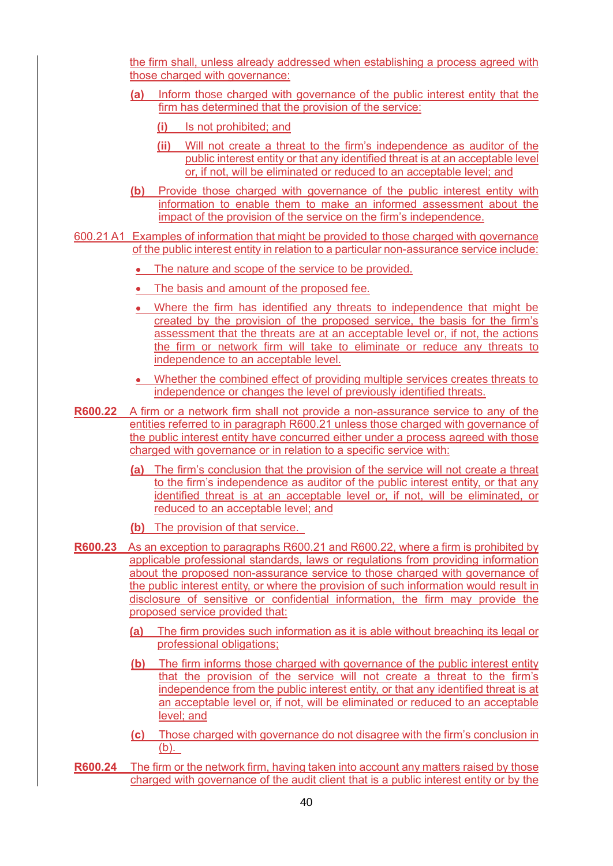the firm shall, unless already addressed when establishing a process agreed with those charged with governance:

- **(a)** Inform those charged with governance of the public interest entity that the firm has determined that the provision of the service:
	- **(i)** Is not prohibited; and
	- **(ii)** Will not create a threat to the firm's independence as auditor of the public interest entity or that any identified threat is at an acceptable level or, if not, will be eliminated or reduced to an acceptable level; and
- **(b)** Provide those charged with governance of the public interest entity with information to enable them to make an informed assessment about the impact of the provision of the service on the firm's independence.
- 600.21 A1 Examples of information that might be provided to those charged with governance of the public interest entity in relation to a particular non-assurance service include:
	- The nature and scope of the service to be provided.
	- The basis and amount of the proposed fee.
	- Where the firm has identified any threats to independence that might be created by the provision of the proposed service, the basis for the firm's assessment that the threats are at an acceptable level or, if not, the actions the firm or network firm will take to eliminate or reduce any threats to independence to an acceptable level.
	- Whether the combined effect of providing multiple services creates threats to independence or changes the level of previously identified threats.
- **R600.22** A firm or a network firm shall not provide a non-assurance service to any of the entities referred to in paragraph R600.21 unless those charged with governance of the public interest entity have concurred either under a process agreed with those charged with governance or in relation to a specific service with:
	- **(a)** The firm's conclusion that the provision of the service will not create a threat to the firm's independence as auditor of the public interest entity, or that any identified threat is at an acceptable level or, if not, will be eliminated, or reduced to an acceptable level; and
	- **(b)** The provision of that service.
- **R600.23** As an exception to paragraphs R600.21 and R600.22, where a firm is prohibited by applicable professional standards, laws or regulations from providing information about the proposed non-assurance service to those charged with governance of the public interest entity, or where the provision of such information would result in disclosure of sensitive or confidential information, the firm may provide the proposed service provided that:
	- **(a)** The firm provides such information as it is able without breaching its legal or professional obligations;
	- **(b)** The firm informs those charged with governance of the public interest entity that the provision of the service will not create a threat to the firm's independence from the public interest entity, or that any identified threat is at an acceptable level or, if not, will be eliminated or reduced to an acceptable level; and
	- **(c)** Those charged with governance do not disagree with the firm's conclusion in (b).
- **R600.24** The firm or the network firm, having taken into account any matters raised by those charged with governance of the audit client that is a public interest entity or by the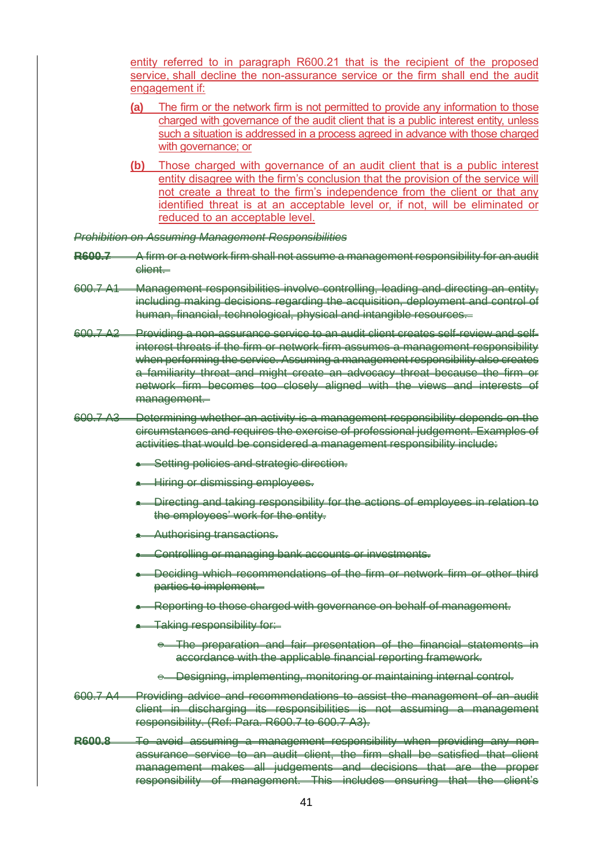entity referred to in paragraph R600.21 that is the recipient of the proposed service, shall decline the non-assurance service or the firm shall end the audit engagement if:

- **(a)** The firm or the network firm is not permitted to provide any information to those charged with governance of the audit client that is a public interest entity, unless such a situation is addressed in a process agreed in advance with those charged with governance; or
- **(b)** Those charged with governance of an audit client that is a public interest entity disagree with the firm's conclusion that the provision of the service will not create a threat to the firm's independence from the client or that any identified threat is at an acceptable level or, if not, will be eliminated or reduced to an acceptable level.

*Prohibition on Assuming Management Responsibilities*

- **R600.7** A firm or a network firm shall not assume a management responsibility for an audit client.
- 600.7 A1 Management responsibilities involve controlling, leading and directing an entity, including making decisions regarding the acquisition, deployment and control of human, financial, technological, physical and intangible resources.
- 600.7 A2 Providing a non-assurance service to an audit client creates self-review and selfinterest threats if the firm or network firm assumes a management responsibility when performing the service. Assuming a management responsibility also creates a familiarity threat and might create an advocacy threat because the firm or network firm becomes too closely aligned with the views and interests of management.
- 600.7 A3 Determining whether an activity is a management responsibility depends on the circumstances and requires the exercise of professional judgement. Examples of activities that would be considered a management responsibility include:
	- **Setting policies and strategic direction.**
	- Hiring or dismissing employees.
	- Directing and taking responsibility for the actions of employees in relation to the employees' work for the entity.
	- Authorising transactions.
	- Controlling or managing bank accounts or investments.
	- Deciding which recommendations of the firm or network firm or other third parties to implement.
	- Reporting to those charged with governance on behalf of management.
	- Taking responsibility for:
		- $\leftrightarrow$  The preparation and fair presentation of the financial statements in accordance with the applicable financial reporting framework.
		- o Designing, implementing, monitoring or maintaining internal control.
- 600.7 A4 Providing advice and recommendations to assist the management of an audit client in discharging its responsibilities is not assuming a management responsibility. (Ref: Para. R600.7 to 600.7 A3).
- **R600.8** To avoid assuming a management responsibility when providing any nonassurance service to an audit client, the firm shall be satisfied that client management makes all judgements and decisions that are the proper responsibility of management. This includes ensuring that the client's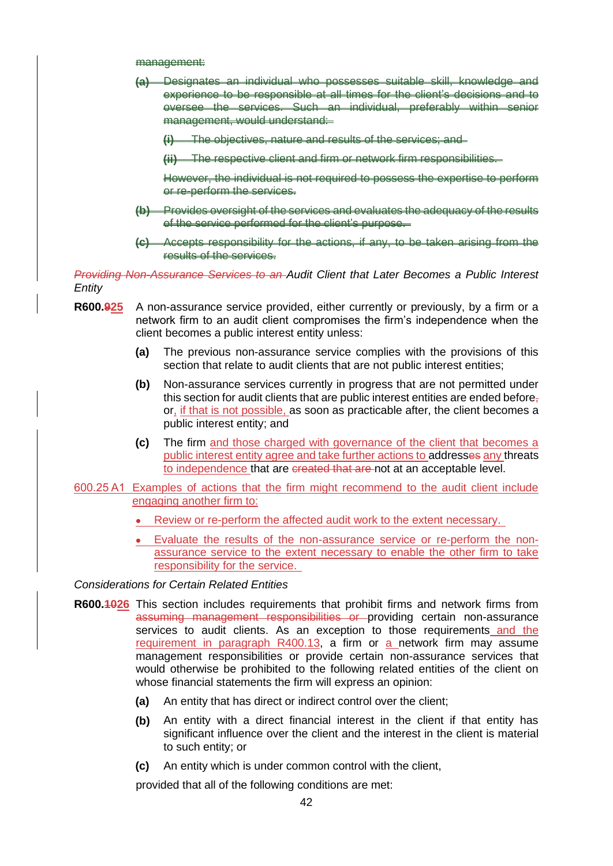management:

- **(a)** Designates an individual who possesses suitable skill, knowledge and experience to be responsible at all times for the client's decisions and to oversee the services. Such an individual, preferably within senior management, would understand:
	- **(i)** The objectives, nature and results of the services; and

**(ii)** The respective client and firm or network firm responsibilities.

However, the individual is not required to possess the expertise to perform or re-perform the services.

- **(b)** Provides oversight of the services and evaluates the adequacy of the results of the service performed for the client's purpose.
- **(c)** Accepts responsibility for the actions, if any, to be taken arising from the results of the services.

*Providing Non-Assurance Services to an Audit Client that Later Becomes a Public Interest Entity*

- **R600.925** A non-assurance service provided, either currently or previously, by a firm or a network firm to an audit client compromises the firm's independence when the client becomes a public interest entity unless:
	- **(a)** The previous non-assurance service complies with the provisions of this section that relate to audit clients that are not public interest entities;
	- **(b)** Non-assurance services currently in progress that are not permitted under this section for audit clients that are public interest entities are ended before $<sub>7</sub>$ </sub> or, if that is not possible, as soon as practicable after, the client becomes a public interest entity; and
	- **(c)** The firm and those charged with governance of the client that becomes a public interest entity agree and take further actions to addresses any threats to independence that are created that are not at an acceptable level.
- 600.25 A1 Examples of actions that the firm might recommend to the audit client include engaging another firm to:
	- Review or re-perform the affected audit work to the extent necessary.
	- Evaluate the results of the non-assurance service or re-perform the nonassurance service to the extent necessary to enable the other firm to take responsibility for the service.

*Considerations for Certain Related Entities*

- **R600.1026** This section includes requirements that prohibit firms and network firms from assuming management responsibilities or providing certain non-assurance services to audit clients. As an exception to those requirements and the requirement in paragraph R400.13, a firm or a network firm may assume management responsibilities or provide certain non-assurance services that would otherwise be prohibited to the following related entities of the client on whose financial statements the firm will express an opinion:
	- **(a)** An entity that has direct or indirect control over the client;
	- **(b)** An entity with a direct financial interest in the client if that entity has significant influence over the client and the interest in the client is material to such entity; or
	- **(c)** An entity which is under common control with the client,

provided that all of the following conditions are met: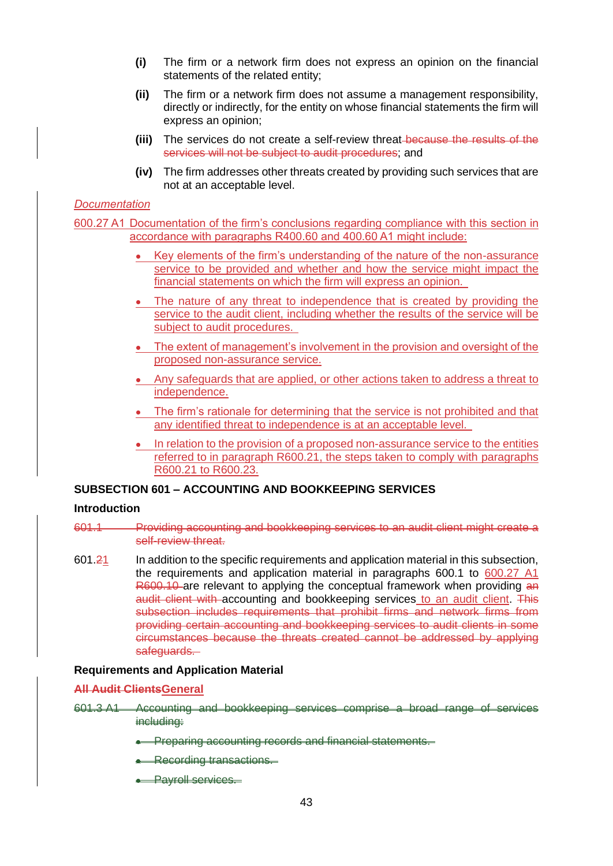- **(i)** The firm or a network firm does not express an opinion on the financial statements of the related entity;
- **(ii)** The firm or a network firm does not assume a management responsibility, directly or indirectly, for the entity on whose financial statements the firm will express an opinion;
- **(iii)** The services do not create a self-review threat because the results of the services will not be subject to audit procedures; and
- **(iv)** The firm addresses other threats created by providing such services that are not at an acceptable level.

#### *Documentation*

600.27 A1 Documentation of the firm's conclusions regarding compliance with this section in accordance with paragraphs R400.60 and 400.60 A1 might include:

- Key elements of the firm's understanding of the nature of the non-assurance service to be provided and whether and how the service might impact the financial statements on which the firm will express an opinion.
- The nature of any threat to independence that is created by providing the service to the audit client, including whether the results of the service will be subject to audit procedures.
- The extent of management's involvement in the provision and oversight of the proposed non-assurance service.
- Any safeguards that are applied, or other actions taken to address a threat to independence.
- The firm's rationale for determining that the service is not prohibited and that any identified threat to independence is at an acceptable level.
- In relation to the provision of a proposed non-assurance service to the entities referred to in paragraph R600.21, the steps taken to comply with paragraphs R600.21 to R600.23.

## **SUBSECTION 601 – ACCOUNTING AND BOOKKEEPING SERVICES**

#### **Introduction**

- 601.1 Providing accounting and bookkeeping services to an audit client might create a self-review threat.
- 601.21 In addition to the specific requirements and application material in this subsection, the requirements and application material in paragraphs 600.1 to 600.27 A1 R600.10 are relevant to applying the conceptual framework when providing an audit client with accounting and bookkeeping services to an audit client. This subsection includes requirements that prohibit firms and network firms from providing certain accounting and bookkeeping services to audit clients in some circumstances because the threats created cannot be addressed by applying safeguards.

#### **Requirements and Application Material**

#### **All Audit ClientsGeneral**

- 601.3 A1 Accounting and bookkeeping services comprise a broad range of services including:
	- **•** Preparing accounting records and financial statements.
	- **Recording transactions.**
	- **Payroll services.**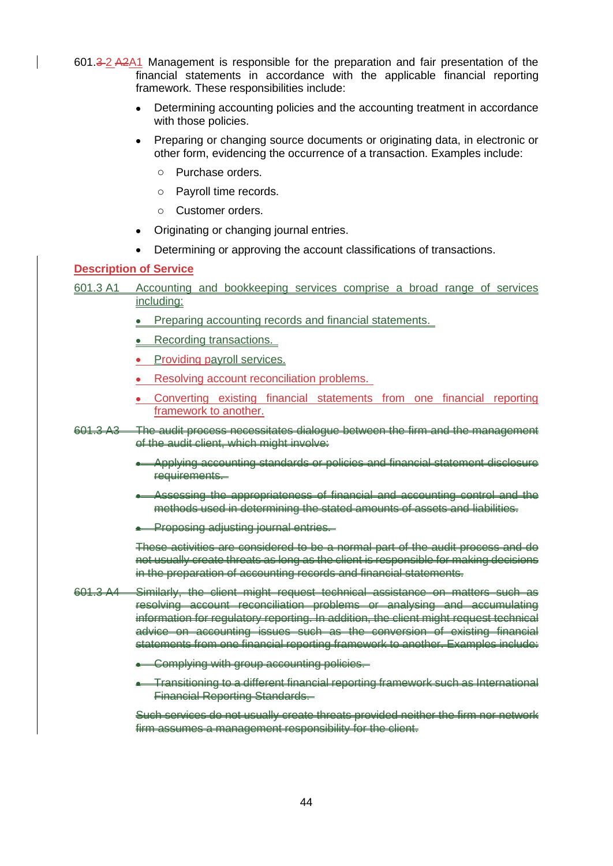601.3 2 A2A1 Management is responsible for the preparation and fair presentation of the financial statements in accordance with the applicable financial reporting framework. These responsibilities include:

- Determining accounting policies and the accounting treatment in accordance with those policies.
- Preparing or changing source documents or originating data, in electronic or other form, evidencing the occurrence of a transaction. Examples include:
	- o Purchase orders.
	- o Payroll time records.
	- o Customer orders.
- Originating or changing journal entries.
- Determining or approving the account classifications of transactions.

### **Description of Service**

- 601.3 A1 Accounting and bookkeeping services comprise a broad range of services including:
	- Preparing accounting records and financial statements.
	- Recording transactions.
	- **Providing payroll services.**
	- Resolving account reconciliation problems.
	- Converting existing financial statements from one financial reporting framework to another.
- 601.3 A3 The audit process necessitates dialogue between the firm and the management of the audit client, which might involve:
	- Applying accounting standards or policies and financial statement disclosure requirements.
	- Assessing the appropriateness of financial and accounting control and the methods used in determining the stated amounts of assets and liabilities.
	- **•** Proposing adjusting journal entries.

These activities are considered to be a normal part of the audit process and do not usually create threats as long as the client is responsible for making decisions in the preparation of accounting records and financial statements.

- 601.3 A4 Similarly, the client might request technical assistance on matters such as resolving account reconciliation problems or analysing and accumulating information for regulatory reporting. In addition, the client might request technical advice on accounting issues such as the conversion of existing financial statements from one financial reporting framework to another. Examples include:
	- Complying with group accounting policies.
	- Transitioning to a different financial reporting framework such as International Financial Reporting Standards.

Such services do not usually create threats provided neither the firm nor network firm assumes a management responsibility for the client.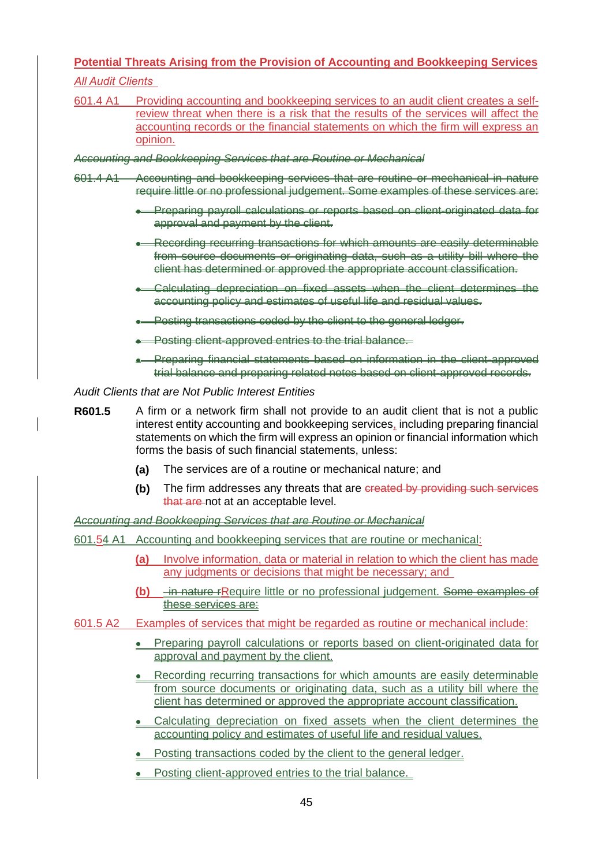## **Potential Threats Arising from the Provision of Accounting and Bookkeeping Services**

*All Audit Clients*

601.4 A1 Providing accounting and bookkeeping services to an audit client creates a selfreview threat when there is a risk that the results of the services will affect the accounting records or the financial statements on which the firm will express an opinion.

*Accounting and Bookkeeping Services that are Routine or Mechanical*

- 601.4 A1 Accounting and bookkeeping services that are routine or mechanical in nature require little or no professional judgement. Some examples of these services are:
	- Preparing payroll calculations or reports based on client-originated data for approval and payment by the client.
	- Recording recurring transactions for which amounts are easily determinable from source documents or originating data, such as a utility bill where the client has determined or approved the appropriate account classification.
	- Calculating depreciation on fixed assets when the client determines the accounting policy and estimates of useful life and residual values.
	- **Posting transactions coded by the client to the general ledger.**
	- Posting client-approved entries to the trial balance.
	- Preparing financial statements based on information in the client-approved trial balance and preparing related notes based on client-approved records.

#### *Audit Clients that are Not Public Interest Entities*

- **R601.5** A firm or a network firm shall not provide to an audit client that is not a public interest entity accounting and bookkeeping services, including preparing financial statements on which the firm will express an opinion or financial information which forms the basis of such financial statements, unless:
	- **(a)** The services are of a routine or mechanical nature; and
	- **(b)** The firm addresses any threats that are created by providing such services that are not at an acceptable level.

*Accounting and Bookkeeping Services that are Routine or Mechanical*

- 601.54 A1 Accounting and bookkeeping services that are routine or mechanical:
	- **(a)** Involve information, data or material in relation to which the client has made any judgments or decisions that might be necessary; and
	- **(b)** in nature rRequire little or no professional judgement. Some examples of these services are:
- 601.5 A2 Examples of services that might be regarded as routine or mechanical include:
	- Preparing payroll calculations or reports based on client-originated data for approval and payment by the client.
	- Recording recurring transactions for which amounts are easily determinable from source documents or originating data, such as a utility bill where the client has determined or approved the appropriate account classification.
	- Calculating depreciation on fixed assets when the client determines the accounting policy and estimates of useful life and residual values.
	- Posting transactions coded by the client to the general ledger.
	- Posting client-approved entries to the trial balance.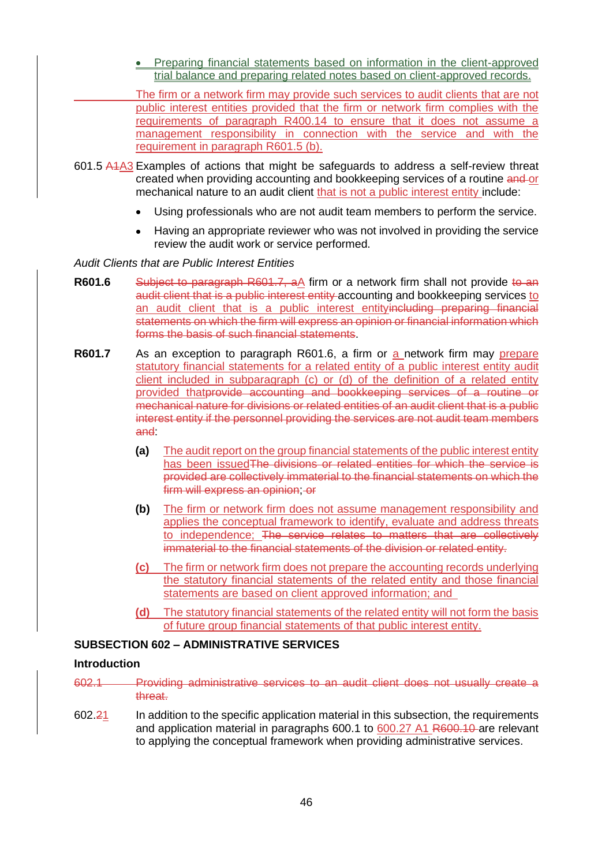• Preparing financial statements based on information in the client-approved trial balance and preparing related notes based on client-approved records.

The firm or a network firm may provide such services to audit clients that are not public interest entities provided that the firm or network firm complies with the requirements of paragraph R400.14 to ensure that it does not assume a management responsibility in connection with the service and with the requirement in paragraph R601.5 (b).

- 601.5 A1A3 Examples of actions that might be safeguards to address a self-review threat created when providing accounting and bookkeeping services of a routine and or mechanical nature to an audit client that is not a public interest entity include:
	- Using professionals who are not audit team members to perform the service.
	- Having an appropriate reviewer who was not involved in providing the service review the audit work or service performed.

*Audit Clients that are Public Interest Entities*

- **R601.6** Subject to paragraph R601.7, aA firm or a network firm shall not provide to an audit client that is a public interest entity accounting and bookkeeping services to an audit client that is a public interest entityincluding preparing financial statements on which the firm will express an opinion or financial information which forms the basis of such financial statements.
- **R601.7** As an exception to paragraph R601.6, a firm or a network firm may prepare statutory financial statements for a related entity of a public interest entity audit client included in subparagraph (c) or (d) of the definition of a related entity provided thatprovide accounting and bookkeeping services of a routine or mechanical nature for divisions or related entities of an audit client that is a public interest entity if the personnel providing the services are not audit team members and:
	- **(a)** The audit report on the group financial statements of the public interest entity has been issued The divisions or related entities for which the service is provided are collectively immaterial to the financial statements on which the firm will express an opinion; or
	- **(b)** The firm or network firm does not assume management responsibility and applies the conceptual framework to identify, evaluate and address threats to independence; The service relates to matters that are collectively immaterial to the financial statements of the division or related entity.
	- **(c)** The firm or network firm does not prepare the accounting records underlying the statutory financial statements of the related entity and those financial statements are based on client approved information; and
	- **(d)** The statutory financial statements of the related entity will not form the basis of future group financial statements of that public interest entity.

## **SUBSECTION 602 – ADMINISTRATIVE SERVICES**

#### **Introduction**

- 602.1 Providing administrative services to an audit client does not usually create a threat.
- 602.21 In addition to the specific application material in this subsection, the requirements and application material in paragraphs 600.1 to 600.27 A1 R600.10 are relevant to applying the conceptual framework when providing administrative services.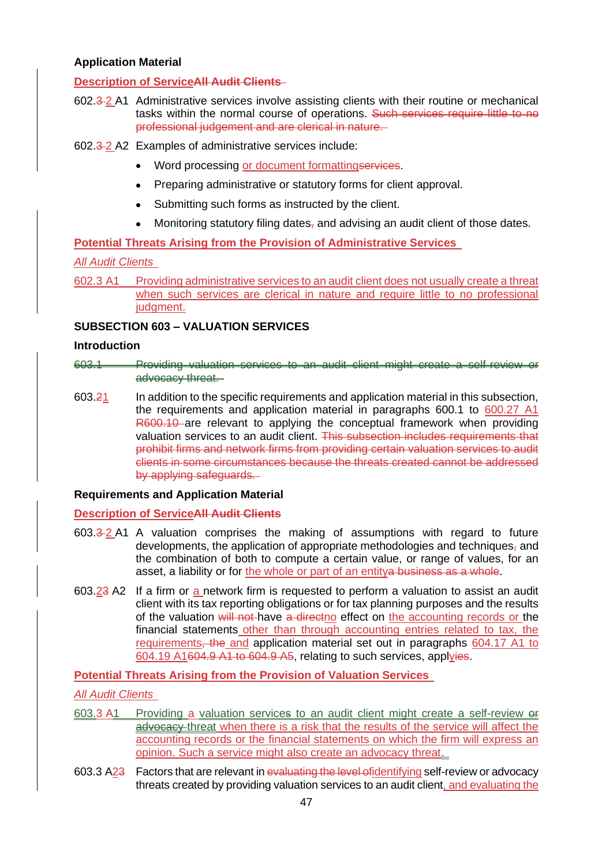## **Application Material**

## **Description of ServiceAll Audit Clients**

- 602.3 2 A1 Administrative services involve assisting clients with their routine or mechanical tasks within the normal course of operations. Such services require little to no professional judgement and are clerical in nature.
- 602.3 2 A2 Examples of administrative services include:
	- Word processing or document formattingservices.
	- Preparing administrative or statutory forms for client approval.
	- Submitting such forms as instructed by the client.
	- Monitoring statutory filing dates $\frac{1}{2}$  and advising an audit client of those dates.

**Potential Threats Arising from the Provision of Administrative Services** 

### *All Audit Clients*

602.3 A1 Providing administrative services to an audit client does not usually create a threat when such services are clerical in nature and require little to no professional judgment.

### **SUBSECTION 603 – VALUATION SERVICES**

#### **Introduction**

- 603.1 Providing valuation services to an audit client might create a self-review or advocacy threat.
- 603. $\frac{21}{1}$  In addition to the specific requirements and application material in this subsection, the requirements and application material in paragraphs 600.1 to 600.27 A1 R600.10 are relevant to applying the conceptual framework when providing valuation services to an audit client. This subsection includes requirements that prohibit firms and network firms from providing certain valuation services to audit clients in some circumstances because the threats created cannot be addressed by applying safeguards.

#### **Requirements and Application Material**

#### **Description of ServiceAll Audit Clients**

- $603.3 2$  A1 A valuation comprises the making of assumptions with regard to future developments, the application of appropriate methodologies and techniques $_7$  and the combination of both to compute a certain value, or range of values, for an asset, a liability or for the whole or part of an entitya business as a whole.
- 603.23 A2 If a firm or a network firm is requested to perform a valuation to assist an audit client with its tax reporting obligations or for tax planning purposes and the results of the valuation will not have a directno effect on the accounting records or the financial statements other than through accounting entries related to tax, the requirements, the and application material set out in paragraphs 604.17 A1 to 604.19 A1604.9 A1 to 604.9 A5, relating to such services, applyies.

### **Potential Threats Arising from the Provision of Valuation Services**

#### *All Audit Clients*

- 603.3 A1 Providing a valuation services to an audit client might create a self-review or advocacy threat when there is a risk that the results of the service will affect the accounting records or the financial statements on which the firm will express an opinion. Such a service might also create an advocacy threat.
- 603.3 A23 Factors that are relevant in evaluating the level ofidentifying self-review or advocacy threats created by providing valuation services to an audit client, and evaluating the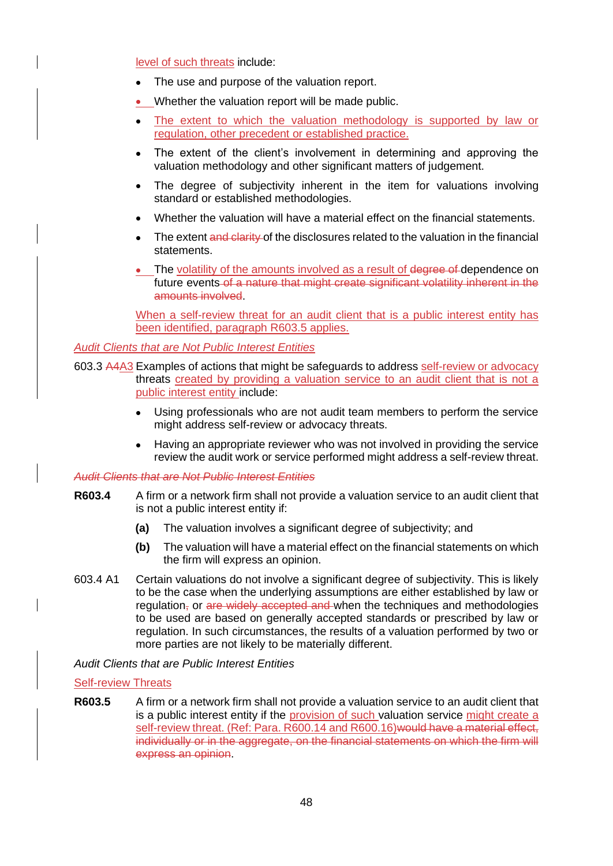level of such threats include:

- The use and purpose of the valuation report.
- Whether the valuation report will be made public.
- The extent to which the valuation methodology is supported by law or regulation, other precedent or established practice.
- The extent of the client's involvement in determining and approving the valuation methodology and other significant matters of judgement.
- The degree of subjectivity inherent in the item for valuations involving standard or established methodologies.
- Whether the valuation will have a material effect on the financial statements.
- The extent and clarity of the disclosures related to the valuation in the financial statements.
- The volatility of the amounts involved as a result of degree of dependence on future events of a nature that might create significant volatility inherent in the amounts involved.

When a self-review threat for an audit client that is a public interest entity has been identified, paragraph R603.5 applies.

*Audit Clients that are Not Public Interest Entities*

- 603.3 A4A3 Examples of actions that might be safeguards to address self-review or advocacy threats created by providing a valuation service to an audit client that is not a public interest entity include:
	- Using professionals who are not audit team members to perform the service might address self-review or advocacy threats.
	- Having an appropriate reviewer who was not involved in providing the service review the audit work or service performed might address a self-review threat.

#### *Audit Clients that are Not Public Interest Entities*

- **R603.4** A firm or a network firm shall not provide a valuation service to an audit client that is not a public interest entity if:
	- **(a)** The valuation involves a significant degree of subjectivity; and
	- **(b)** The valuation will have a material effect on the financial statements on which the firm will express an opinion.
- 603.4 A1 Certain valuations do not involve a significant degree of subjectivity. This is likely to be the case when the underlying assumptions are either established by law or regulation, or are widely accepted and when the techniques and methodologies to be used are based on generally accepted standards or prescribed by law or regulation. In such circumstances, the results of a valuation performed by two or more parties are not likely to be materially different.

*Audit Clients that are Public Interest Entities*

#### Self-review Threats

**R603.5** A firm or a network firm shall not provide a valuation service to an audit client that is a public interest entity if the provision of such valuation service might create a self-review threat. (Ref: Para. R600.14 and R600.16) would have a material effect, individually or in the aggregate, on the financial statements on which the firm will express an opinion.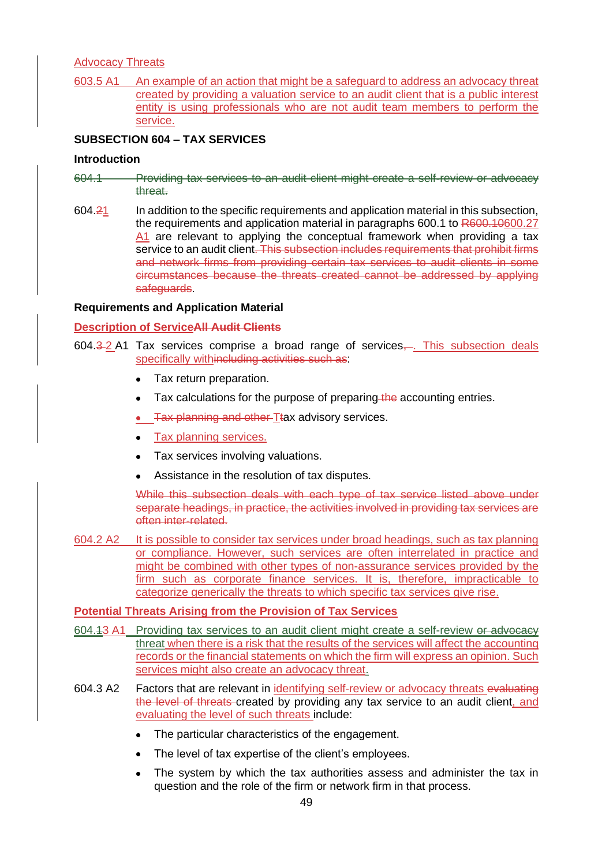# Advocacy Threats

603.5 A1 An example of an action that might be a safeguard to address an advocacy threat created by providing a valuation service to an audit client that is a public interest entity is using professionals who are not audit team members to perform the service.

## **SUBSECTION 604 – TAX SERVICES**

#### **Introduction**

- 604.1 Providing tax services to an audit client might create a self-review or advocacy threat.
- 604.21 In addition to the specific requirements and application material in this subsection, the requirements and application material in paragraphs 600.1 to R600.10600.27 A1 are relevant to applying the conceptual framework when providing a tax service to an audit client. This subsection includes requirements that prohibit firms and network firms from providing certain tax services to audit clients in some circumstances because the threats created cannot be addressed by applying safeguards.

#### **Requirements and Application Material**

#### **Description of ServiceAll Audit Clients**

- 604.3-2 A1 Tax services comprise a broad range of services,... This subsection deals specifically withincluding activities such as:
	- Tax return preparation.
	- Tax calculations for the purpose of preparing the accounting entries.
	- Tax planning and other Ttax advisory services.
	- Tax planning services.
	- Tax services involving valuations.
	- Assistance in the resolution of tax disputes.

While this subsection deals with each type of tax service listed above under separate headings, in practice, the activities involved in providing tax services are often inter-related.

604.2 A2 It is possible to consider tax services under broad headings, such as tax planning or compliance. However, such services are often interrelated in practice and might be combined with other types of non-assurance services provided by the firm such as corporate finance services. It is, therefore, impracticable to categorize generically the threats to which specific tax services give rise.

### **Potential Threats Arising from the Provision of Tax Services**

- 604.43 A1 Providing tax services to an audit client might create a self-review or advocacy threat when there is a risk that the results of the services will affect the accounting records or the financial statements on which the firm will express an opinion. Such services might also create an advocacy threat.
- 604.3 A2 Factors that are relevant in identifying self-review or advocacy threats evaluating the level of threats created by providing any tax service to an audit client, and evaluating the level of such threats include:
	- The particular characteristics of the engagement.
	- The level of tax expertise of the client's employees.
	- The system by which the tax authorities assess and administer the tax in question and the role of the firm or network firm in that process.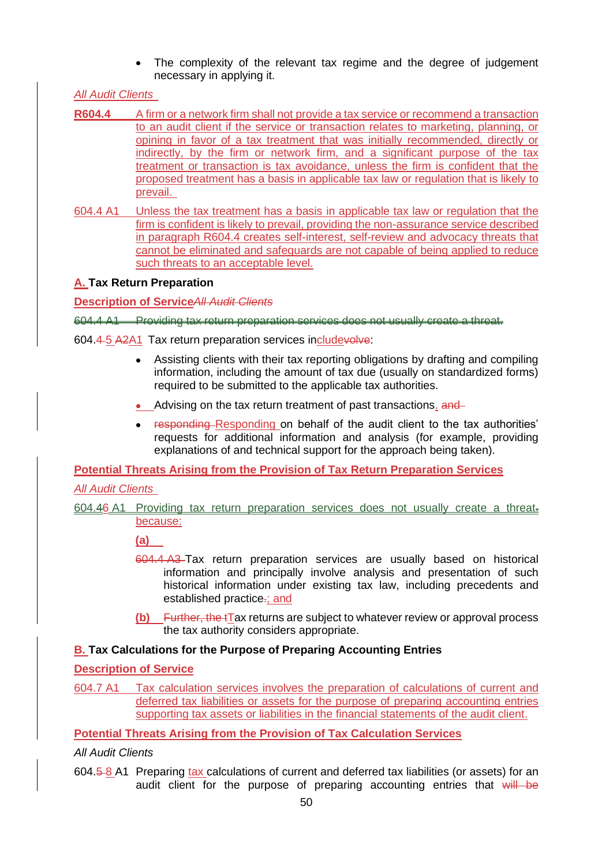• The complexity of the relevant tax regime and the degree of judgement necessary in applying it.

# *All Audit Clients*

- **R604.4** A firm or a network firm shall not provide a tax service or recommend a transaction to an audit client if the service or transaction relates to marketing, planning, or opining in favor of a tax treatment that was initially recommended, directly or indirectly, by the firm or network firm, and a significant purpose of the tax treatment or transaction is tax avoidance, unless the firm is confident that the proposed treatment has a basis in applicable tax law or regulation that is likely to prevail.
- 604.4 A1 Unless the tax treatment has a basis in applicable tax law or regulation that the firm is confident is likely to prevail, providing the non-assurance service described in paragraph R604.4 creates self-interest, self-review and advocacy threats that cannot be eliminated and safeguards are not capable of being applied to reduce such threats to an acceptable level.

# **A. Tax Return Preparation**

**Description of Service***All Audit Clients*

604.4 A1 Providing tax return preparation services does not usually create a threat.

- 604.4 5 A2A1 Tax return preparation services includevolve:
	- Assisting clients with their tax reporting obligations by drafting and compiling information, including the amount of tax due (usually on standardized forms) required to be submitted to the applicable tax authorities.
	- Advising on the tax return treatment of past transactions. and
	- responding Responding on behalf of the audit client to the tax authorities' requests for additional information and analysis (for example, providing explanations of and technical support for the approach being taken).

**Potential Threats Arising from the Provision of Tax Return Preparation Services**

# *All Audit Clients*

604.46 A1 Providing tax return preparation services does not usually create a threat. because:

**(a)**

- 604.4 A3 Tax return preparation services are usually based on historical information and principally involve analysis and presentation of such historical information under existing tax law, including precedents and established practice-; and
- **(b)** Further, the tTax returns are subject to whatever review or approval process the tax authority considers appropriate.

# **B. Tax Calculations for the Purpose of Preparing Accounting Entries**

**Description of Service**

604.7 A1 Tax calculation services involves the preparation of calculations of current and deferred tax liabilities or assets for the purpose of preparing accounting entries supporting tax assets or liabilities in the financial statements of the audit client.

**Potential Threats Arising from the Provision of Tax Calculation Services**

*All Audit Clients* 

604.5 8 A1 Preparing tax calculations of current and deferred tax liabilities (or assets) for an audit client for the purpose of preparing accounting entries that will be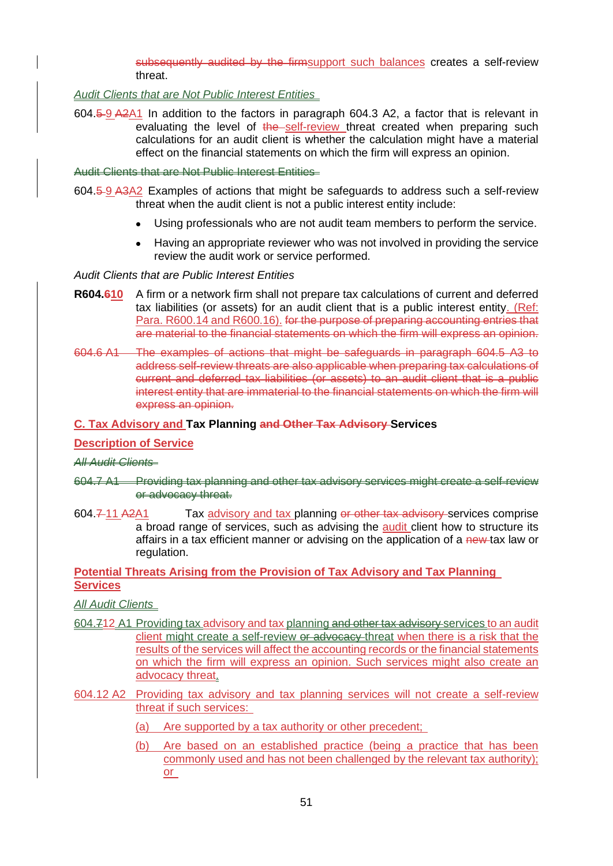subsequently audited by the firmsupport such balances creates a self-review threat.

*Audit Clients that are Not Public Interest Entities* 

604.5 9 A2A1 In addition to the factors in paragraph 604.3 A2, a factor that is relevant in evaluating the level of the self-review threat created when preparing such calculations for an audit client is whether the calculation might have a material effect on the financial statements on which the firm will express an opinion.

Audit Clients that are Not Public Interest Entities

- 604.5 9 A3A2 Examples of actions that might be safeguards to address such a self-review threat when the audit client is not a public interest entity include:
	- Using professionals who are not audit team members to perform the service.
	- Having an appropriate reviewer who was not involved in providing the service review the audit work or service performed.

*Audit Clients that are Public Interest Entities*

- **R604.610** A firm or a network firm shall not prepare tax calculations of current and deferred tax liabilities (or assets) for an audit client that is a public interest entity. (Ref: Para. R600.14 and R600.16). for the purpose of preparing accounting entries that are material to the financial statements on which the firm will express an opinion.
- 604.6 A1 The examples of actions that might be safeguards in paragraph 604.5 A3 to address self-review threats are also applicable when preparing tax calculations of current and deferred tax liabilities (or assets) to an audit client that is a public interest entity that are immaterial to the financial statements on which the firm will express an opinion.

#### **C. Tax Advisory and Tax Planning and Other Tax Advisory Services**

#### **Description of Service**

#### *All Audit Clients*

- 604.7 A1 Providing tax planning and other tax advisory services might create a self-review or advocacy threat.
- 604.7 11 A2A1 Tax advisory and tax planning or other tax advisory services comprise a broad range of services, such as advising the **audit** client how to structure its affairs in a tax efficient manner or advising on the application of a new-tax law or regulation.

#### **Potential Threats Arising from the Provision of Tax Advisory and Tax Planning Services**

*All Audit Clients* 

- 604.712 A1 Providing tax advisory and tax planning and other tax advisory services to an audit client might create a self-review or advocacy threat when there is a risk that the results of the services will affect the accounting records or the financial statements on which the firm will express an opinion. Such services might also create an advocacy threat.
- 604.12 A2 Providing tax advisory and tax planning services will not create a self-review threat if such services:
	- (a) Are supported by a tax authority or other precedent;
	- (b) Are based on an established practice (being a practice that has been commonly used and has not been challenged by the relevant tax authority); or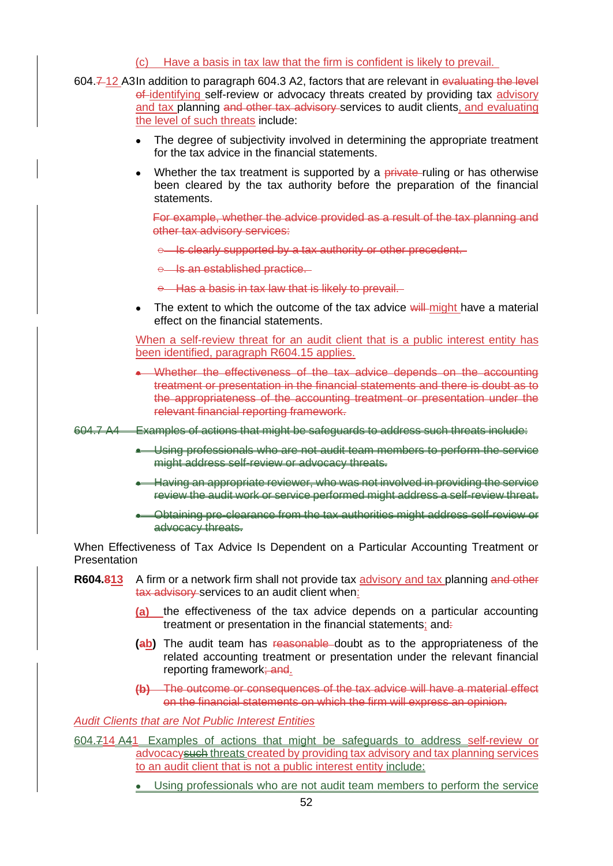### (c) Have a basis in tax law that the firm is confident is likely to prevail.

- 604.7-12 A3In addition to paragraph 604.3 A2, factors that are relevant in evaluating the level of-identifying self-review or advocacy threats created by providing tax advisory and tax planning and other tax advisory services to audit clients, and evaluating the level of such threats include:
	- The degree of subjectivity involved in determining the appropriate treatment for the tax advice in the financial statements.
	- Whether the tax treatment is supported by a private-ruling or has otherwise been cleared by the tax authority before the preparation of the financial statements.

For example, whether the advice provided as a result of the tax planning and other tax advisory services:

- $\theta$  Is clearly supported by a tax authority or other precedent.
- e Is an established practice.

 $\theta$  Has a basis in tax law that is likely to prevail.

The extent to which the outcome of the tax advice will might have a material effect on the financial statements.

When a self-review threat for an audit client that is a public interest entity has been identified, paragraph R604.15 applies.

• Whether the effectiveness of the tax advice depends on the accounting treatment or presentation in the financial statements and there is doubt as to the appropriateness of the accounting treatment or presentation under the relevant financial reporting framework.

604.7 A4 Examples of actions that might be safeguards to address such threats include:

- Using professionals who are not audit team members to perform the service might address self-review or advocacy threats.
- Having an appropriate reviewer, who was not involved in providing the service review the audit work or service performed might address a self-review threat.
- Obtaining pre-clearance from the tax authorities might address self-review or advocacy threats.

When Effectiveness of Tax Advice Is Dependent on a Particular Accounting Treatment or **Presentation** 

- **R604.813** A firm or a network firm shall not provide tax advisory and tax planning and other tax advisory services to an audit client when:
	- **(a)** the effectiveness of the tax advice depends on a particular accounting treatment or presentation in the financial statements; and.
	- **(ab)** The audit team has reasonable doubt as to the appropriateness of the related accounting treatment or presentation under the relevant financial reporting framework; and.
	- **(b)** The outcome or consequences of the tax advice will have a material effect on the financial statements on which the firm will express an opinion.

## *Audit Clients that are Not Public Interest Entities*

604.714 A41 Examples of actions that might be safeguards to address self-review or advocacysuch threats created by providing tax advisory and tax planning services to an audit client that is not a public interest entity include:

• Using professionals who are not audit team members to perform the service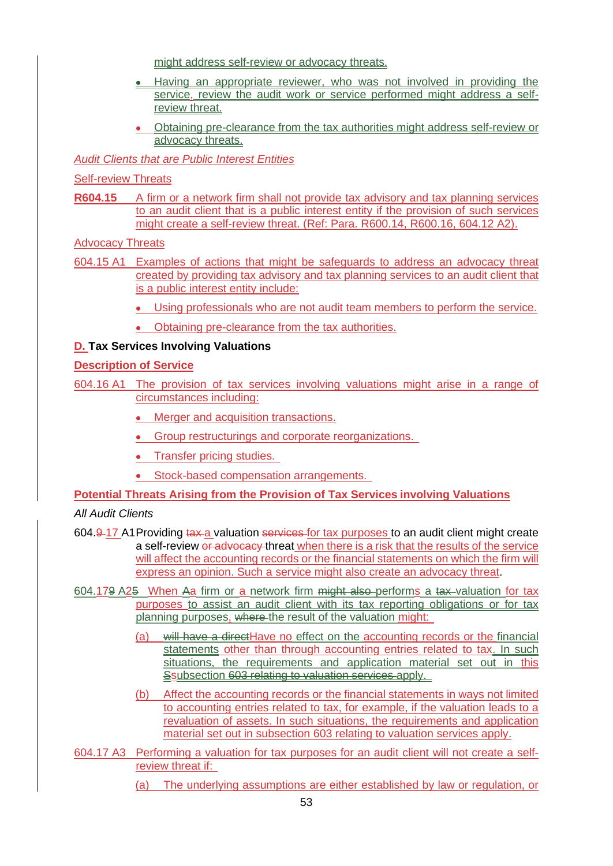might address self-review or advocacy threats.

- Having an appropriate reviewer, who was not involved in providing the service, review the audit work or service performed might address a selfreview threat.
- Obtaining pre-clearance from the tax authorities might address self-review or advocacy threats.

*Audit Clients that are Public Interest Entities*

Self-review Threats

**R604.15** A firm or a network firm shall not provide tax advisory and tax planning services to an audit client that is a public interest entity if the provision of such services might create a self-review threat. (Ref: Para. R600.14, R600.16, 604.12 A2).

Advocacy Threats

- 604.15 A1 Examples of actions that might be safeguards to address an advocacy threat created by providing tax advisory and tax planning services to an audit client that is a public interest entity include:
	- Using professionals who are not audit team members to perform the service.
	- Obtaining pre-clearance from the tax authorities.

## **D. Tax Services Involving Valuations**

### **Description of Service**

- 604.16 A1 The provision of tax services involving valuations might arise in a range of circumstances including:
	- Merger and acquisition transactions.
	- Group restructurings and corporate reorganizations.
	- Transfer pricing studies.
	- Stock-based compensation arrangements.

#### **Potential Threats Arising from the Provision of Tax Services involving Valuations**

*All Audit Clients*

- 604.9-17 A1 Providing tax a valuation services for tax purposes to an audit client might create a self-review or advocacy threat when there is a risk that the results of the service will affect the accounting records or the financial statements on which the firm will express an opinion. Such a service might also create an advocacy threat.
- 604.179 A25 When Aa firm or a network firm might also performs a tax valuation for tax purposes to assist an audit client with its tax reporting obligations or for tax planning purposes, where the result of the valuation might:
	- (a) will have a directHave no effect on the accounting records or the financial statements other than through accounting entries related to tax. In such situations, the requirements and application material set out in this Ssubsection 603 relating to valuation services apply.
	- (b) Affect the accounting records or the financial statements in ways not limited to accounting entries related to tax, for example, if the valuation leads to a revaluation of assets. In such situations, the requirements and application material set out in subsection 603 relating to valuation services apply.
- 604.17 A3 Performing a valuation for tax purposes for an audit client will not create a selfreview threat if:
	- (a) The underlying assumptions are either established by law or regulation, or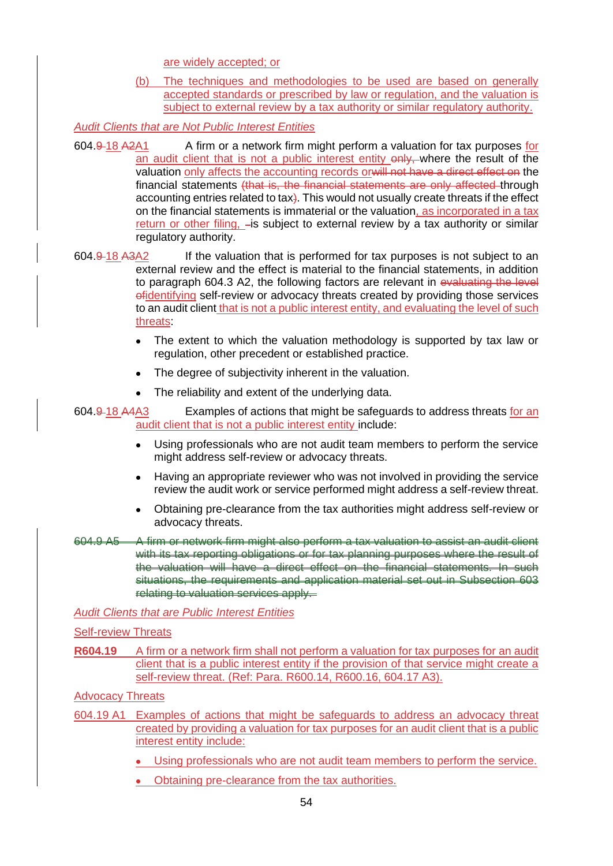are widely accepted; or

(b) The techniques and methodologies to be used are based on generally accepted standards or prescribed by law or regulation, and the valuation is subject to external review by a tax authority or similar regulatory authority.

*Audit Clients that are Not Public Interest Entities*

604.9 18 A2A1 A firm or a network firm might perform a valuation for tax purposes for an audit client that is not a public interest entity only, where the result of the valuation only affects the accounting records orwill not have a direct effect on the financial statements (that is, the financial statements are only affected through accounting entries related to tax). This would not usually create threats if the effect on the financial statements is immaterial or the valuation, as incorporated in a tax return or other filing,  $-$ is subject to external review by a tax authority or similar regulatory authority.

- 604.9 18 A3A2 If the valuation that is performed for tax purposes is not subject to an external review and the effect is material to the financial statements, in addition to paragraph 604.3 A2, the following factors are relevant in evaluating the level ofidentifying self-review or advocacy threats created by providing those services to an audit client that is not a public interest entity, and evaluating the level of such threats:
	- The extent to which the valuation methodology is supported by tax law or regulation, other precedent or established practice.
	- The degree of subjectivity inherent in the valuation.
	- The reliability and extent of the underlying data.
- 604.9 18 A4A3 Examples of actions that might be safeguards to address threats for an audit client that is not a public interest entity include:
	- Using professionals who are not audit team members to perform the service might address self-review or advocacy threats.
	- Having an appropriate reviewer who was not involved in providing the service review the audit work or service performed might address a self-review threat.
	- Obtaining pre-clearance from the tax authorities might address self-review or advocacy threats.
- 604.9 A5 A firm or network firm might also perform a tax valuation to assist an audit client with its tax reporting obligations or for tax planning purposes where the result of the valuation will have a direct effect on the financial statements. In such situations, the requirements and application material set out in Subsection 603 relating to valuation services apply.

*Audit Clients that are Public Interest Entities*

## Self-review Threats

**R604.19** A firm or a network firm shall not perform a valuation for tax purposes for an audit client that is a public interest entity if the provision of that service might create a self-review threat. (Ref: Para. R600.14, R600.16, 604.17 A3).

Advocacy Threats

- 604.19 A1 Examples of actions that might be safeguards to address an advocacy threat created by providing a valuation for tax purposes for an audit client that is a public interest entity include:
	- Using professionals who are not audit team members to perform the service.
	- Obtaining pre-clearance from the tax authorities.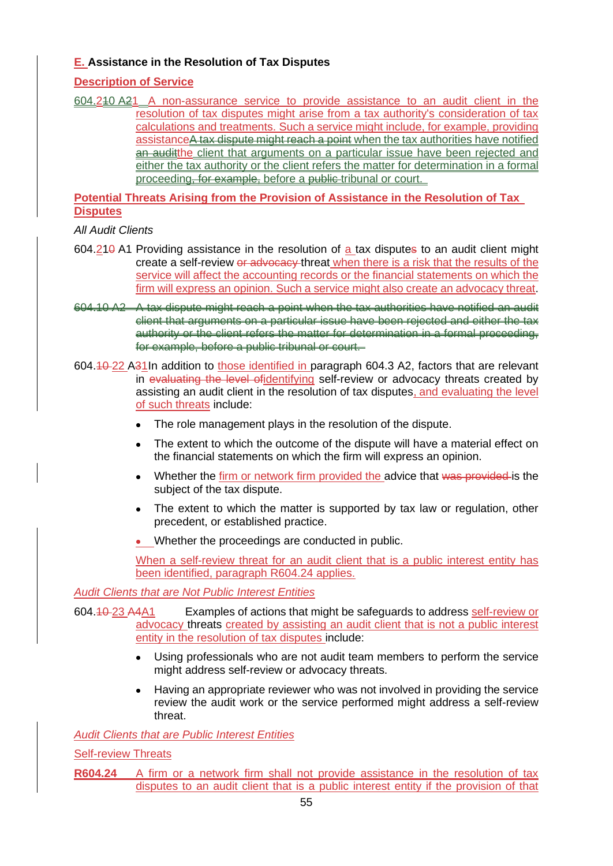# **E. Assistance in the Resolution of Tax Disputes**

# **Description of Service**

604.210 A21 A non-assurance service to provide assistance to an audit client in the resolution of tax disputes might arise from a tax authority's consideration of tax calculations and treatments. Such a service might include, for example, providing assistanceA tax dispute might reach a point when the tax authorities have notified an auditthe client that arguments on a particular issue have been rejected and either the tax authority or the client refers the matter for determination in a formal proceeding, for example, before a public tribunal or court.

**Potential Threats Arising from the Provision of Assistance in the Resolution of Tax Disputes**

## *All Audit Clients*

- 604.210 A1 Providing assistance in the resolution of a tax disputes to an audit client might create a self-review or advocacy threat when there is a risk that the results of the service will affect the accounting records or the financial statements on which the firm will express an opinion. Such a service might also create an advocacy threat.
- 604.10 A2 A tax dispute might reach a point when the tax authorities have notified an audit client that arguments on a particular issue have been rejected and either the tax authority or the client refers the matter for determination in a formal proceeding, for example, before a public tribunal or court.
- 604.10 22 A31In addition to those identified in paragraph 604.3 A2, factors that are relevant in evaluating the level ofidentifying self-review or advocacy threats created by assisting an audit client in the resolution of tax disputes, and evaluating the level of such threats include:
	- The role management plays in the resolution of the dispute.
	- The extent to which the outcome of the dispute will have a material effect on the financial statements on which the firm will express an opinion.
	- Whether the firm or network firm provided the advice that was provided is the subject of the tax dispute.
	- The extent to which the matter is supported by tax law or regulation, other precedent, or established practice.
	- Whether the proceedings are conducted in public.

When a self-review threat for an audit client that is a public interest entity has been identified, paragraph R604.24 applies.

*Audit Clients that are Not Public Interest Entities*

604.10 23 A4A1 Examples of actions that might be safeguards to address self-review or advocacy threats created by assisting an audit client that is not a public interest entity in the resolution of tax disputes include:

- Using professionals who are not audit team members to perform the service might address self-review or advocacy threats.
- Having an appropriate reviewer who was not involved in providing the service review the audit work or the service performed might address a self-review threat.

# *Audit Clients that are Public Interest Entities*

Self-review Threats

**R604.24** A firm or a network firm shall not provide assistance in the resolution of tax disputes to an audit client that is a public interest entity if the provision of that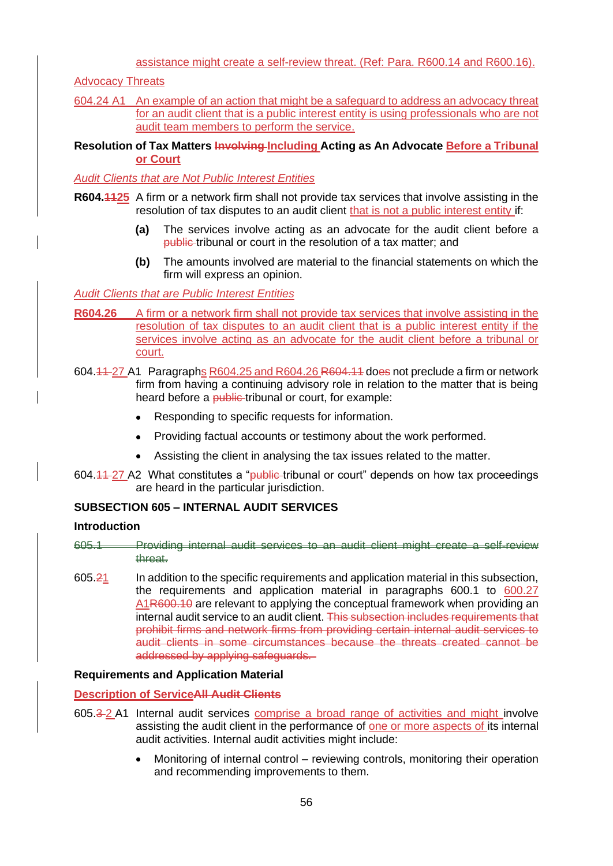assistance might create a self-review threat. (Ref: Para. R600.14 and R600.16).

Advocacy Threats

604.24 A1 An example of an action that might be a safeguard to address an advocacy threat for an audit client that is a public interest entity is using professionals who are not audit team members to perform the service.

## **Resolution of Tax Matters Involving Including Acting as An Advocate Before a Tribunal or Court**

*Audit Clients that are Not Public Interest Entities*

- **R604.1125** A firm or a network firm shall not provide tax services that involve assisting in the resolution of tax disputes to an audit client that is not a public interest entity if:
	- **(a)** The services involve acting as an advocate for the audit client before a public tribunal or court in the resolution of a tax matter; and
	- **(b)** The amounts involved are material to the financial statements on which the firm will express an opinion.

## *Audit Clients that are Public Interest Entities*

- **R604.26** A firm or a network firm shall not provide tax services that involve assisting in the resolution of tax disputes to an audit client that is a public interest entity if the services involve acting as an advocate for the audit client before a tribunal or court.
- 604.11 27 A1 Paragraphs R604.25 and R604.26 R604.11 does not preclude a firm or network firm from having a continuing advisory role in relation to the matter that is being heard before a public-tribunal or court, for example:
	- Responding to specific requests for information.
	- Providing factual accounts or testimony about the work performed.
	- Assisting the client in analysing the tax issues related to the matter.
- 604.44-27 A2 What constitutes a "public-tribunal or court" depends on how tax proceedings are heard in the particular jurisdiction.

## **SUBSECTION 605 – INTERNAL AUDIT SERVICES**

#### **Introduction**

- 605.1 Providing internal audit services to an audit client might create a self-review threat.
- 605.21 In addition to the specific requirements and application material in this subsection, the requirements and application material in paragraphs 600.1 to 600.27 A1R600.10 are relevant to applying the conceptual framework when providing an internal audit service to an audit client. This subsection includes requirements that prohibit firms and network firms from providing certain internal audit services to audit clients in some circumstances because the threats created cannot be addressed by applying safeguards.

## **Requirements and Application Material**

### **Description of ServiceAll Audit Clients**

- 605.3-2 A1 Internal audit services comprise a broad range of activities and might involve assisting the audit client in the performance of one or more aspects of its internal audit activities. Internal audit activities might include:
	- Monitoring of internal control reviewing controls, monitoring their operation and recommending improvements to them.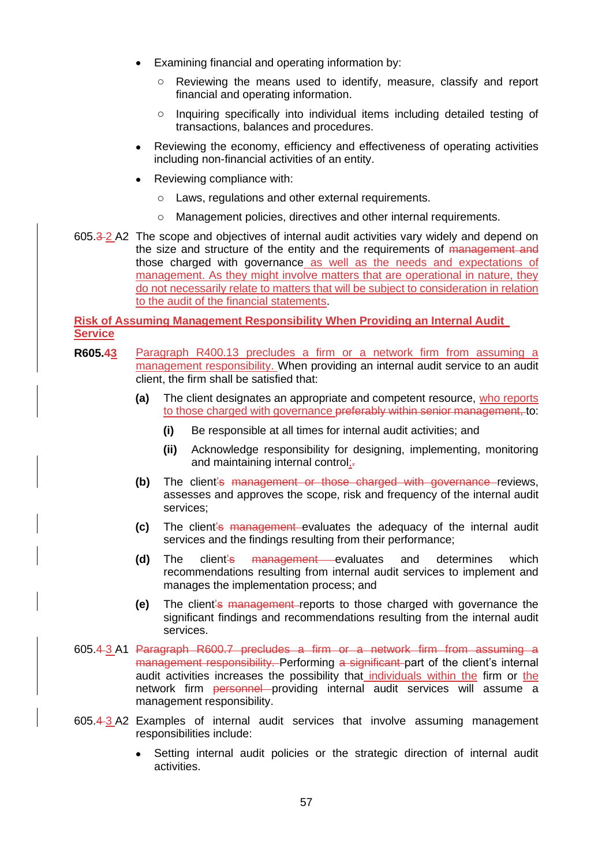- Examining financial and operating information by:
	- o Reviewing the means used to identify, measure, classify and report financial and operating information.
	- o Inquiring specifically into individual items including detailed testing of transactions, balances and procedures.
- Reviewing the economy, efficiency and effectiveness of operating activities including non-financial activities of an entity.
- Reviewing compliance with:
	- o Laws, regulations and other external requirements.
	- o Management policies, directives and other internal requirements.
- 605.3 2 A2 The scope and objectives of internal audit activities vary widely and depend on the size and structure of the entity and the requirements of management and those charged with governance as well as the needs and expectations of management. As they might involve matters that are operational in nature, they do not necessarily relate to matters that will be subject to consideration in relation to the audit of the financial statements.

**Risk of Assuming Management Responsibility When Providing an Internal Audit Service**

- **R605.43** Paragraph R400.13 precludes a firm or a network firm from assuming a management responsibility. When providing an internal audit service to an audit client, the firm shall be satisfied that:
	- **(a)** The client designates an appropriate and competent resource, who reports to those charged with governance preferably within senior management, to:
		- **(i)** Be responsible at all times for internal audit activities; and
		- **(ii)** Acknowledge responsibility for designing, implementing, monitoring and maintaining internal control;-
	- **(b)** The client's management or those charged with governance reviews, assesses and approves the scope, risk and frequency of the internal audit services;
	- **(c)** The client's management evaluates the adequacy of the internal audit services and the findings resulting from their performance;
	- **(d)** The client's management evaluates and determines which recommendations resulting from internal audit services to implement and manages the implementation process; and
	- **(e)** The client's management reports to those charged with governance the significant findings and recommendations resulting from the internal audit services.
- 605.4 3 A1 Paragraph R600.7 precludes a firm or a network firm from assuming a management responsibility. Performing a significant part of the client's internal audit activities increases the possibility that individuals within the firm or the network firm personnel providing internal audit services will assume a management responsibility.
- 605.4 3 A2 Examples of internal audit services that involve assuming management responsibilities include:
	- Setting internal audit policies or the strategic direction of internal audit activities.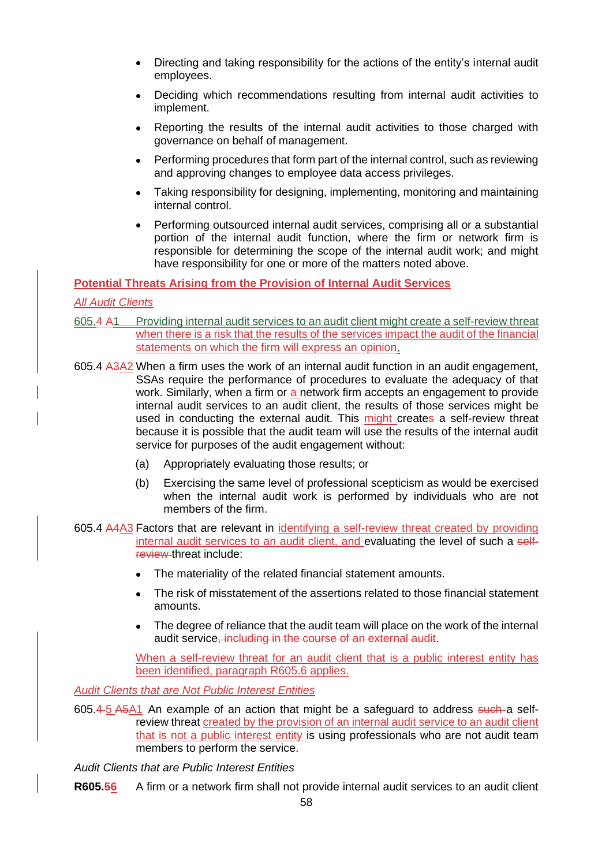- Directing and taking responsibility for the actions of the entity's internal audit employees.
- Deciding which recommendations resulting from internal audit activities to implement.
- Reporting the results of the internal audit activities to those charged with governance on behalf of management.
- Performing procedures that form part of the internal control, such as reviewing and approving changes to employee data access privileges.
- Taking responsibility for designing, implementing, monitoring and maintaining internal control.
- Performing outsourced internal audit services, comprising all or a substantial portion of the internal audit function, where the firm or network firm is responsible for determining the scope of the internal audit work; and might have responsibility for one or more of the matters noted above.

### **Potential Threats Arising from the Provision of Internal Audit Services**

### *All Audit Clients*

- 605.4 A1 Providing internal audit services to an audit client might create a self-review threat when there is a risk that the results of the services impact the audit of the financial statements on which the firm will express an opinion.
- 605.4 A3A2 When a firm uses the work of an internal audit function in an audit engagement, SSAs require the performance of procedures to evaluate the adequacy of that work. Similarly, when a firm or a network firm accepts an engagement to provide internal audit services to an audit client, the results of those services might be used in conducting the external audit. This might creates a self-review threat because it is possible that the audit team will use the results of the internal audit service for purposes of the audit engagement without:
	- (a) Appropriately evaluating those results; or
	- (b) Exercising the same level of professional scepticism as would be exercised when the internal audit work is performed by individuals who are not members of the firm.
- 605.4 A4A3 Factors that are relevant in identifying a self-review threat created by providing internal audit services to an audit client, and evaluating the level of such a selfreview threat include:
	- The materiality of the related financial statement amounts.
	- The risk of misstatement of the assertions related to those financial statement amounts.
	- The degree of reliance that the audit team will place on the work of the internal audit service, including in the course of an external audit.

When a self-review threat for an audit client that is a public interest entity has been identified, paragraph R605.6 applies.

*Audit Clients that are Not Public Interest Entities*

605.4-5 A5A1 An example of an action that might be a safeguard to address such a selfreview threat created by the provision of an internal audit service to an audit client that is not a public interest entity is using professionals who are not audit team members to perform the service.

*Audit Clients that are Public Interest Entities*

**R605.56** A firm or a network firm shall not provide internal audit services to an audit client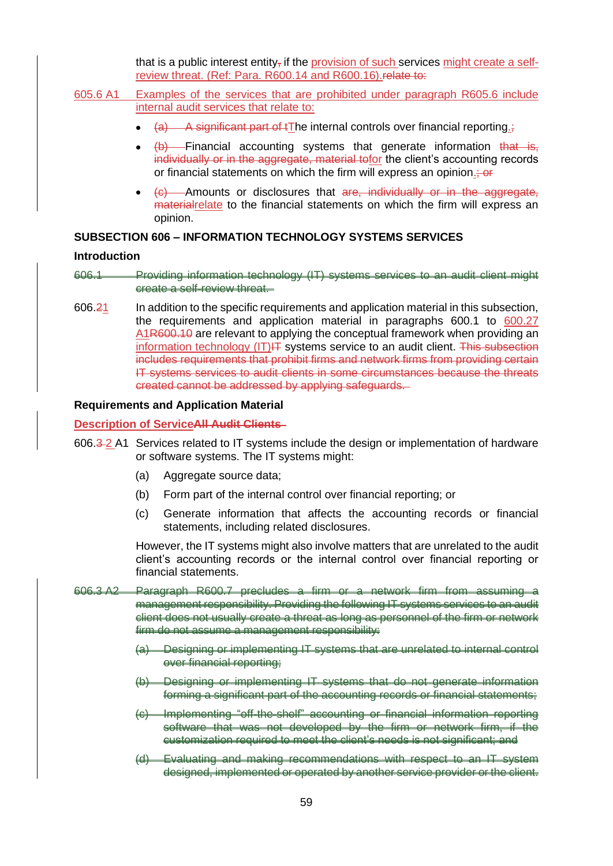that is a public interest entity<sub> $\tau$ </sub> if the provision of such services might create a selfreview threat. (Ref: Para. R600.14 and R600.16). relate to:

- 605.6 A1 Examples of the services that are prohibited under paragraph R605.6 include internal audit services that relate to:
	- $(a)$  A significant part of tThe internal controls over financial reporting.;
	- $\left\langle b\right\rangle$  Financial accounting systems that generate information that is, individually or in the aggregate, material tofor the client's accounting records or financial statements on which the firm will express an opinion.
	- (c) Amounts or disclosures that are, individually or in the aggregate, materialrelate to the financial statements on which the firm will express an opinion.

#### **SUBSECTION 606 – INFORMATION TECHNOLOGY SYSTEMS SERVICES**

#### **Introduction**

606.1 Providing information technology (IT) systems services to an audit client might create a self-review threat.

606.21 In addition to the specific requirements and application material in this subsection, the requirements and application material in paragraphs 600.1 to 600.27 A1R600.10 are relevant to applying the conceptual framework when providing an information technology  $(IT)$ <del>IT</del> systems service to an audit client. This subsection includes requirements that prohibit firms and network firms from providing certain IT systems services to audit clients in some circumstances because the threats created cannot be addressed by applying safeguards.

#### **Requirements and Application Material**

#### **Description of ServiceAll Audit Clients**

- 606.3 2 A1 Services related to IT systems include the design or implementation of hardware or software systems. The IT systems might:
	- (a) Aggregate source data;
	- (b) Form part of the internal control over financial reporting; or
	- (c) Generate information that affects the accounting records or financial statements, including related disclosures.

However, the IT systems might also involve matters that are unrelated to the audit client's accounting records or the internal control over financial reporting or financial statements.

- 606.3 A2 Paragraph R600.7 precludes a firm or a network firm from assuming a management responsibility. Providing the following IT systems services to an audit client does not usually create a threat as long as personnel of the firm or network firm do not assume a management responsibility:
	- (a) Designing or implementing IT systems that are unrelated to internal control over financial reporting;
	- (b) Designing or implementing IT systems that do not generate information forming a significant part of the accounting records or financial statements;
	- (c) Implementing "off-the-shelf" accounting or financial information reporting software that was not developed by the firm or network firm, if the customization required to meet the client's needs is not significant; and
	- (d) Evaluating and making recommendations with respect to an IT system designed, implemented or operated by another service provider or the client.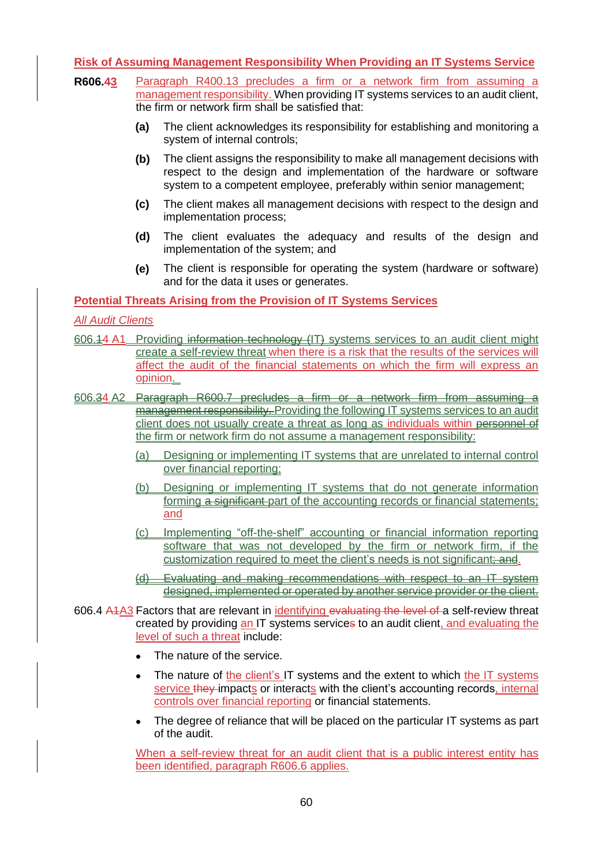## **Risk of Assuming Management Responsibility When Providing an IT Systems Service**

- **R606.43** Paragraph R400.13 precludes a firm or a network firm from assuming a management responsibility. When providing IT systems services to an audit client, the firm or network firm shall be satisfied that:
	- **(a)** The client acknowledges its responsibility for establishing and monitoring a system of internal controls;
	- **(b)** The client assigns the responsibility to make all management decisions with respect to the design and implementation of the hardware or software system to a competent employee, preferably within senior management;
	- **(c)** The client makes all management decisions with respect to the design and implementation process;
	- **(d)** The client evaluates the adequacy and results of the design and implementation of the system; and
	- **(e)** The client is responsible for operating the system (hardware or software) and for the data it uses or generates.

## **Potential Threats Arising from the Provision of IT Systems Services**

*All Audit Clients*

- 606.14 A1 Providing information technology (IT) systems services to an audit client might create a self-review threat when there is a risk that the results of the services will affect the audit of the financial statements on which the firm will express an opinion.
- 606.34 A2 Paragraph R600.7 precludes a firm or a network firm from assuming management responsibility. Providing the following IT systems services to an audit client does not usually create a threat as long as individuals within personnel of the firm or network firm do not assume a management responsibility:
	- (a) Designing or implementing IT systems that are unrelated to internal control over financial reporting;
	- (b) Designing or implementing IT systems that do not generate information forming a significant part of the accounting records or financial statements; and
	- (c) Implementing "off-the-shelf" accounting or financial information reporting software that was not developed by the firm or network firm, if the customization required to meet the client's needs is not significant; and.
	- (d) Evaluating and making recommendations with respect to an IT system designed, implemented or operated by another service provider or the client.
- 606.4 A4A3 Factors that are relevant in identifying evaluating the level of a self-review threat created by providing an IT systems services to an audit client, and evaluating the level of such a threat include:
	- The nature of the service.
	- The nature of the client's IT systems and the extent to which the IT systems service they impacts or interacts with the client's accounting records, internal controls over financial reporting or financial statements.
	- The degree of reliance that will be placed on the particular IT systems as part of the audit.

When a self-review threat for an audit client that is a public interest entity has been identified, paragraph R606.6 applies.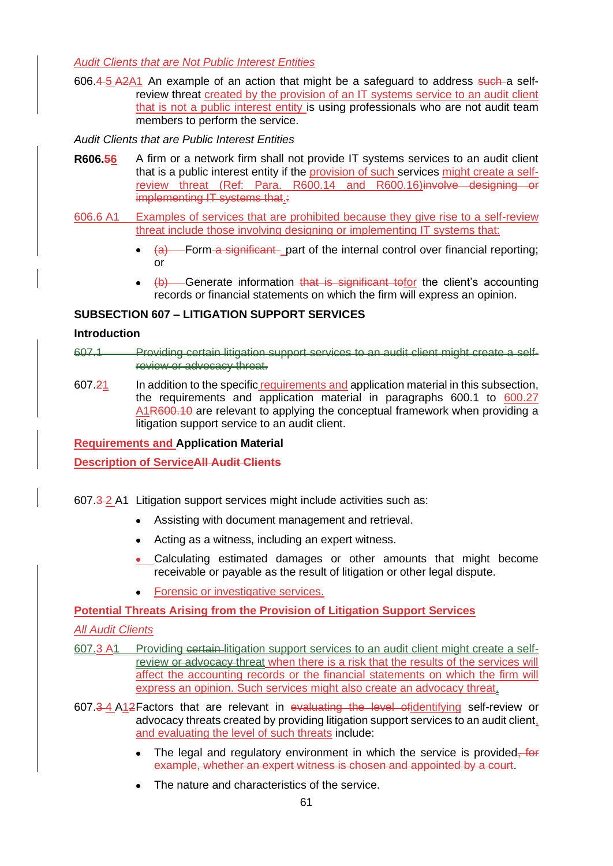*Audit Clients that are Not Public Interest Entities*

606.4- $5$  A2A1 An example of an action that might be a safeguard to address such a selfreview threat created by the provision of an IT systems service to an audit client that is not a public interest entity is using professionals who are not audit team members to perform the service.

*Audit Clients that are Public Interest Entities*

- **R606.56** A firm or a network firm shall not provide IT systems services to an audit client that is a public interest entity if the provision of such services might create a selfreview threat (Ref: Para. R600.14 and R600.16)involve designing or implementing IT systems that.:
- 606.6 A1 Examples of services that are prohibited because they give rise to a self-review threat include those involving designing or implementing IT systems that:
	- (a) Form a significant part of the internal control over financial reporting; or
	- $\downarrow$ b) Generate information that is significant tofor the client's accounting records or financial statements on which the firm will express an opinion.

## **SUBSECTION 607 – LITIGATION SUPPORT SERVICES**

### **Introduction**

607.1 Providing certain litigation support services to an audit client might create a selfreview or advocacy threat.

607.21 In addition to the specific requirements and application material in this subsection, the requirements and application material in paragraphs 600.1 to 600.27 A1R600.10 are relevant to applying the conceptual framework when providing a litigation support service to an audit client.

**Requirements and Application Material**

**Description of ServiceAll Audit Clients**

607.3 2 A1 Litigation support services might include activities such as:

- Assisting with document management and retrieval.
- Acting as a witness, including an expert witness.
- Calculating estimated damages or other amounts that might become receivable or payable as the result of litigation or other legal dispute.
- Forensic or investigative services.

**Potential Threats Arising from the Provision of Litigation Support Services**

*All Audit Clients*

- 607.3 A1 Providing certain litigation support services to an audit client might create a selfreview or advocacy threat when there is a risk that the results of the services will affect the accounting records or the financial statements on which the firm will express an opinion. Such services might also create an advocacy threat.
- 607.3 4 A12Factors that are relevant in evaluating the level ofidentifying self-review or advocacy threats created by providing litigation support services to an audit client, and evaluating the level of such threats include:
	- The legal and regulatory environment in which the service is provided, for example, whether an expert witness is chosen and appointed by a court.
	- The nature and characteristics of the service.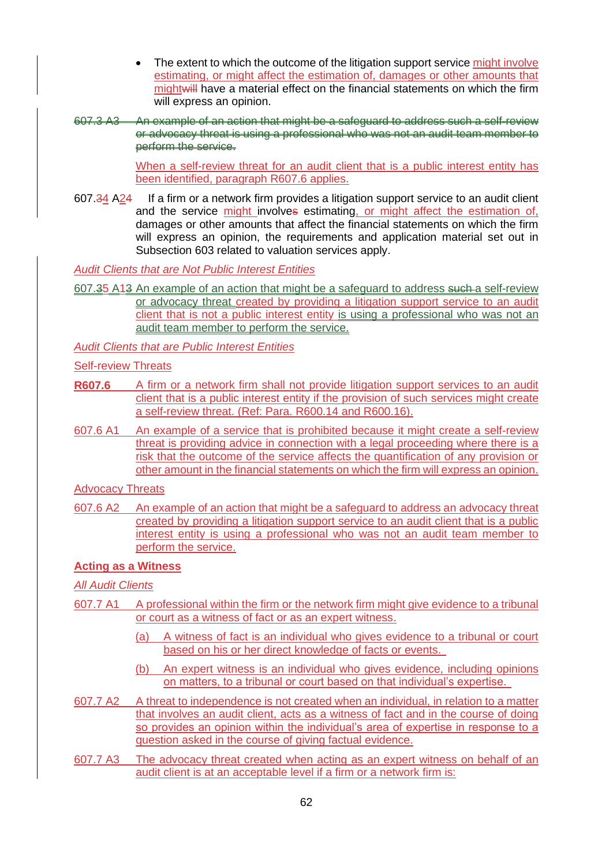- The extent to which the outcome of the litigation support service might involve estimating, or might affect the estimation of, damages or other amounts that mightwill have a material effect on the financial statements on which the firm will express an opinion.
- 607.3 A3 An example of an action that might be a safeguard to address such a self-review or advocacy threat is using a professional who was not an audit team member to perform the service.

When a self-review threat for an audit client that is a public interest entity has been identified, paragraph R607.6 applies.

607.34 A24 If a firm or a network firm provides a litigation support service to an audit client and the service might involves estimating, or might affect the estimation of, damages or other amounts that affect the financial statements on which the firm will express an opinion, the requirements and application material set out in Subsection 603 related to valuation services apply.

*Audit Clients that are Not Public Interest Entities*

607.35 A13 An example of an action that might be a safeguard to address such a self-review or advocacy threat created by providing a litigation support service to an audit client that is not a public interest entity is using a professional who was not an audit team member to perform the service.

*Audit Clients that are Public Interest Entities*

Self-review Threats

- **R607.6** A firm or a network firm shall not provide litigation support services to an audit client that is a public interest entity if the provision of such services might create a self-review threat. (Ref: Para. R600.14 and R600.16).
- 607.6 A1 An example of a service that is prohibited because it might create a self-review threat is providing advice in connection with a legal proceeding where there is a risk that the outcome of the service affects the quantification of any provision or other amount in the financial statements on which the firm will express an opinion.

Advocacy Threats

607.6 A2 An example of an action that might be a safeguard to address an advocacy threat created by providing a litigation support service to an audit client that is a public interest entity is using a professional who was not an audit team member to perform the service.

#### **Acting as a Witness**

*All Audit Clients*

- 607.7 A1 A professional within the firm or the network firm might give evidence to a tribunal or court as a witness of fact or as an expert witness.
	- (a) A witness of fact is an individual who gives evidence to a tribunal or court based on his or her direct knowledge of facts or events.
	- (b) An expert witness is an individual who gives evidence, including opinions on matters, to a tribunal or court based on that individual's expertise.
- 607.7 A2 A threat to independence is not created when an individual, in relation to a matter that involves an audit client, acts as a witness of fact and in the course of doing so provides an opinion within the individual's area of expertise in response to a question asked in the course of giving factual evidence.
- 607.7 A3 The advocacy threat created when acting as an expert witness on behalf of an audit client is at an acceptable level if a firm or a network firm is: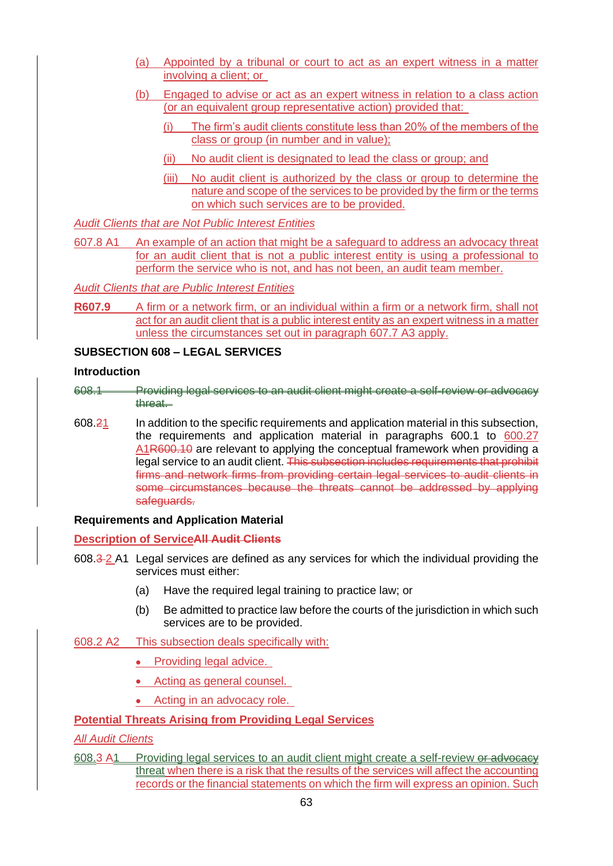- (a) Appointed by a tribunal or court to act as an expert witness in a matter involving a client; or
- (b) Engaged to advise or act as an expert witness in relation to a class action (or an equivalent group representative action) provided that:
	- (i) The firm's audit clients constitute less than 20% of the members of the class or group (in number and in value);
	- (ii) No audit client is designated to lead the class or group; and
	- (iii) No audit client is authorized by the class or group to determine the nature and scope of the services to be provided by the firm or the terms on which such services are to be provided.

*Audit Clients that are Not Public Interest Entities*

607.8 A1 An example of an action that might be a safeguard to address an advocacy threat for an audit client that is not a public interest entity is using a professional to perform the service who is not, and has not been, an audit team member.

*Audit Clients that are Public Interest Entities*

**R607.9** A firm or a network firm, or an individual within a firm or a network firm, shall not act for an audit client that is a public interest entity as an expert witness in a matter unless the circumstances set out in paragraph 607.7 A3 apply.

## **SUBSECTION 608 – LEGAL SERVICES**

#### **Introduction**

- 608.1 Providing legal services to an audit client might create a self-review or advocacy threat.
- 608.21 In addition to the specific requirements and application material in this subsection, the requirements and application material in paragraphs 600.1 to 600.27 A1R600.10 are relevant to applying the conceptual framework when providing a legal service to an audit client. This subsection includes requirements that prohibit firms and network firms from providing certain legal services to audit clients in some circumstances because the threats cannot be addressed by applying safeguards.

#### **Requirements and Application Material**

#### **Description of ServiceAll Audit Clients**

- 608.3 2 A1 Legal services are defined as any services for which the individual providing the services must either:
	- (a) Have the required legal training to practice law; or
	- (b) Be admitted to practice law before the courts of the jurisdiction in which such services are to be provided.
- 608.2 A2 This subsection deals specifically with:
	- Providing legal advice.
	- Acting as general counsel.
	- Acting in an advocacy role.

### **Potential Threats Arising from Providing Legal Services**

#### *All Audit Clients*

608.3 A1 Providing legal services to an audit client might create a self-review or advocacy threat when there is a risk that the results of the services will affect the accounting records or the financial statements on which the firm will express an opinion. Such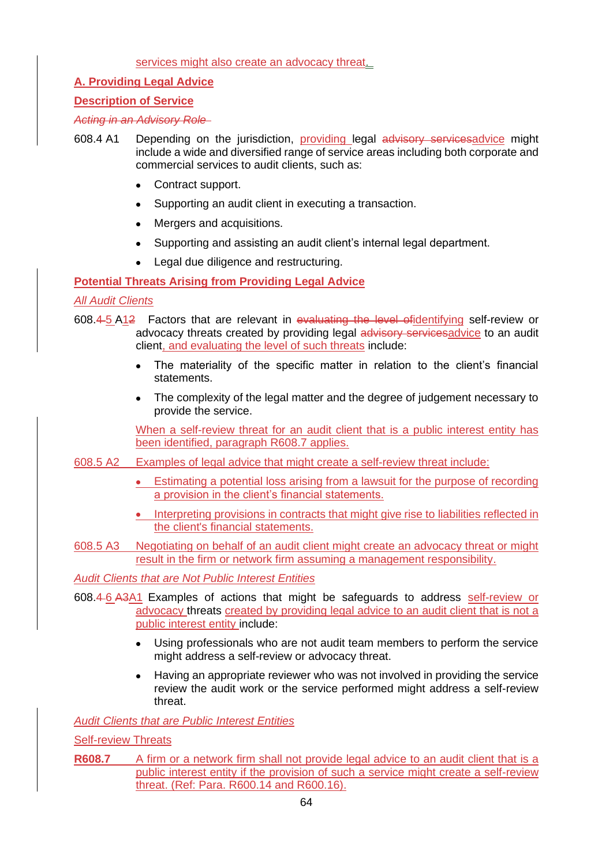### services might also create an advocacy threat.

## **A. Providing Legal Advice**

## **Description of Service**

*Acting in an Advisory Role* 

- 608.4 A1 Depending on the jurisdiction, providing legal advisory servicesadvice might include a wide and diversified range of service areas including both corporate and commercial services to audit clients, such as:
	- Contract support.
	- Supporting an audit client in executing a transaction.
	- Mergers and acquisitions.
	- Supporting and assisting an audit client's internal legal department.
	- Legal due diligence and restructuring.

## **Potential Threats Arising from Providing Legal Advice**

## *All Audit Clients*

- 608.4 5 A12 Factors that are relevant in evaluating the level ofidentifying self-review or advocacy threats created by providing legal advisory servicesadvice to an audit client, and evaluating the level of such threats include:
	- The materiality of the specific matter in relation to the client's financial statements.
	- The complexity of the legal matter and the degree of judgement necessary to provide the service.

When a self-review threat for an audit client that is a public interest entity has been identified, paragraph R608.7 applies.

- 608.5 A2 Examples of legal advice that might create a self-review threat include:
	- Estimating a potential loss arising from a lawsuit for the purpose of recording a provision in the client's financial statements.
	- Interpreting provisions in contracts that might give rise to liabilities reflected in the client's financial statements.
- 608.5 A3 Negotiating on behalf of an audit client might create an advocacy threat or might result in the firm or network firm assuming a management responsibility.

*Audit Clients that are Not Public Interest Entities*

- 608.4 6 A3A1 Examples of actions that might be safeguards to address self-review or advocacy threats created by providing legal advice to an audit client that is not a public interest entity include:
	- Using professionals who are not audit team members to perform the service might address a self-review or advocacy threat.
	- Having an appropriate reviewer who was not involved in providing the service review the audit work or the service performed might address a self-review threat.

*Audit Clients that are Public Interest Entities*

Self-review Threats

**R608.7** A firm or a network firm shall not provide legal advice to an audit client that is a public interest entity if the provision of such a service might create a self-review threat. (Ref: Para. R600.14 and R600.16).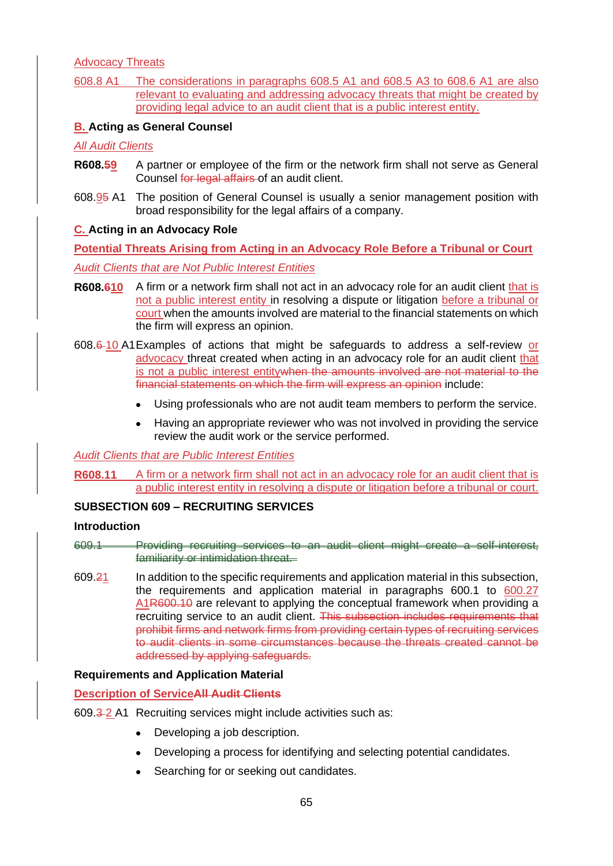Advocacy Threats

608.8 A1 The considerations in paragraphs 608.5 A1 and 608.5 A3 to 608.6 A1 are also relevant to evaluating and addressing advocacy threats that might be created by providing legal advice to an audit client that is a public interest entity.

## **B. Acting as General Counsel**

*All Audit Clients*

- **R608.59** A partner or employee of the firm or the network firm shall not serve as General Counsel for legal affairs of an audit client.
- 608.95 A1 The position of General Counsel is usually a senior management position with broad responsibility for the legal affairs of a company.

### **C. Acting in an Advocacy Role**

**Potential Threats Arising from Acting in an Advocacy Role Before a Tribunal or Court** *Audit Clients that are Not Public Interest Entities*

- **R608.610** A firm or a network firm shall not act in an advocacy role for an audit client that is not a public interest entity in resolving a dispute or litigation before a tribunal or court when the amounts involved are material to the financial statements on which the firm will express an opinion.
- 608.6 10 A1Examples of actions that might be safeguards to address a self-review or advocacy threat created when acting in an advocacy role for an audit client that is not a public interest entitywhen the amounts involved are not material to the financial statements on which the firm will express an opinion include:
	- Using professionals who are not audit team members to perform the service.
	- Having an appropriate reviewer who was not involved in providing the service review the audit work or the service performed.

### *Audit Clients that are Public Interest Entities*

**R608.11** A firm or a network firm shall not act in an advocacy role for an audit client that is a public interest entity in resolving a dispute or litigation before a tribunal or court.

#### **SUBSECTION 609 – RECRUITING SERVICES**

#### **Introduction**

609.1 Providing recruiting services to an audit client might create a self-interest, familiarity or intimidation threat.

609.21 In addition to the specific requirements and application material in this subsection, the requirements and application material in paragraphs 600.1 to 600.27 A1R600.10 are relevant to applying the conceptual framework when providing a recruiting service to an audit client. This subsection includes requirements that prohibit firms and network firms from providing certain types of recruiting services to audit clients in some circumstances because the threats created cannot be addressed by applying safeguards.

#### **Requirements and Application Material**

#### **Description of ServiceAll Audit Clients**

- 609.3-2 A1 Recruiting services might include activities such as:
	- Developing a job description.
	- Developing a process for identifying and selecting potential candidates.
	- Searching for or seeking out candidates.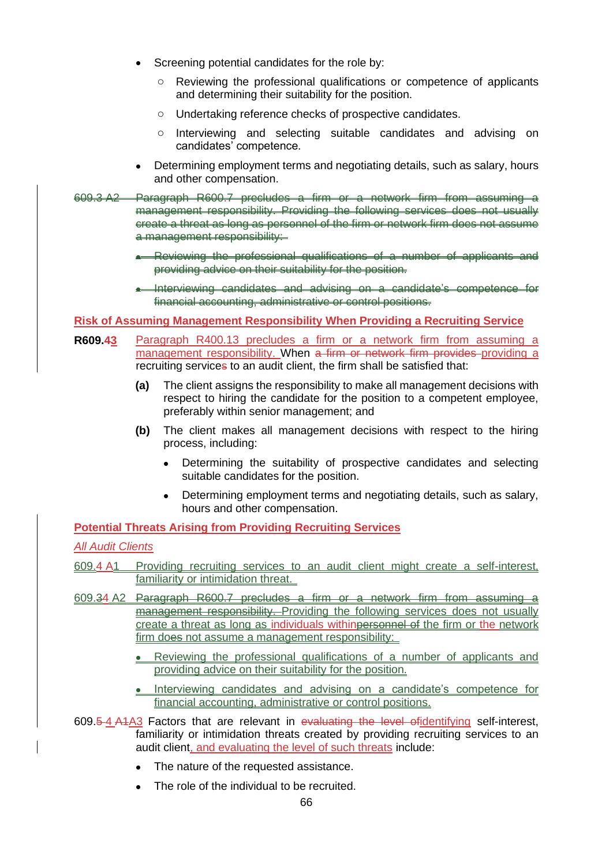- Screening potential candidates for the role by:
	- o Reviewing the professional qualifications or competence of applicants and determining their suitability for the position.
	- o Undertaking reference checks of prospective candidates.
	- o Interviewing and selecting suitable candidates and advising on candidates' competence.
- Determining employment terms and negotiating details, such as salary, hours and other compensation.
- 609.3 A2 Paragraph R600.7 precludes a firm or a network firm from assuming a management responsibility. Providing the following services does not usually create a threat as long as personnel of the firm or network firm does not assume a management responsibility:
	- Reviewing the professional qualifications of a number of applicants and providing advice on their suitability for the position.
	- Interviewing candidates and advising on a candidate's competence for financial accounting, administrative or control positions.

### **Risk of Assuming Management Responsibility When Providing a Recruiting Service**

- **R609.43** Paragraph R400.13 precludes a firm or a network firm from assuming a management responsibility. When a firm or network firm provides providing a recruiting services to an audit client, the firm shall be satisfied that:
	- **(a)** The client assigns the responsibility to make all management decisions with respect to hiring the candidate for the position to a competent employee, preferably within senior management; and
	- **(b)** The client makes all management decisions with respect to the hiring process, including:
		- Determining the suitability of prospective candidates and selecting suitable candidates for the position.
		- Determining employment terms and negotiating details, such as salary, hours and other compensation.

## **Potential Threats Arising from Providing Recruiting Services**

#### *All Audit Clients*

- 609.4 A1 Providing recruiting services to an audit client might create a self-interest, familiarity or intimidation threat.
- 609.34 A2 Paragraph R600.7 precludes a firm or a network firm from assuming a management responsibility. Providing the following services does not usually create a threat as long as individuals withinpersonnel of the firm or the network firm does not assume a management responsibility:
	- Reviewing the professional qualifications of a number of applicants and providing advice on their suitability for the position.
	- Interviewing candidates and advising on a candidate's competence for financial accounting, administrative or control positions.
- 609.5 4 A1A3 Factors that are relevant in evaluating the level ofidentifying self-interest, familiarity or intimidation threats created by providing recruiting services to an audit client, and evaluating the level of such threats include:
	- The nature of the requested assistance.
	- The role of the individual to be recruited.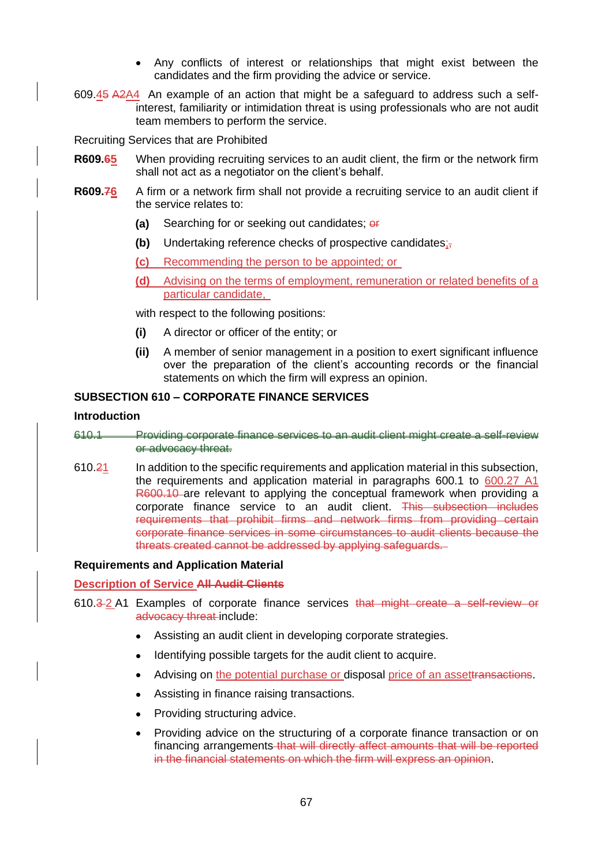- Any conflicts of interest or relationships that might exist between the candidates and the firm providing the advice or service.
- 609.45 A2A4 An example of an action that might be a safeguard to address such a selfinterest, familiarity or intimidation threat is using professionals who are not audit team members to perform the service.

Recruiting Services that are Prohibited

- **R609.65** When providing recruiting services to an audit client, the firm or the network firm shall not act as a negotiator on the client's behalf.
- **R609.76** A firm or a network firm shall not provide a recruiting service to an audit client if the service relates to:
	- **(a)** Searching for or seeking out candidates; or
	- **(b)** Undertaking reference checks of prospective candidates;,
	- **(c)** Recommending the person to be appointed; or
	- **(d)** Advising on the terms of employment, remuneration or related benefits of a particular candidate,

with respect to the following positions:

- **(i)** A director or officer of the entity; or
- **(ii)** A member of senior management in a position to exert significant influence over the preparation of the client's accounting records or the financial statements on which the firm will express an opinion.

# **SUBSECTION 610 – CORPORATE FINANCE SERVICES**

#### **Introduction**

- 610.1 Providing corporate finance services to an audit client might create a self-review or advocacy threat.
- 610.21 In addition to the specific requirements and application material in this subsection, the requirements and application material in paragraphs 600.1 to 600.27 A1 R600.10 are relevant to applying the conceptual framework when providing a corporate finance service to an audit client. This subsection includes requirements that prohibit firms and network firms from providing certain corporate finance services in some circumstances to audit clients because the threats created cannot be addressed by applying safeguards.

#### **Requirements and Application Material**

**Description of Service All Audit Clients**

- 610.3 2 A1 Examples of corporate finance services that might create a self-review or advocacy threat include:
	- Assisting an audit client in developing corporate strategies.
	- Identifying possible targets for the audit client to acquire.
	- Advising on the potential purchase or disposal price of an assettransactions.
	- Assisting in finance raising transactions.
	- Providing structuring advice.
	- Providing advice on the structuring of a corporate finance transaction or on financing arrangements that will directly affect amounts that will be reported in the financial statements on which the firm will express an opinion.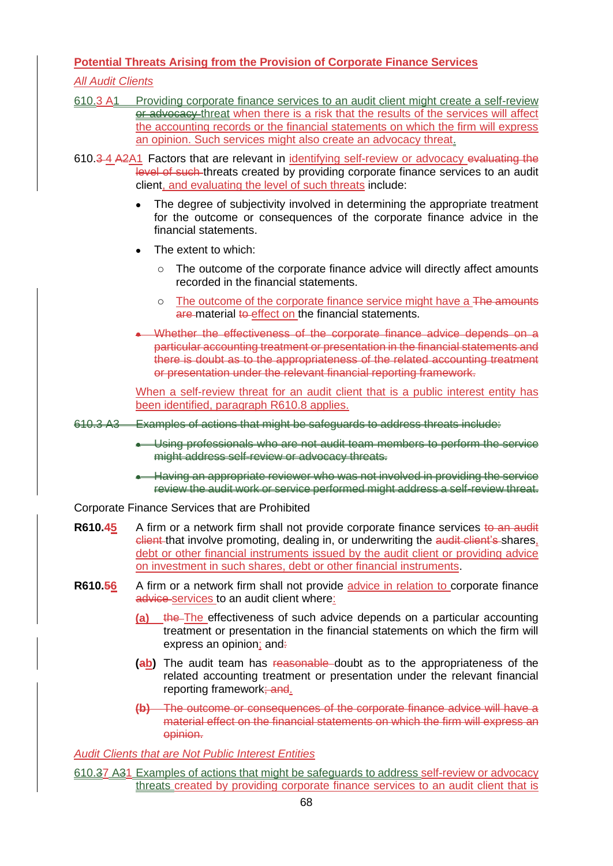# **Potential Threats Arising from the Provision of Corporate Finance Services**

## *All Audit Clients*

- 610.3 A1 Providing corporate finance services to an audit client might create a self-review or advocacy threat when there is a risk that the results of the services will affect the accounting records or the financial statements on which the firm will express an opinion. Such services might also create an advocacy threat.
- 610.3 4 A2A1 Factors that are relevant in identifying self-review or advocacy evaluating the level of such threats created by providing corporate finance services to an audit client, and evaluating the level of such threats include:
	- The degree of subjectivity involved in determining the appropriate treatment for the outcome or consequences of the corporate finance advice in the financial statements.
	- The extent to which:
		- o The outcome of the corporate finance advice will directly affect amounts recorded in the financial statements.
		- o The outcome of the corporate finance service might have a The amounts are material to effect on the financial statements.
	- Whether the effectiveness of the corporate finance advice depends on a particular accounting treatment or presentation in the financial statements and there is doubt as to the appropriateness of the related accounting treatment or presentation under the relevant financial reporting framework.

When a self-review threat for an audit client that is a public interest entity has been identified, paragraph R610.8 applies.

- 610.3 A3 Examples of actions that might be safeguards to address threats include:
	- Using professionals who are not audit team members to perform the service might address self-review or advocacy threats.
	- Having an appropriate reviewer who was not involved in providing the service review the audit work or service performed might address a self-review threat.

Corporate Finance Services that are Prohibited

- **R610.45** A firm or a network firm shall not provide corporate finance services to an audit client that involve promoting, dealing in, or underwriting the audit client's shares, debt or other financial instruments issued by the audit client or providing advice on investment in such shares, debt or other financial instruments.
- **R610.56** A firm or a network firm shall not provide advice in relation to corporate finance advice services to an audit client where:
	- **(a)** the The effectiveness of such advice depends on a particular accounting treatment or presentation in the financial statements on which the firm will express an opinion; and.
	- **(ab)** The audit team has reasonable doubt as to the appropriateness of the related accounting treatment or presentation under the relevant financial reporting framework; and.
	- **(b)** The outcome or consequences of the corporate finance advice will have a material effect on the financial statements on which the firm will express an opinion.

*Audit Clients that are Not Public Interest Entities*

610.37 A31 Examples of actions that might be safeguards to address self-review or advocacy threats created by providing corporate finance services to an audit client that is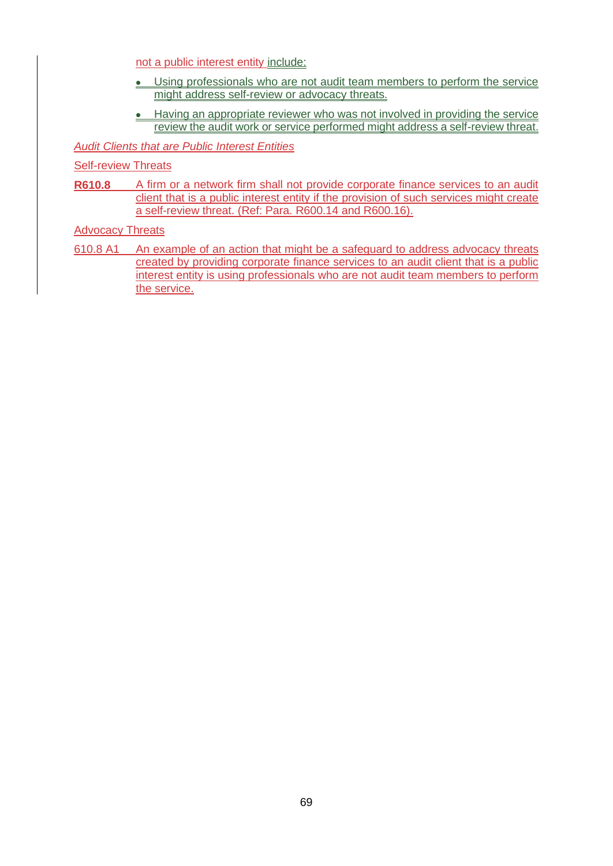not a public interest entity include:

- Using professionals who are not audit team members to perform the service might address self-review or advocacy threats.
- Having an appropriate reviewer who was not involved in providing the service review the audit work or service performed might address a self-review threat.

*Audit Clients that are Public Interest Entities*

Self-review Threats

**R610.8** A firm or a network firm shall not provide corporate finance services to an audit client that is a public interest entity if the provision of such services might create a self-review threat. (Ref: Para. R600.14 and R600.16).

Advocacy Threats

610.8 A1 An example of an action that might be a safeguard to address advocacy threats created by providing corporate finance services to an audit client that is a public interest entity is using professionals who are not audit team members to perform the service.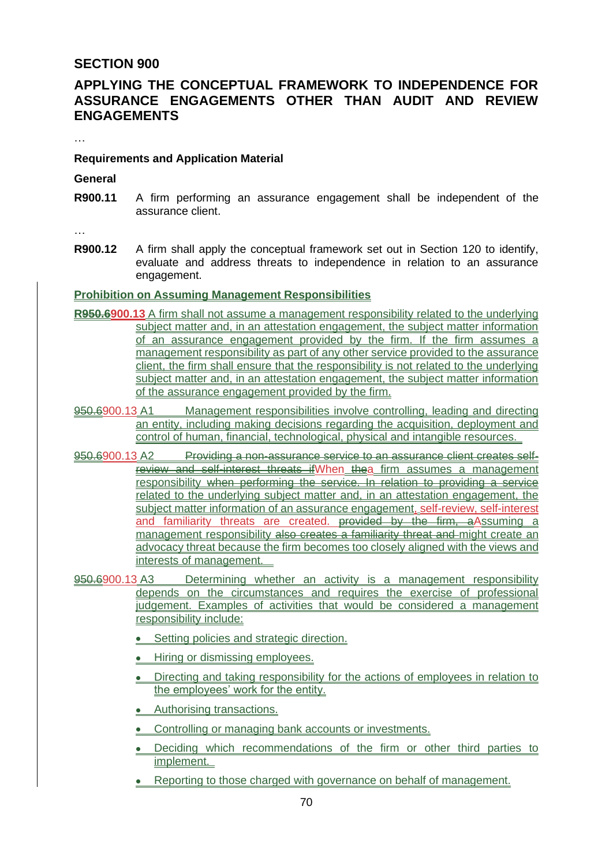# **SECTION 900**

# **APPLYING THE CONCEPTUAL FRAMEWORK TO INDEPENDENCE FOR ASSURANCE ENGAGEMENTS OTHER THAN AUDIT AND REVIEW ENGAGEMENTS**

…

## **Requirements and Application Material**

**General**

**R900.11** A firm performing an assurance engagement shall be independent of the assurance client.

…

**R900.12** A firm shall apply the conceptual framework set out in Section 120 to identify, evaluate and address threats to independence in relation to an assurance engagement.

## **Prohibition on Assuming Management Responsibilities**

- **R950.6900.13** A firm shall not assume a management responsibility related to the underlying subject matter and, in an attestation engagement, the subject matter information of an assurance engagement provided by the firm. If the firm assumes a management responsibility as part of any other service provided to the assurance client, the firm shall ensure that the responsibility is not related to the underlying subject matter and, in an attestation engagement, the subject matter information of the assurance engagement provided by the firm.
- 950.6900.13 A1 Management responsibilities involve controlling, leading and directing an entity, including making decisions regarding the acquisition, deployment and control of human, financial, technological, physical and intangible resources.
- 950.6900.13 A2 Providing a non-assurance service to an assurance client creates selfreview and self-interest threats ifWhen thea firm assumes a management responsibility when performing the service. In relation to providing a service related to the underlying subject matter and, in an attestation engagement, the subject matter information of an assurance engagement, self-review, self-interest and familiarity threats are created. provided by the firm, a Assuming a management responsibility also creates a familiarity threat and might create an advocacy threat because the firm becomes too closely aligned with the views and interests of management.
- 950.6900.13 A3 Determining whether an activity is a management responsibility depends on the circumstances and requires the exercise of professional judgement. Examples of activities that would be considered a management responsibility include:
	- Setting policies and strategic direction.
	- Hiring or dismissing employees.
	- Directing and taking responsibility for the actions of employees in relation to the employees' work for the entity.
	- Authorising transactions.
	- Controlling or managing bank accounts or investments.
	- Deciding which recommendations of the firm or other third parties to implement.
	- Reporting to those charged with governance on behalf of management.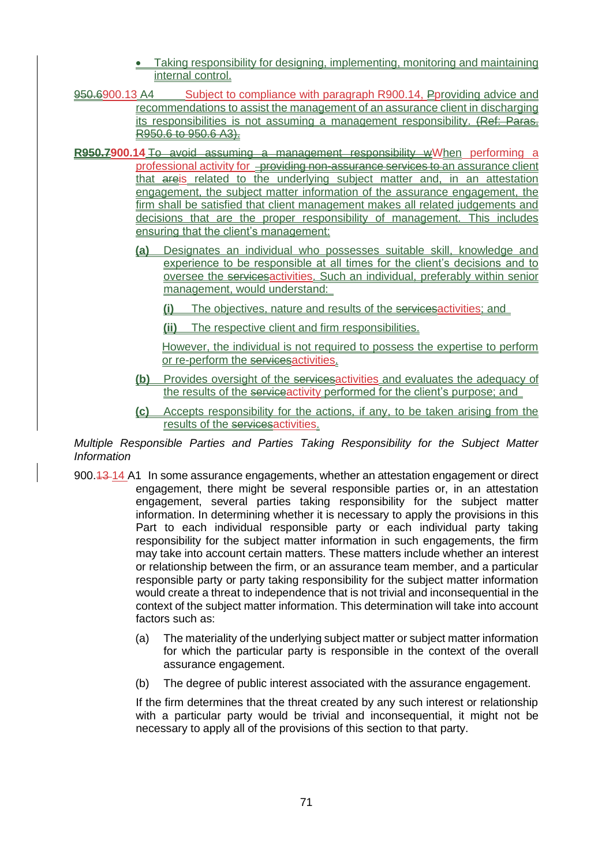- Taking responsibility for designing, implementing, monitoring and maintaining internal control.
- 950.6900.13 A4 Subject to compliance with paragraph R900.14, Pproviding advice and recommendations to assist the management of an assurance client in discharging its responsibilities is not assuming a management responsibility. (Ref: Paras. R950.6 to 950.6 A3).
- **R950.7900.14** To avoid assuming a management responsibility wWhen performing a professional activity for providing non-assurance services to an assurance client that areis related to the underlying subject matter and, in an attestation engagement, the subject matter information of the assurance engagement, the firm shall be satisfied that client management makes all related judgements and decisions that are the proper responsibility of management. This includes ensuring that the client's management:
	- **(a)** Designates an individual who possesses suitable skill, knowledge and experience to be responsible at all times for the client's decisions and to oversee the servicesactivities. Such an individual, preferably within senior management, would understand:
		- **(i)** The objectives, nature and results of the servicesactivities; and
		- **(ii)** The respective client and firm responsibilities.

However, the individual is not required to possess the expertise to perform or re-perform the servicesactivities.

- **(b)** Provides oversight of the servicesactivities and evaluates the adequacy of the results of the serviceactivity performed for the client's purpose; and
- **(c)** Accepts responsibility for the actions, if any, to be taken arising from the results of the servicesactivities.

*Multiple Responsible Parties and Parties Taking Responsibility for the Subject Matter Information*

- 900.13 14 A1 In some assurance engagements, whether an attestation engagement or direct engagement, there might be several responsible parties or, in an attestation engagement, several parties taking responsibility for the subject matter information. In determining whether it is necessary to apply the provisions in this Part to each individual responsible party or each individual party taking responsibility for the subject matter information in such engagements, the firm may take into account certain matters. These matters include whether an interest or relationship between the firm, or an assurance team member, and a particular responsible party or party taking responsibility for the subject matter information would create a threat to independence that is not trivial and inconsequential in the context of the subject matter information. This determination will take into account factors such as:
	- (a) The materiality of the underlying subject matter or subject matter information for which the particular party is responsible in the context of the overall assurance engagement.
	- (b) The degree of public interest associated with the assurance engagement.

If the firm determines that the threat created by any such interest or relationship with a particular party would be trivial and inconsequential, it might not be necessary to apply all of the provisions of this section to that party.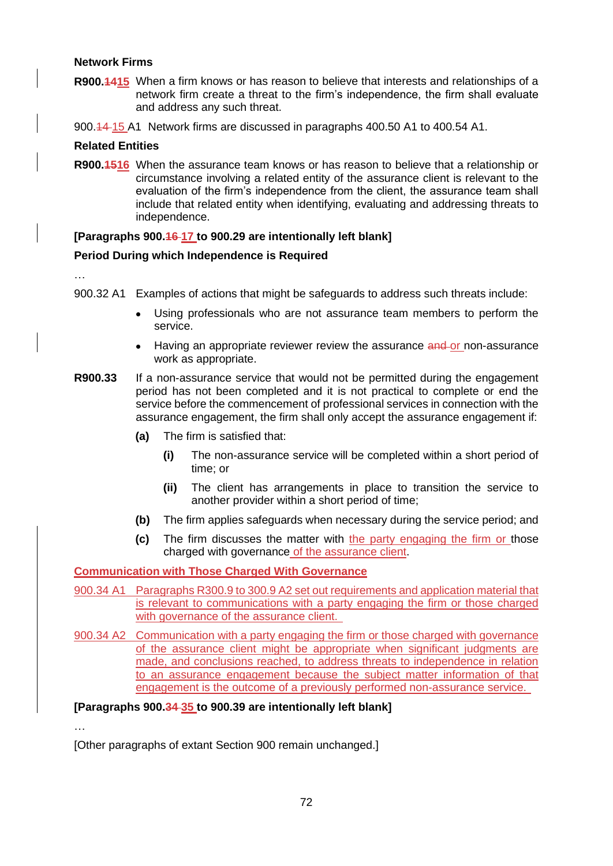## **Network Firms**

**R900.1415** When a firm knows or has reason to believe that interests and relationships of a network firm create a threat to the firm's independence, the firm shall evaluate and address any such threat.

900.14 15 A1 Network firms are discussed in paragraphs 400.50 A1 to 400.54 A1.

## **Related Entities**

**R900.1516** When the assurance team knows or has reason to believe that a relationship or circumstance involving a related entity of the assurance client is relevant to the evaluation of the firm's independence from the client, the assurance team shall include that related entity when identifying, evaluating and addressing threats to independence.

## **[Paragraphs 900.16 17 to 900.29 are intentionally left blank]**

## **Period During which Independence is Required**

…

- 900.32 A1 Examples of actions that might be safeguards to address such threats include:
	- Using professionals who are not assurance team members to perform the service.
	- Having an appropriate reviewer review the assurance and or non-assurance work as appropriate.
- **R900.33** If a non-assurance service that would not be permitted during the engagement period has not been completed and it is not practical to complete or end the service before the commencement of professional services in connection with the assurance engagement, the firm shall only accept the assurance engagement if:
	- **(a)** The firm is satisfied that:
		- **(i)** The non-assurance service will be completed within a short period of time; or
		- **(ii)** The client has arrangements in place to transition the service to another provider within a short period of time;
	- **(b)** The firm applies safeguards when necessary during the service period; and
	- **(c)** The firm discusses the matter with the party engaging the firm or those charged with governance of the assurance client.

## **Communication with Those Charged With Governance**

- 900.34 A1 Paragraphs R300.9 to 300.9 A2 set out requirements and application material that is relevant to communications with a party engaging the firm or those charged with governance of the assurance client.
- 900.34 A2 Communication with a party engaging the firm or those charged with governance of the assurance client might be appropriate when significant judgments are made, and conclusions reached, to address threats to independence in relation to an assurance engagement because the subject matter information of that engagement is the outcome of a previously performed non-assurance service.

**[Paragraphs 900.34 35 to 900.39 are intentionally left blank]**

…

[Other paragraphs of extant Section 900 remain unchanged.]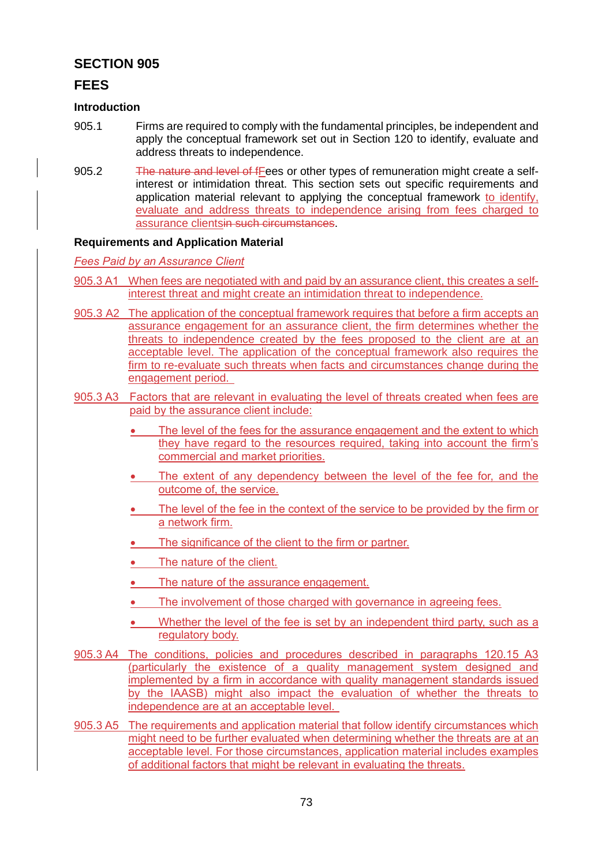# **SECTION 905**

## **FEES**

### **Introduction**

- 905.1 Firms are required to comply with the fundamental principles, be independent and apply the conceptual framework set out in Section 120 to identify, evaluate and address threats to independence.
- 905.2 The nature and level of fFees or other types of remuneration might create a selfinterest or intimidation threat. This section sets out specific requirements and application material relevant to applying the conceptual framework to identify, evaluate and address threats to independence arising from fees charged to assurance clientsin such circumstances.

## **Requirements and Application Material**

*Fees Paid by an Assurance Client*

- 905.3 A1 When fees are negotiated with and paid by an assurance client, this creates a selfinterest threat and might create an intimidation threat to independence.
- 905.3 A2 The application of the conceptual framework requires that before a firm accepts an assurance engagement for an assurance client, the firm determines whether the threats to independence created by the fees proposed to the client are at an acceptable level. The application of the conceptual framework also requires the firm to re-evaluate such threats when facts and circumstances change during the engagement period.
- 905.3 A3 Factors that are relevant in evaluating the level of threats created when fees are paid by the assurance client include:
	- The level of the fees for the assurance engagement and the extent to which they have regard to the resources required, taking into account the firm's commercial and market priorities.
	- The extent of any dependency between the level of the fee for, and the outcome of, the service.
	- The level of the fee in the context of the service to be provided by the firm or a network firm.
	- The significance of the client to the firm or partner.
	- The nature of the client.
	- The nature of the assurance engagement.
	- The involvement of those charged with governance in agreeing fees.
	- Whether the level of the fee is set by an independent third party, such as a regulatory body.
- 905.3 A4 The conditions, policies and procedures described in paragraphs 120.15 A3 (particularly the existence of a quality management system designed and implemented by a firm in accordance with quality management standards issued by the IAASB) might also impact the evaluation of whether the threats to independence are at an acceptable level.
- 905.3 A5 The requirements and application material that follow identify circumstances which might need to be further evaluated when determining whether the threats are at an acceptable level. For those circumstances, application material includes examples of additional factors that might be relevant in evaluating the threats.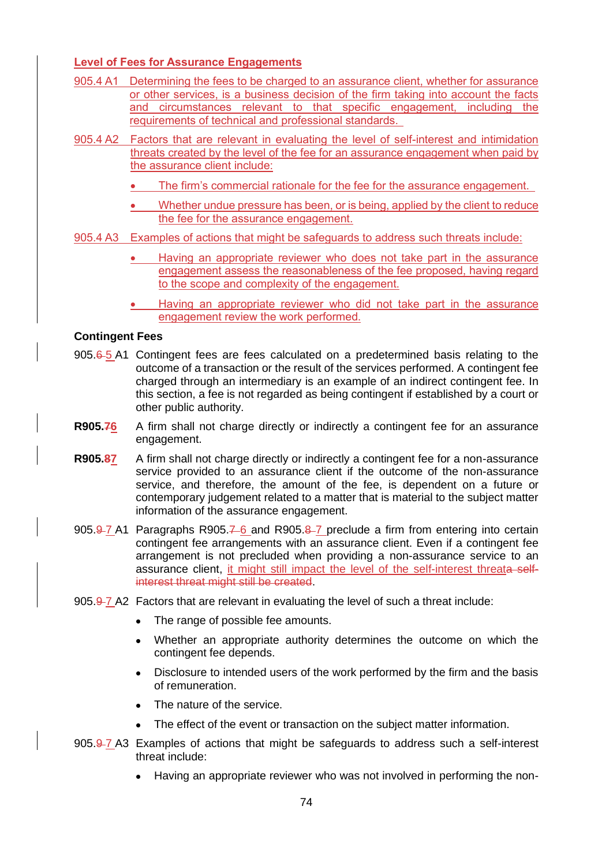## **Level of Fees for Assurance Engagements**

- 905.4 A1 Determining the fees to be charged to an assurance client, whether for assurance or other services, is a business decision of the firm taking into account the facts and circumstances relevant to that specific engagement, including the requirements of technical and professional standards.
- 905.4 A2 Factors that are relevant in evaluating the level of self-interest and intimidation threats created by the level of the fee for an assurance engagement when paid by the assurance client include:
	- The firm's commercial rationale for the fee for the assurance engagement.
	- Whether undue pressure has been, or is being, applied by the client to reduce the fee for the assurance engagement.
- 905.4 A3 Examples of actions that might be safeguards to address such threats include:
	- Having an appropriate reviewer who does not take part in the assurance engagement assess the reasonableness of the fee proposed, having regard to the scope and complexity of the engagement.
	- Having an appropriate reviewer who did not take part in the assurance engagement review the work performed.

### **Contingent Fees**

- 905.6-5 A1 Contingent fees are fees calculated on a predetermined basis relating to the outcome of a transaction or the result of the services performed. A contingent fee charged through an intermediary is an example of an indirect contingent fee. In this section, a fee is not regarded as being contingent if established by a court or other public authority.
- **R905.76** A firm shall not charge directly or indirectly a contingent fee for an assurance engagement.
- **R905.87** A firm shall not charge directly or indirectly a contingent fee for a non-assurance service provided to an assurance client if the outcome of the non-assurance service, and therefore, the amount of the fee, is dependent on a future or contemporary judgement related to a matter that is material to the subject matter information of the assurance engagement.
- 905.9-7 A1 Paragraphs R905.7-6 and R905.8-7 preclude a firm from entering into certain contingent fee arrangements with an assurance client. Even if a contingent fee arrangement is not precluded when providing a non-assurance service to an assurance client, it might still impact the level of the self-interest threata selfinterest threat might still be created.
- 905.9-7 A2 Factors that are relevant in evaluating the level of such a threat include:
	- The range of possible fee amounts.
	- Whether an appropriate authority determines the outcome on which the contingent fee depends.
	- Disclosure to intended users of the work performed by the firm and the basis of remuneration.
	- The nature of the service.
	- The effect of the event or transaction on the subject matter information.
- 905.9-7 A3 Examples of actions that might be safeguards to address such a self-interest threat include:
	- Having an appropriate reviewer who was not involved in performing the non-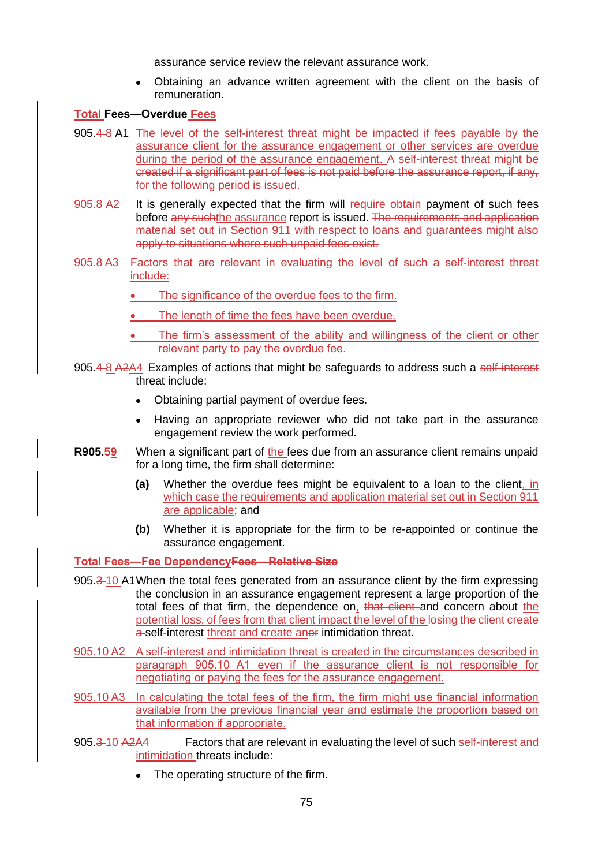assurance service review the relevant assurance work.

• Obtaining an advance written agreement with the client on the basis of remuneration.

## **Total Fees―Overdue Fees**

- 905.4 8 A1 The level of the self-interest threat might be impacted if fees payable by the assurance client for the assurance engagement or other services are overdue during the period of the assurance engagement. A self-interest threat might be created if a significant part of fees is not paid before the assurance report, if any, for the following period is issued.
- 905.8 A2 It is generally expected that the firm will require-obtain payment of such fees before any suchthe assurance report is issued. The requirements and application material set out in Section 911 with respect to loans and guarantees might also apply to situations where such unpaid fees exist.
- 905.8 A3 Factors that are relevant in evaluating the level of such a self-interest threat include:
	- The significance of the overdue fees to the firm.
	- The length of time the fees have been overdue.
	- The firm's assessment of the ability and willingness of the client or other relevant party to pay the overdue fee.
- 905.4-8 A2A4 Examples of actions that might be safeguards to address such a self-interest threat include:
	- Obtaining partial payment of overdue fees.
	- Having an appropriate reviewer who did not take part in the assurance engagement review the work performed.
- **R905.59** When a significant part of the fees due from an assurance client remains unpaid for a long time, the firm shall determine:
	- **(a)** Whether the overdue fees might be equivalent to a loan to the client, in which case the requirements and application material set out in Section 911 are applicable; and
	- **(b)** Whether it is appropriate for the firm to be re-appointed or continue the assurance engagement.

**Total Fees―Fee DependencyFees―Relative Size**

- 905.3 10 A1When the total fees generated from an assurance client by the firm expressing the conclusion in an assurance engagement represent a large proportion of the total fees of that firm, the dependence on, that client and concern about the potential loss, of fees from that client impact the level of the losing the client create a-self-interest threat and create anor intimidation threat.
- 905.10 A2 A self-interest and intimidation threat is created in the circumstances described in paragraph 905.10 A1 even if the assurance client is not responsible for negotiating or paying the fees for the assurance engagement.
- 905.10 A3 In calculating the total fees of the firm, the firm might use financial information available from the previous financial year and estimate the proportion based on that information if appropriate.
- 905.3-10 A2A4 Factors that are relevant in evaluating the level of such self-interest and intimidation threats include:
	- The operating structure of the firm.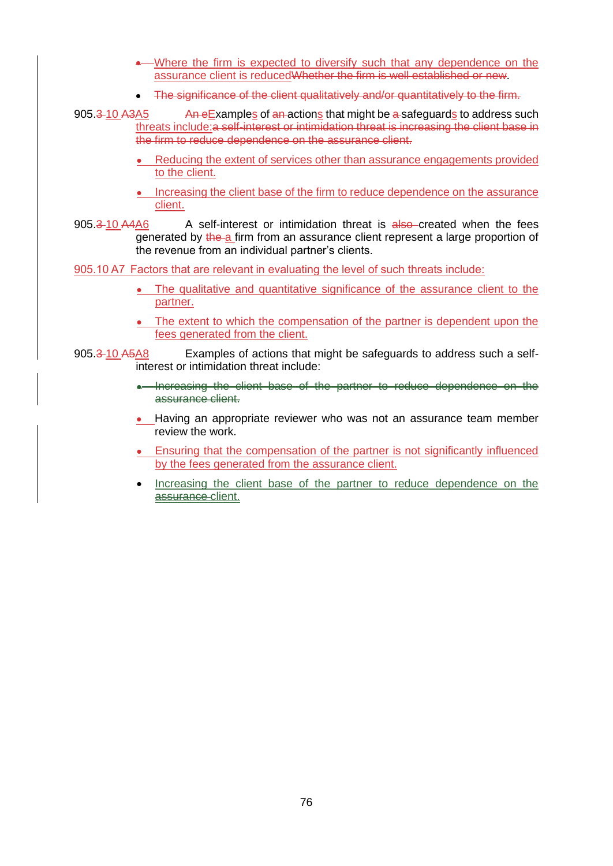- Where the firm is expected to diversify such that any dependence on the assurance client is reducedWhether the firm is well established or new.
- The significance of the client qualitatively and/or quantitatively to the firm.

905.3-10 A3A5 An eExamples of an actions that might be a safeguards to address such threats include:a self-interest or intimidation threat is increasing the client base in the firm to reduce dependence on the assurance client.

- Reducing the extent of services other than assurance engagements provided to the client.
- Increasing the client base of the firm to reduce dependence on the assurance client.
- 905.3-10 A4A6 A self-interest or intimidation threat is also created when the fees generated by the a firm from an assurance client represent a large proportion of the revenue from an individual partner's clients.

905.10 A7 Factors that are relevant in evaluating the level of such threats include:

- The qualitative and quantitative significance of the assurance client to the partner.
- The extent to which the compensation of the partner is dependent upon the fees generated from the client.

905.3-10 A5A8 Examples of actions that might be safeguards to address such a selfinterest or intimidation threat include:

- Increasing the client base of the partner to reduce dependence on the assurance client.
- Having an appropriate reviewer who was not an assurance team member review the work.
- Ensuring that the compensation of the partner is not significantly influenced by the fees generated from the assurance client.
- Increasing the client base of the partner to reduce dependence on the assurance client.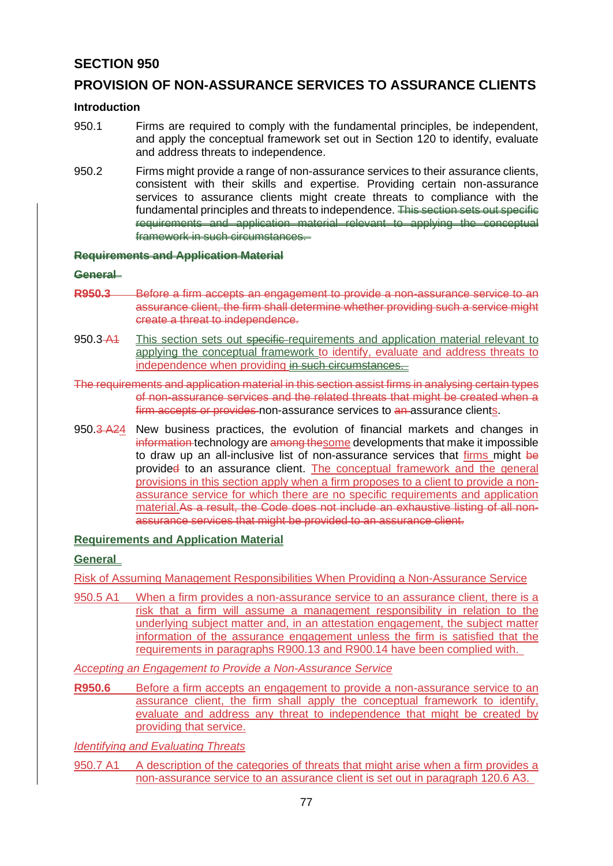# **SECTION 950**

# **PROVISION OF NON-ASSURANCE SERVICES TO ASSURANCE CLIENTS**

#### **Introduction**

- 950.1 Firms are required to comply with the fundamental principles, be independent, and apply the conceptual framework set out in Section 120 to identify, evaluate and address threats to independence.
- 950.2 Firms might provide a range of non-assurance services to their assurance clients, consistent with their skills and expertise. Providing certain non-assurance services to assurance clients might create threats to compliance with the fundamental principles and threats to independence. This section sets out specific requirements and application material relevant to applying the conceptual framework in such circumstances.

### **Requirements and Application Material**

#### **General**

- **R950.3** Before a firm accepts an engagement to provide a non-assurance service to an assurance client, the firm shall determine whether providing such a service might create a threat to independence.
- 950.3 A4 This section sets out specific-requirements and application material relevant to applying the conceptual framework to identify, evaluate and address threats to independence when providing in such circumstances.

The requirements and application material in this section assist firms in analysing certain types of non-assurance services and the related threats that might be created when a firm accepts or provides non-assurance services to an assurance clients.

950.3 A24 New business practices, the evolution of financial markets and changes in information technology are among thesome developments that make it impossible to draw up an all-inclusive list of non-assurance services that firms might be provided to an assurance client. The conceptual framework and the general provisions in this section apply when a firm proposes to a client to provide a nonassurance service for which there are no specific requirements and application material.As a result, the Code does not include an exhaustive listing of all nonassurance services that might be provided to an assurance client.

#### **Requirements and Application Material**

#### **General**

Risk of Assuming Management Responsibilities When Providing a Non-Assurance Service

950.5 A1 When a firm provides a non-assurance service to an assurance client, there is a risk that a firm will assume a management responsibility in relation to the underlying subject matter and, in an attestation engagement, the subject matter information of the assurance engagement unless the firm is satisfied that the requirements in paragraphs R900.13 and R900.14 have been complied with.

*Accepting an Engagement to Provide a Non-Assurance Service*

**R950.6** Before a firm accepts an engagement to provide a non-assurance service to an assurance client, the firm shall apply the conceptual framework to identify, evaluate and address any threat to independence that might be created by providing that service.

*Identifying and Evaluating Threats*

950.7 A1 A description of the categories of threats that might arise when a firm provides a non-assurance service to an assurance client is set out in paragraph 120.6 A3.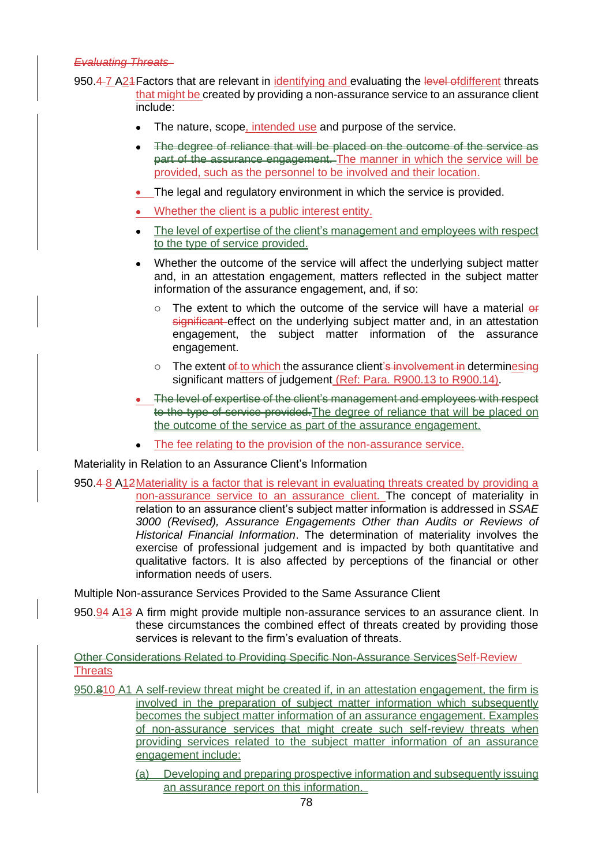#### *Evaluating Threats*

- 950.4-7 A24 Factors that are relevant in identifying and evaluating the level of different threats that might be created by providing a non-assurance service to an assurance client include:
	- The nature, scope, intended use and purpose of the service.
	- The degree of reliance that will be placed on the outcome of the service as part of the assurance engagement. The manner in which the service will be provided, such as the personnel to be involved and their location.
	- The legal and regulatory environment in which the service is provided.
	- Whether the client is a public interest entity.
	- The level of expertise of the client's management and employees with respect to the type of service provided.
	- Whether the outcome of the service will affect the underlying subject matter and, in an attestation engagement, matters reflected in the subject matter information of the assurance engagement, and, if so:
		- $\circ$  The extent to which the outcome of the service will have a material  $\sigma$ significant effect on the underlying subject matter and, in an attestation engagement, the subject matter information of the assurance engagement.
		- $\circ$  The extent of to which the assurance client's involvement in determinesing significant matters of judgement (Ref: Para. R900.13 to R900.14).
	- The level of expertise of the client's management and employees with respect to the type of service provided. The degree of reliance that will be placed on the outcome of the service as part of the assurance engagement.
	- The fee relating to the provision of the non-assurance service.

Materiality in Relation to an Assurance Client's Information

950.4 8 A12Materiality is a factor that is relevant in evaluating threats created by providing a non-assurance service to an assurance client. The concept of materiality in relation to an assurance client's subject matter information is addressed in *SSAE 3000 (Revised), Assurance Engagements Other than Audits or Reviews of Historical Financial Information*. The determination of materiality involves the exercise of professional judgement and is impacted by both quantitative and qualitative factors. It is also affected by perceptions of the financial or other information needs of users.

Multiple Non-assurance Services Provided to the Same Assurance Client

950.94 A13 A firm might provide multiple non-assurance services to an assurance client. In these circumstances the combined effect of threats created by providing those services is relevant to the firm's evaluation of threats.

Other Considerations Related to Providing Specific Non-Assurance ServicesSelf-Review **Threats** 

- 950.810 A1 A self-review threat might be created if, in an attestation engagement, the firm is involved in the preparation of subject matter information which subsequently becomes the subject matter information of an assurance engagement. Examples of non-assurance services that might create such self-review threats when providing services related to the subject matter information of an assurance engagement include:
	- (a) Developing and preparing prospective information and subsequently issuing an assurance report on this information.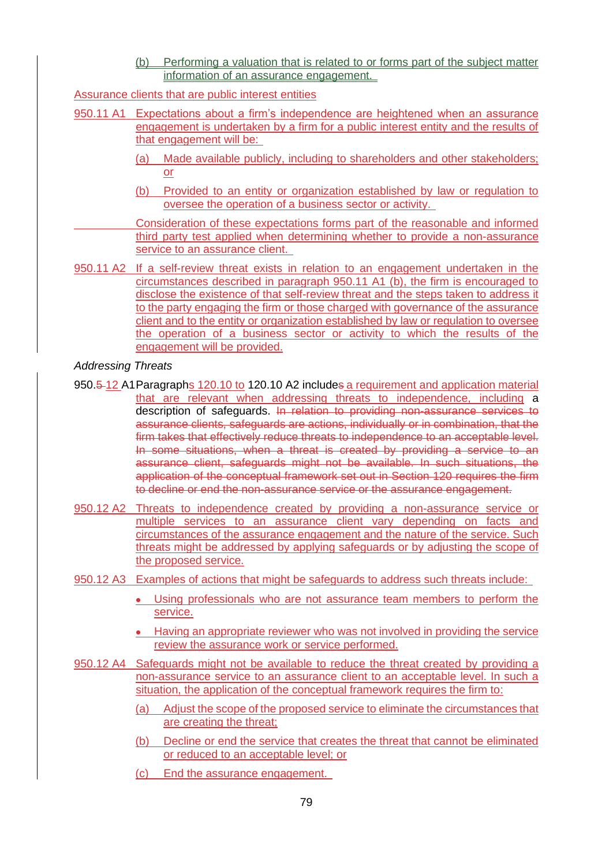(b) Performing a valuation that is related to or forms part of the subject matter information of an assurance engagement.

Assurance clients that are public interest entities

- 950.11 A1 Expectations about a firm's independence are heightened when an assurance engagement is undertaken by a firm for a public interest entity and the results of that engagement will be:
	- (a) Made available publicly, including to shareholders and other stakeholders; or
	- (b) Provided to an entity or organization established by law or regulation to oversee the operation of a business sector or activity.

Consideration of these expectations forms part of the reasonable and informed third party test applied when determining whether to provide a non-assurance service to an assurance client.

950.11 A2 If a self-review threat exists in relation to an engagement undertaken in the circumstances described in paragraph 950.11 A1 (b), the firm is encouraged to disclose the existence of that self-review threat and the steps taken to address it to the party engaging the firm or those charged with governance of the assurance client and to the entity or organization established by law or regulation to oversee the operation of a business sector or activity to which the results of the engagement will be provided.

#### *Addressing Threats*

- 950.5 12 A1Paragraphs 120.10 to 120.10 A2 includes a requirement and application material that are relevant when addressing threats to independence, including a description of safeguards. In relation to providing non-assurance services to assurance clients, safeguards are actions, individually or in combination, that the firm takes that effectively reduce threats to independence to an acceptable level. In some situations, when a threat is created by providing a service to an assurance client, safeguards might not be available. In such situations, the application of the conceptual framework set out in Section 120 requires the firm to decline or end the non-assurance service or the assurance engagement.
- 950.12 A2 Threats to independence created by providing a non-assurance service or multiple services to an assurance client vary depending on facts and circumstances of the assurance engagement and the nature of the service. Such threats might be addressed by applying safeguards or by adjusting the scope of the proposed service.
- 950.12 A3 Examples of actions that might be safeguards to address such threats include:
	- Using professionals who are not assurance team members to perform the service.
	- Having an appropriate reviewer who was not involved in providing the service review the assurance work or service performed.
- 950.12 A4 Safeguards might not be available to reduce the threat created by providing a non-assurance service to an assurance client to an acceptable level. In such a situation, the application of the conceptual framework requires the firm to:
	- (a) Adjust the scope of the proposed service to eliminate the circumstances that are creating the threat;
	- (b) Decline or end the service that creates the threat that cannot be eliminated or reduced to an acceptable level; or
	- (c) End the assurance engagement.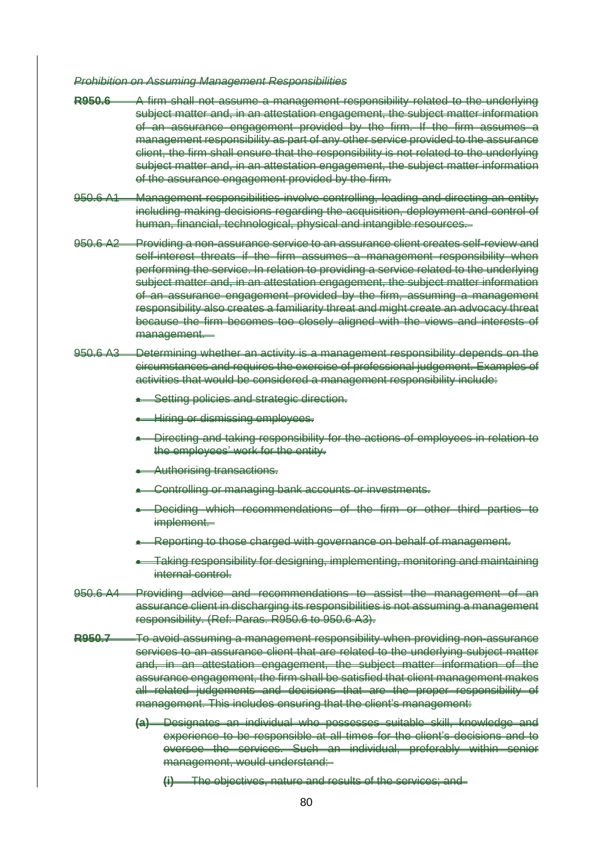*Prohibition on Assuming Management Responsibilities*

- **R950.6** A firm shall not assume a management responsibility related to the underlying subject matter and, in an attestation engagement, the subject matter information of an assurance engagement provided by the firm. If the firm assumes a management responsibility as part of any other service provided to the assurance client, the firm shall ensure that the responsibility is not related to the underlying subject matter and, in an attestation engagement, the subject matter information of the assurance engagement provided by the firm.
- 950.6 A1 Management responsibilities involve controlling, leading and directing an entity, including making decisions regarding the acquisition, deployment and control of human, financial, technological, physical and intangible resources.
- 950.6 A2 Providing a non-assurance service to an assurance client creates self-review and self-interest threats if the firm assumes a management responsibility when performing the service. In relation to providing a service related to the underlying subject matter and, in an attestation engagement, the subject matter information of an assurance engagement provided by the firm, assuming a management responsibility also creates a familiarity threat and might create an advocacy threat because the firm becomes too closely aligned with the views and interests of management.
- 950.6 A3 Determining whether an activity is a management responsibility depends on the circumstances and requires the exercise of professional judgement. Examples of activities that would be considered a management responsibility include:
	- **Setting policies and strategic direction.**
	- Hiring or dismissing employees.
	- Directing and taking responsibility for the actions of employees in relation to the employees' work for the entity.
	- Authorising transactions.
	- Controlling or managing bank accounts or investments.
	- Deciding which recommendations of the firm or other third parties to implement.
	- Reporting to those charged with governance on behalf of management.
	- Taking responsibility for designing, implementing, monitoring and maintaining internal control.
- 950.6 A4 Providing advice and recommendations to assist the management of an assurance client in discharging its responsibilities is not assuming a management responsibility. (Ref: Paras. R950.6 to 950.6 A3).
- **R950.7** To avoid assuming a management responsibility when providing non-assurance services to an assurance client that are related to the underlying subject matter and, in an attestation engagement, the subject matter information of the assurance engagement, the firm shall be satisfied that client management makes all related judgements and decisions that are the proper responsibility of management. This includes ensuring that the client's management:
	- **(a)** Designates an individual who possesses suitable skill, knowledge and experience to be responsible at all times for the client's decisions and to oversee the services. Such an individual, preferably within senior management, would understand:
		- **(i)** The objectives, nature and results of the services; and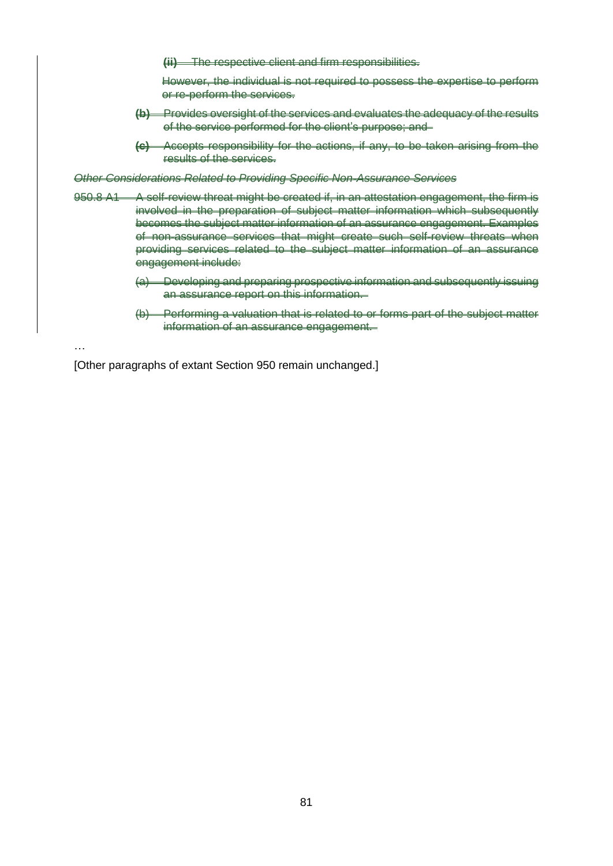**(ii)** The respective client and firm responsibilities.

However, the individual is not required to possess the expertise to perform or re-perform the services.

- **(b)** Provides oversight of the services and evaluates the adequacy of the results of the service performed for the client's purpose; and
- **Accepts responsibility for the actions, if any, to be taken arising from the** results of the services.

*Other Considerations Related to Providing Specific Non-Assurance Services*

- 950.8 A1 A self-review threat might be created if, in an attestation engagement, the firm is involved in the preparation of subject matter information which subsequently becomes the subject matter information of an assurance engagement. Examples of non-assurance services that might create such self-review threats when providing services related to the subject matter information of an assurance engagement include:
	- (a) Developing and preparing prospective information and subsequently issuing an assurance report on this information.
	- (b) Performing a valuation that is related to or forms part of the subject matter information of an assurance engagement.

…

[Other paragraphs of extant Section 950 remain unchanged.]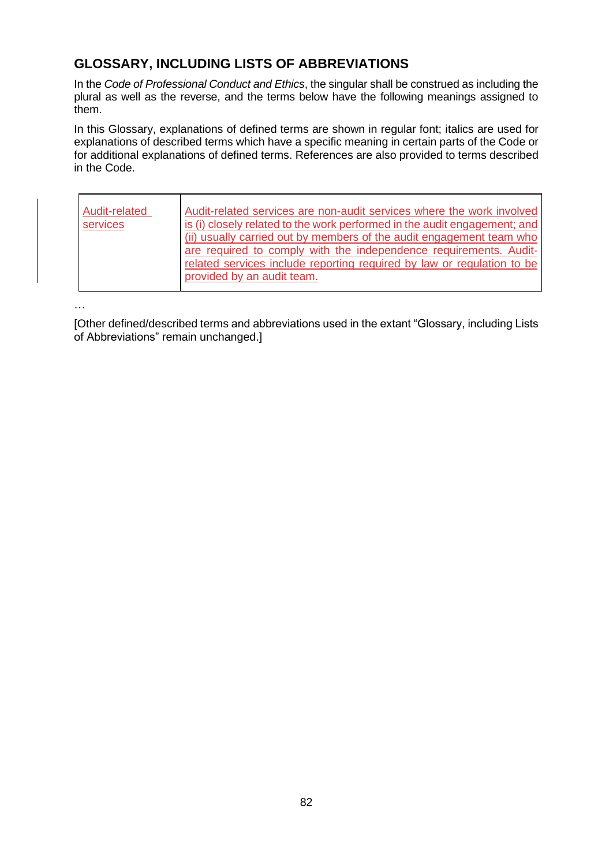# **GLOSSARY, INCLUDING LISTS OF ABBREVIATIONS**

In the *Code of Professional Conduct and Ethics*, the singular shall be construed as including the plural as well as the reverse, and the terms below have the following meanings assigned to them.

In this Glossary, explanations of defined terms are shown in regular font; italics are used for explanations of described terms which have a specific meaning in certain parts of the Code or for additional explanations of defined terms. References are also provided to terms described in the Code.

| Audit-related<br>services | Audit-related services are non-audit services where the work involved<br>is (i) closely related to the work performed in the audit engagement; and<br>(ii) usually carried out by members of the audit engagement team who<br>are required to comply with the independence requirements. Audit-<br>related services include reporting required by law or regulation to be |
|---------------------------|---------------------------------------------------------------------------------------------------------------------------------------------------------------------------------------------------------------------------------------------------------------------------------------------------------------------------------------------------------------------------|
|                           | provided by an audit team.                                                                                                                                                                                                                                                                                                                                                |

…

[Other defined/described terms and abbreviations used in the extant "Glossary, including Lists of Abbreviations" remain unchanged.]